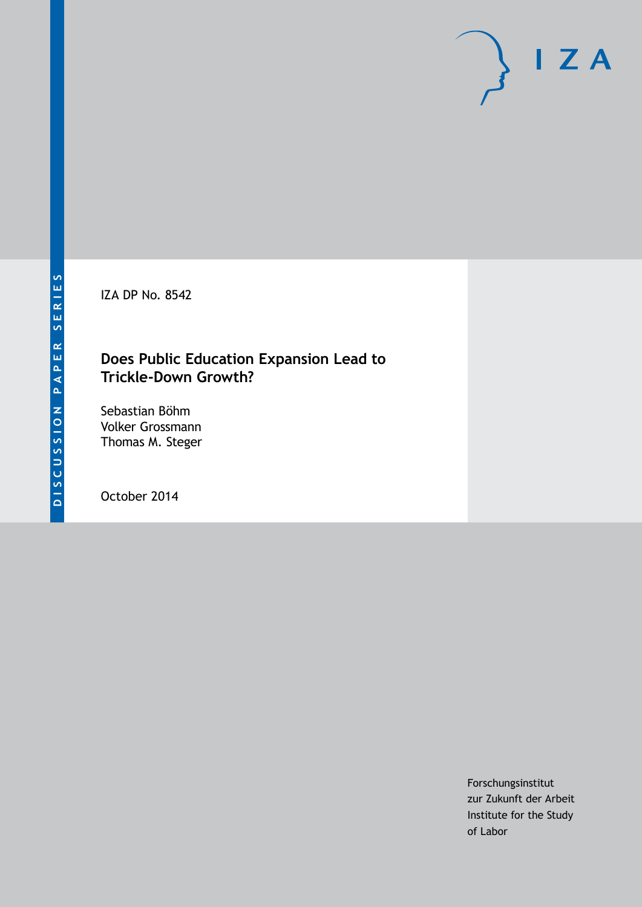IZA DP No. 8542

### **Does Public Education Expansion Lead to Trickle-Down Growth?**

Sebastian Böhm Volker Grossmann Thomas M. Steger

October 2014

Forschungsinstitut zur Zukunft der Arbeit Institute for the Study of Labor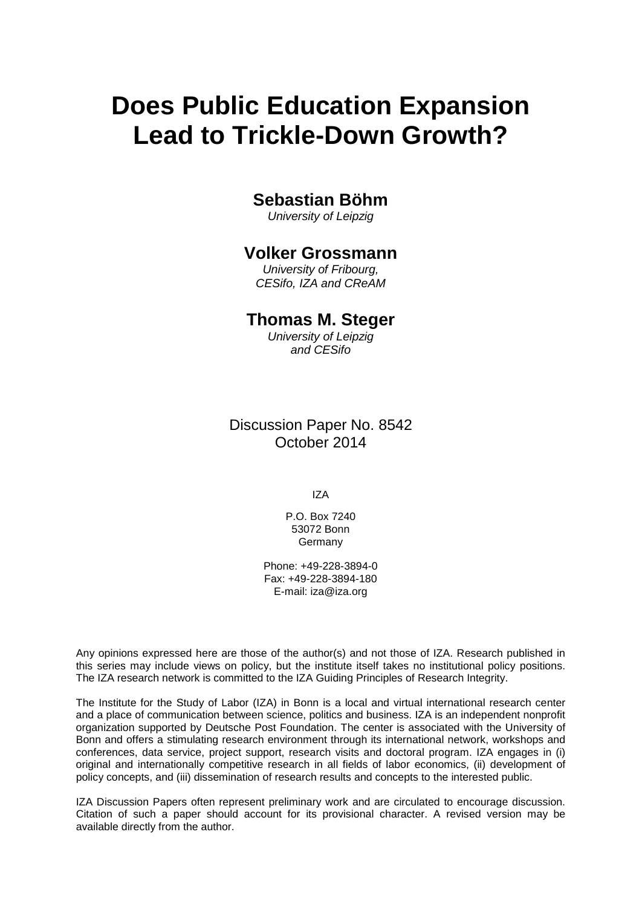# **Does Public Education Expansion Lead to Trickle-Down Growth?**

### **Sebastian Böhm**

*University of Leipzig*

### **Volker Grossmann**

*University of Fribourg, CESifo, IZA and CReAM*

### **Thomas M. Steger**

*University of Leipzig and CESifo*

Discussion Paper No. 8542 October 2014

IZA

P.O. Box 7240 53072 Bonn Germany

Phone: +49-228-3894-0 Fax: +49-228-3894-180 E-mail: [iza@iza.org](mailto:iza@iza.org)

Any opinions expressed here are those of the author(s) and not those of IZA. Research published in this series may include views on policy, but the institute itself takes no institutional policy positions. The IZA research network is committed to the IZA Guiding Principles of Research Integrity.

The Institute for the Study of Labor (IZA) in Bonn is a local and virtual international research center and a place of communication between science, politics and business. IZA is an independent nonprofit organization supported by Deutsche Post Foundation. The center is associated with the University of Bonn and offers a stimulating research environment through its international network, workshops and conferences, data service, project support, research visits and doctoral program. IZA engages in (i) original and internationally competitive research in all fields of labor economics, (ii) development of policy concepts, and (iii) dissemination of research results and concepts to the interested public.

<span id="page-1-0"></span>IZA Discussion Papers often represent preliminary work and are circulated to encourage discussion. Citation of such a paper should account for its provisional character. A revised version may be available directly from the author.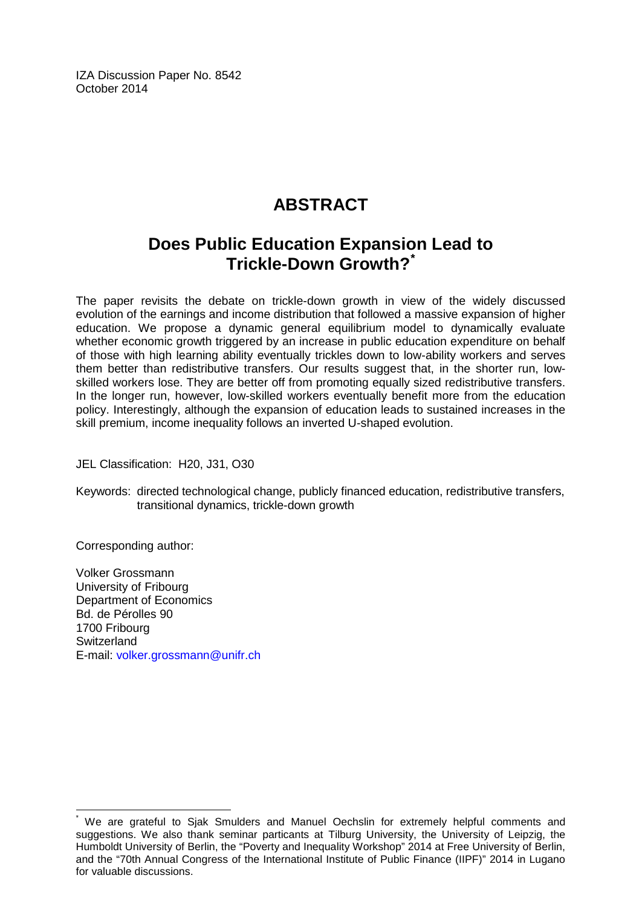IZA Discussion Paper No. 8542 October 2014

# **ABSTRACT**

## **Does Public Education Expansion Lead to Trickle-Down Growth?[\\*](#page-1-0)**

The paper revisits the debate on trickle-down growth in view of the widely discussed evolution of the earnings and income distribution that followed a massive expansion of higher education. We propose a dynamic general equilibrium model to dynamically evaluate whether economic growth triggered by an increase in public education expenditure on behalf of those with high learning ability eventually trickles down to low-ability workers and serves them better than redistributive transfers. Our results suggest that, in the shorter run, lowskilled workers lose. They are better off from promoting equally sized redistributive transfers. In the longer run, however, low-skilled workers eventually benefit more from the education policy. Interestingly, although the expansion of education leads to sustained increases in the skill premium, income inequality follows an inverted U-shaped evolution.

JEL Classification: H20, J31, O30

Keywords: directed technological change, publicly financed education, redistributive transfers, transitional dynamics, trickle-down growth

Corresponding author:

Volker Grossmann University of Fribourg Department of Economics Bd. de Pérolles 90 1700 Fribourg **Switzerland** E-mail: [volker.grossmann@unifr.ch](mailto:volker.grossmann@unifr.ch)

We are grateful to Sjak Smulders and Manuel Oechslin for extremely helpful comments and suggestions. We also thank seminar particants at Tilburg University, the University of Leipzig, the Humboldt University of Berlin, the "Poverty and Inequality Workshop" 2014 at Free University of Berlin, and the "70th Annual Congress of the International Institute of Public Finance (IIPF)" 2014 in Lugano for valuable discussions.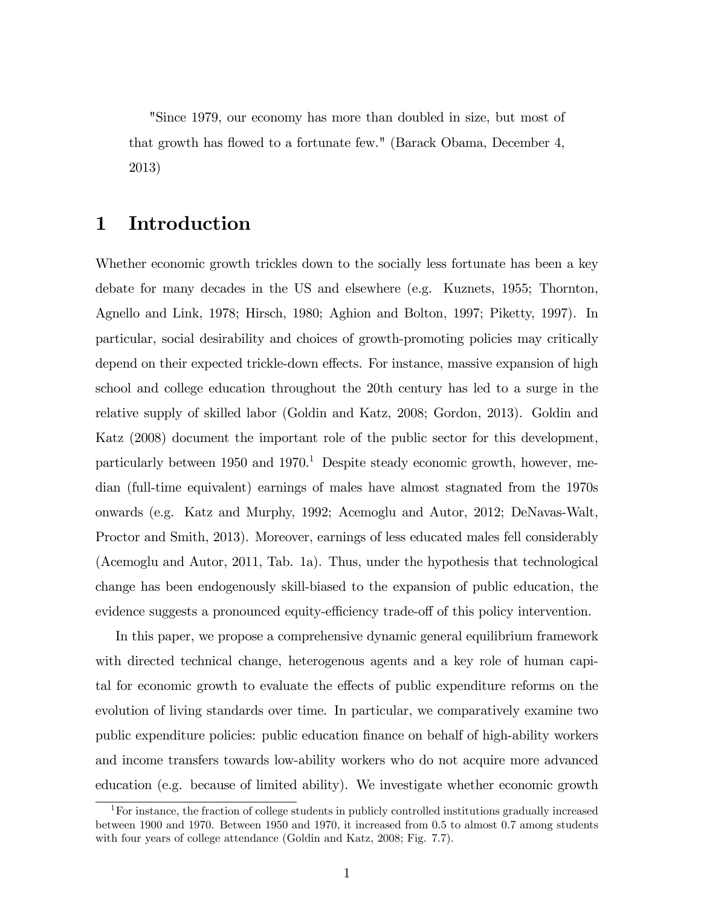"Since 1979, our economy has more than doubled in size, but most of that growth has flowed to a fortunate few." (Barack Obama, December 4, 2013)

### 1 Introduction

Whether economic growth trickles down to the socially less fortunate has been a key debate for many decades in the US and elsewhere (e.g. Kuznets, 1955; Thornton, Agnello and Link, 1978; Hirsch, 1980; Aghion and Bolton, 1997; Piketty, 1997). In particular, social desirability and choices of growth-promoting policies may critically depend on their expected trickle-down effects. For instance, massive expansion of high school and college education throughout the 20th century has led to a surge in the relative supply of skilled labor (Goldin and Katz, 2008; Gordon, 2013). Goldin and Katz (2008) document the important role of the public sector for this development, particularly between  $1950$  and  $1970<sup>1</sup>$  Despite steady economic growth, however, median (full-time equivalent) earnings of males have almost stagnated from the 1970s onwards (e.g. Katz and Murphy, 1992; Acemoglu and Autor, 2012; DeNavas-Walt, Proctor and Smith, 2013). Moreover, earnings of less educated males fell considerably (Acemoglu and Autor, 2011, Tab. 1a). Thus, under the hypothesis that technological change has been endogenously skill-biased to the expansion of public education, the evidence suggests a pronounced equity-efficiency trade-off of this policy intervention.

In this paper, we propose a comprehensive dynamic general equilibrium framework with directed technical change, heterogenous agents and a key role of human capital for economic growth to evaluate the effects of public expenditure reforms on the evolution of living standards over time. In particular, we comparatively examine two public expenditure policies: public education Önance on behalf of high-ability workers and income transfers towards low-ability workers who do not acquire more advanced education (e.g. because of limited ability). We investigate whether economic growth

<sup>1</sup>For instance, the fraction of college students in publicly controlled institutions gradually increased between 1900 and 1970. Between 1950 and 1970, it increased from 0.5 to almost 0.7 among students with four years of college attendance (Goldin and Katz, 2008; Fig. 7.7).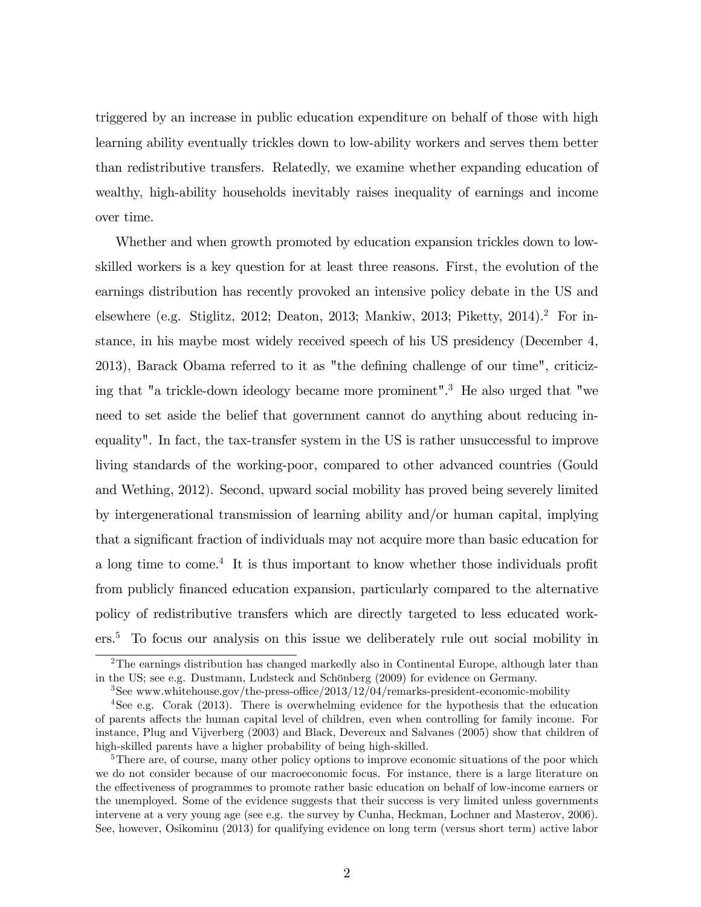triggered by an increase in public education expenditure on behalf of those with high learning ability eventually trickles down to low-ability workers and serves them better than redistributive transfers. Relatedly, we examine whether expanding education of wealthy, high-ability households inevitably raises inequality of earnings and income over time.

Whether and when growth promoted by education expansion trickles down to lowskilled workers is a key question for at least three reasons. First, the evolution of the earnings distribution has recently provoked an intensive policy debate in the US and elsewhere (e.g. Stiglitz, 2012; Deaton, 2013; Mankiw, 2013; Piketty, 2014).<sup>2</sup> For instance, in his maybe most widely received speech of his US presidency (December 4,  $2013$ ), Barack Obama referred to it as "the defining challenge of our time", criticizing that "a trickle-down ideology became more prominent".<sup>3</sup> He also urged that "we need to set aside the belief that government cannot do anything about reducing inequality". In fact, the tax-transfer system in the US is rather unsuccessful to improve living standards of the working-poor, compared to other advanced countries (Gould and Wething, 2012). Second, upward social mobility has proved being severely limited by intergenerational transmission of learning ability and/or human capital, implying that a significant fraction of individuals may not acquire more than basic education for a long time to come.<sup>4</sup> It is thus important to know whether those individuals profit from publicly Önanced education expansion, particularly compared to the alternative policy of redistributive transfers which are directly targeted to less educated workers.<sup>5</sup> To focus our analysis on this issue we deliberately rule out social mobility in

<sup>&</sup>lt;sup>2</sup>The earnings distribution has changed markedly also in Continental Europe, although later than in the US; see e.g. Dustmann, Ludsteck and Schönberg (2009) for evidence on Germany.

 $3$ See www.whitehouse.gov/the-press-office/2013/12/04/remarks-president-economic-mobility

<sup>&</sup>lt;sup>4</sup>See e.g. Corak (2013). There is overwhelming evidence for the hypothesis that the education of parents affects the human capital level of children, even when controlling for family income. For instance, Plug and Vijverberg (2003) and Black, Devereux and Salvanes (2005) show that children of high-skilled parents have a higher probability of being high-skilled.

<sup>&</sup>lt;sup>5</sup>There are, of course, many other policy options to improve economic situations of the poor which we do not consider because of our macroeconomic focus. For instance, there is a large literature on the effectiveness of programmes to promote rather basic education on behalf of low-income earners or the unemployed. Some of the evidence suggests that their success is very limited unless governments intervene at a very young age (see e.g. the survey by Cunha, Heckman, Lochner and Masterov, 2006). See, however, Osikominu (2013) for qualifying evidence on long term (versus short term) active labor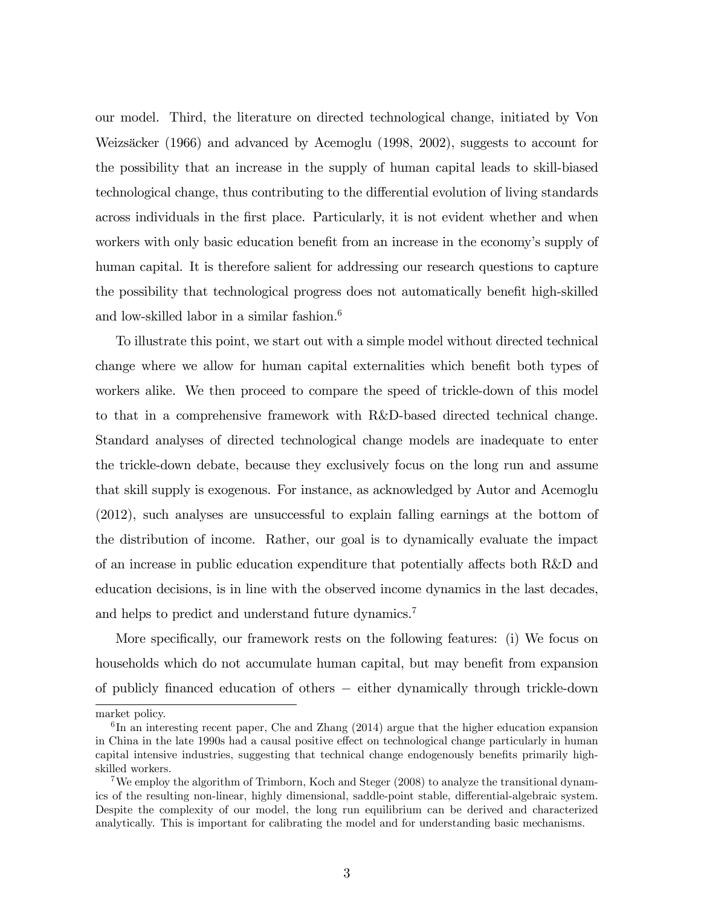our model. Third, the literature on directed technological change, initiated by Von Weizsäcker (1966) and advanced by Acemoglu (1998, 2002), suggests to account for the possibility that an increase in the supply of human capital leads to skill-biased technological change, thus contributing to the differential evolution of living standards across individuals in the first place. Particularly, it is not evident whether and when workers with only basic education benefit from an increase in the economy's supply of human capital. It is therefore salient for addressing our research questions to capture the possibility that technological progress does not automatically benefit high-skilled and low-skilled labor in a similar fashion.<sup>6</sup>

To illustrate this point, we start out with a simple model without directed technical change where we allow for human capital externalities which benefit both types of workers alike. We then proceed to compare the speed of trickle-down of this model to that in a comprehensive framework with R&D-based directed technical change. Standard analyses of directed technological change models are inadequate to enter the trickle-down debate, because they exclusively focus on the long run and assume that skill supply is exogenous. For instance, as acknowledged by Autor and Acemoglu (2012), such analyses are unsuccessful to explain falling earnings at the bottom of the distribution of income. Rather, our goal is to dynamically evaluate the impact of an increase in public education expenditure that potentially affects both R&D and education decisions, is in line with the observed income dynamics in the last decades, and helps to predict and understand future dynamics.<sup>7</sup>

More specifically, our framework rests on the following features: (i) We focus on households which do not accumulate human capital, but may benefit from expansion of publicly financed education of others – either dynamically through trickle-down

market policy.

<sup>&</sup>lt;sup>6</sup>In an interesting recent paper, Che and Zhang (2014) argue that the higher education expansion in China in the late 1990s had a causal positive effect on technological change particularly in human capital intensive industries, suggesting that technical change endogenously benefits primarily highskilled workers.

<sup>&</sup>lt;sup>7</sup>We employ the algorithm of Trimborn, Koch and Steger  $(2008)$  to analyze the transitional dynamics of the resulting non-linear, highly dimensional, saddle-point stable, differential-algebraic system. Despite the complexity of our model, the long run equilibrium can be derived and characterized analytically. This is important for calibrating the model and for understanding basic mechanisms.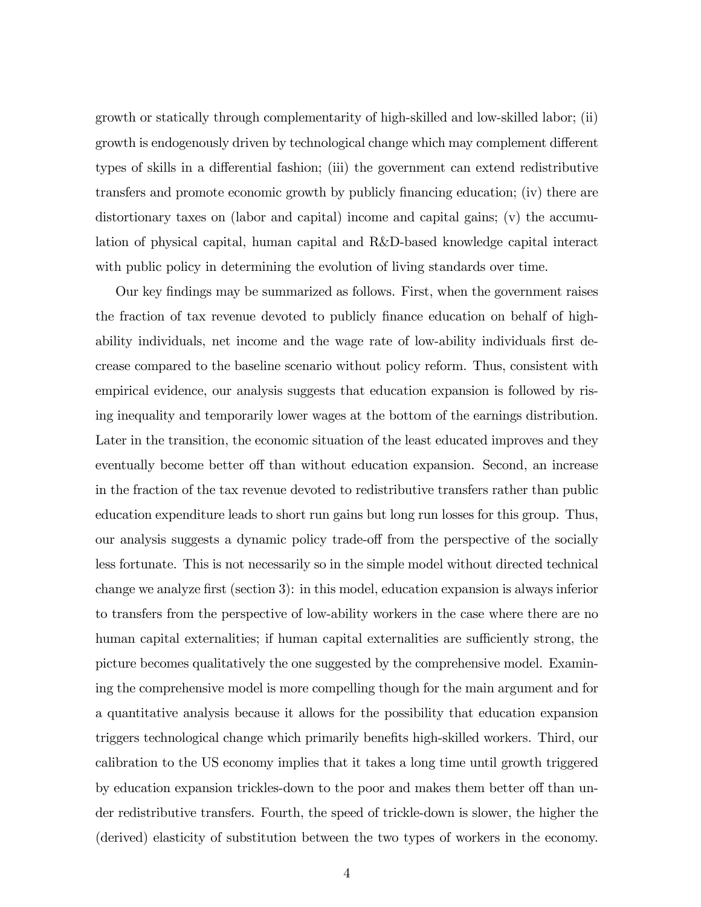growth or statically through complementarity of high-skilled and low-skilled labor; (ii) growth is endogenously driven by technological change which may complement different types of skills in a differential fashion; (iii) the government can extend redistributive transfers and promote economic growth by publicly Önancing education; (iv) there are distortionary taxes on (labor and capital) income and capital gains; (v) the accumulation of physical capital, human capital and R&D-based knowledge capital interact with public policy in determining the evolution of living standards over time.

Our key Öndings may be summarized as follows. First, when the government raises the fraction of tax revenue devoted to publicly finance education on behalf of highability individuals, net income and the wage rate of low-ability individuals first decrease compared to the baseline scenario without policy reform. Thus, consistent with empirical evidence, our analysis suggests that education expansion is followed by rising inequality and temporarily lower wages at the bottom of the earnings distribution. Later in the transition, the economic situation of the least educated improves and they eventually become better of than without education expansion. Second, an increase in the fraction of the tax revenue devoted to redistributive transfers rather than public education expenditure leads to short run gains but long run losses for this group. Thus, our analysis suggests a dynamic policy trade-off from the perspective of the socially less fortunate. This is not necessarily so in the simple model without directed technical change we analyze first (section  $3$ ): in this model, education expansion is always inferior to transfers from the perspective of low-ability workers in the case where there are no human capital externalities; if human capital externalities are sufficiently strong, the picture becomes qualitatively the one suggested by the comprehensive model. Examining the comprehensive model is more compelling though for the main argument and for a quantitative analysis because it allows for the possibility that education expansion triggers technological change which primarily benefits high-skilled workers. Third, our calibration to the US economy implies that it takes a long time until growth triggered by education expansion trickles-down to the poor and makes them better off than under redistributive transfers. Fourth, the speed of trickle-down is slower, the higher the (derived) elasticity of substitution between the two types of workers in the economy.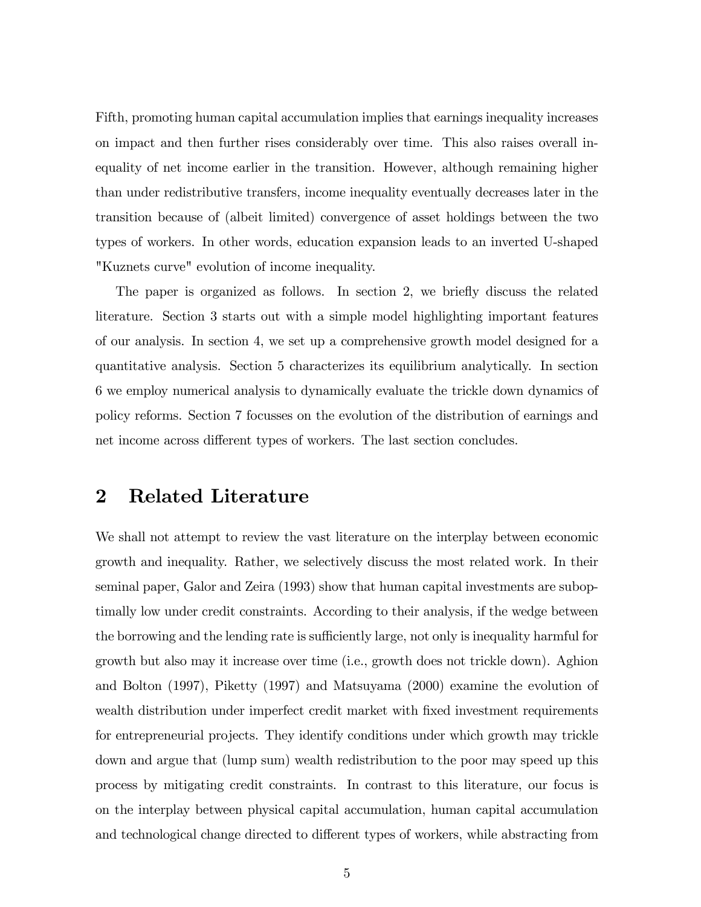Fifth, promoting human capital accumulation implies that earnings inequality increases on impact and then further rises considerably over time. This also raises overall inequality of net income earlier in the transition. However, although remaining higher than under redistributive transfers, income inequality eventually decreases later in the transition because of (albeit limited) convergence of asset holdings between the two types of workers. In other words, education expansion leads to an inverted U-shaped "Kuznets curve" evolution of income inequality.

The paper is organized as follows. In section 2, we briefly discuss the related literature. Section 3 starts out with a simple model highlighting important features of our analysis. In section 4, we set up a comprehensive growth model designed for a quantitative analysis. Section 5 characterizes its equilibrium analytically. In section 6 we employ numerical analysis to dynamically evaluate the trickle down dynamics of policy reforms. Section 7 focusses on the evolution of the distribution of earnings and net income across different types of workers. The last section concludes.

### 2 Related Literature

We shall not attempt to review the vast literature on the interplay between economic growth and inequality. Rather, we selectively discuss the most related work. In their seminal paper, Galor and Zeira (1993) show that human capital investments are suboptimally low under credit constraints. According to their analysis, if the wedge between the borrowing and the lending rate is sufficiently large, not only is inequality harmful for growth but also may it increase over time (i.e., growth does not trickle down). Aghion and Bolton (1997), Piketty (1997) and Matsuyama (2000) examine the evolution of wealth distribution under imperfect credit market with fixed investment requirements for entrepreneurial projects. They identify conditions under which growth may trickle down and argue that (lump sum) wealth redistribution to the poor may speed up this process by mitigating credit constraints. In contrast to this literature, our focus is on the interplay between physical capital accumulation, human capital accumulation and technological change directed to different types of workers, while abstracting from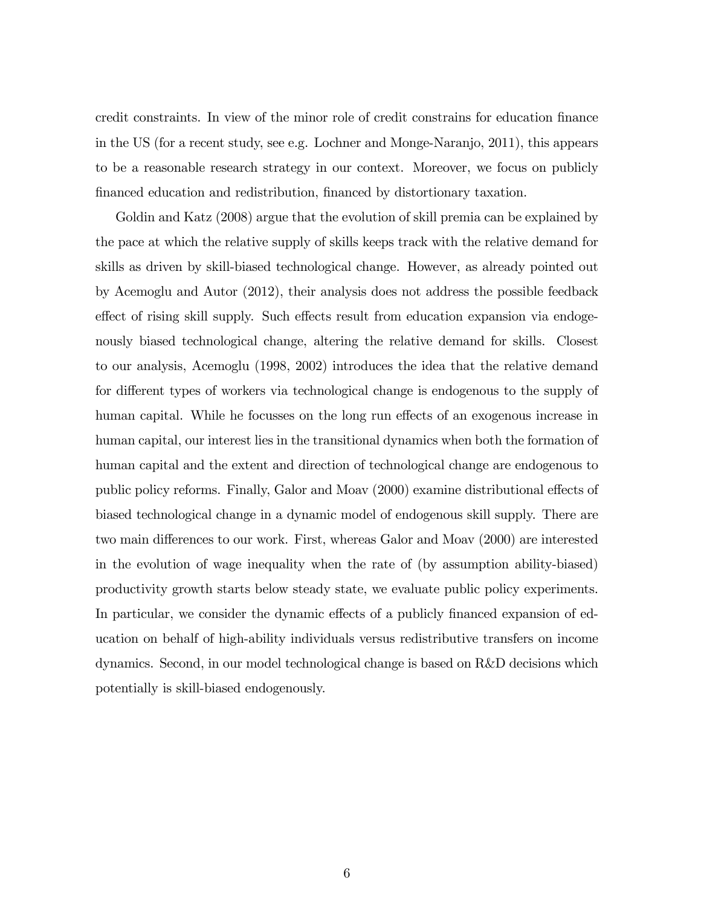credit constraints. In view of the minor role of credit constrains for education Önance in the US (for a recent study, see e.g. Lochner and Monge-Naranjo, 2011), this appears to be a reasonable research strategy in our context. Moreover, we focus on publicly financed education and redistribution, financed by distortionary taxation.

Goldin and Katz (2008) argue that the evolution of skill premia can be explained by the pace at which the relative supply of skills keeps track with the relative demand for skills as driven by skill-biased technological change. However, as already pointed out by Acemoglu and Autor (2012), their analysis does not address the possible feedback effect of rising skill supply. Such effects result from education expansion via endogenously biased technological change, altering the relative demand for skills. Closest to our analysis, Acemoglu (1998, 2002) introduces the idea that the relative demand for different types of workers via technological change is endogenous to the supply of human capital. While he focusses on the long run effects of an exogenous increase in human capital, our interest lies in the transitional dynamics when both the formation of human capital and the extent and direction of technological change are endogenous to public policy reforms. Finally, Galor and Moav (2000) examine distributional effects of biased technological change in a dynamic model of endogenous skill supply. There are two main differences to our work. First, whereas Galor and Moav (2000) are interested in the evolution of wage inequality when the rate of (by assumption ability-biased) productivity growth starts below steady state, we evaluate public policy experiments. In particular, we consider the dynamic effects of a publicly financed expansion of education on behalf of high-ability individuals versus redistributive transfers on income dynamics. Second, in our model technological change is based on R&D decisions which potentially is skill-biased endogenously.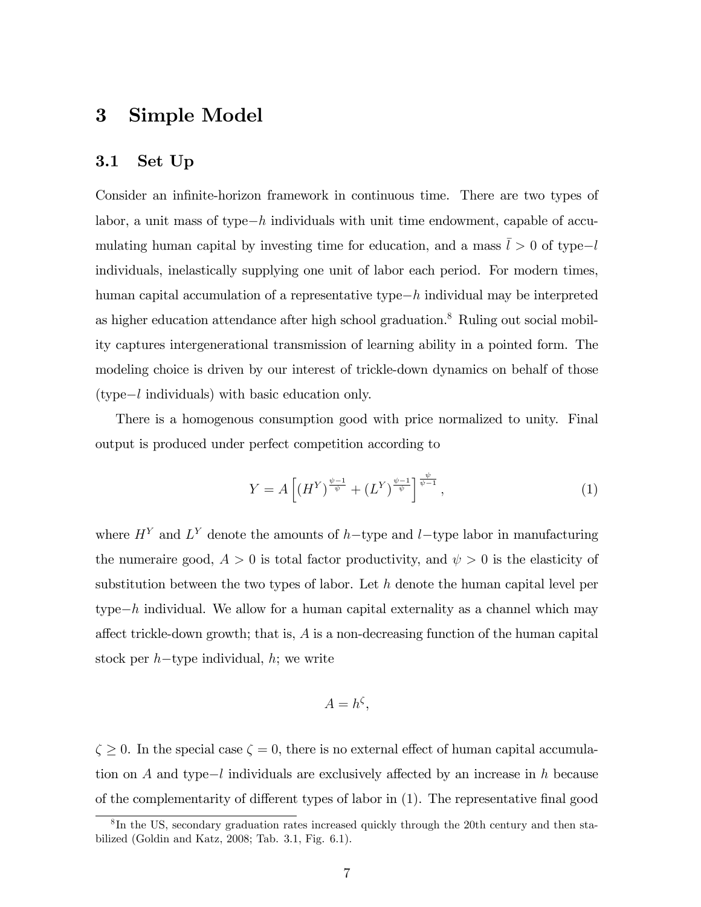#### 3 Simple Model

#### 3.1 Set Up

Consider an infinite-horizon framework in continuous time. There are two types of labor, a unit mass of type- $h$  individuals with unit time endowment, capable of accumulating human capital by investing time for education, and a mass  $\bar{l} > 0$  of type-l individuals, inelastically supplying one unit of labor each period. For modern times, human capital accumulation of a representative type $-h$  individual may be interpreted as higher education attendance after high school graduation.<sup>8</sup> Ruling out social mobility captures intergenerational transmission of learning ability in a pointed form. The modeling choice is driven by our interest of trickle-down dynamics on behalf of those  $(type-l$  individuals) with basic education only.

There is a homogenous consumption good with price normalized to unity. Final output is produced under perfect competition according to

$$
Y = A \left[ \left( H^Y \right)^{\frac{\psi - 1}{\psi}} + \left( L^Y \right)^{\frac{\psi - 1}{\psi}} \right]^{\frac{\psi}{\psi - 1}},\tag{1}
$$

where  $H<sup>Y</sup>$  and  $L<sup>Y</sup>$  denote the amounts of h-type and l-type labor in manufacturing the numeraire good,  $A > 0$  is total factor productivity, and  $\psi > 0$  is the elasticity of substitution between the two types of labor. Let  $h$  denote the human capital level per type $-h$  individual. We allow for a human capital externality as a channel which may affect trickle-down growth; that is,  $A$  is a non-decreasing function of the human capital stock per  $h$ -type individual, h; we write

$$
A=h^{\zeta},
$$

 $\zeta \geq 0$ . In the special case  $\zeta = 0$ , there is no external effect of human capital accumulation on A and type-l individuals are exclusively affected by an increase in h because of the complementarity of different types of labor in  $(1)$ . The representative final good

<sup>&</sup>lt;sup>8</sup>In the US, secondary graduation rates increased quickly through the 20th century and then stabilized (Goldin and Katz, 2008; Tab. 3.1, Fig. 6.1).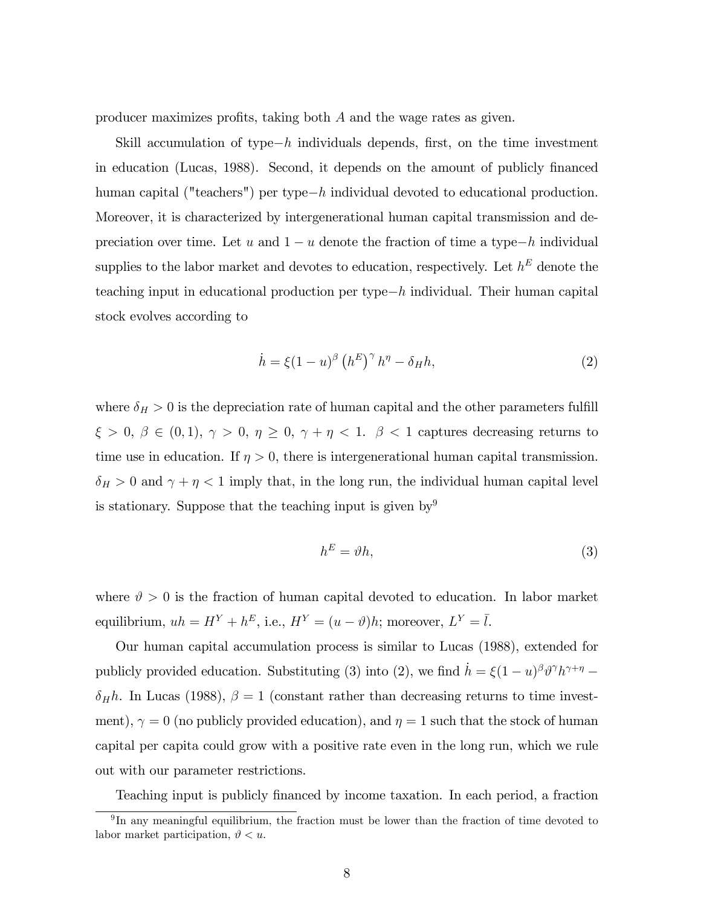producer maximizes profits, taking both  $A$  and the wage rates as given.

Skill accumulation of type-h individuals depends, first, on the time investment in education (Lucas, 1988). Second, it depends on the amount of publicly financed human capital ("teachers") per type $-h$  individual devoted to educational production. Moreover, it is characterized by intergenerational human capital transmission and depreciation over time. Let u and  $1 - u$  denote the fraction of time a type-h individual supplies to the labor market and devotes to education, respectively. Let  $h^E$  denote the teaching input in educational production per type $-h$  individual. Their human capital stock evolves according to

$$
\dot{h} = \xi (1 - u)^{\beta} \left( h^E \right)^{\gamma} h^{\eta} - \delta_H h, \tag{2}
$$

where  $\delta_H > 0$  is the depreciation rate of human capital and the other parameters fulfill  $\xi > 0, \beta \in (0,1), \gamma > 0, \eta \geq 0, \gamma + \eta < 1.$   $\beta < 1$  captures decreasing returns to time use in education. If  $\eta > 0$ , there is intergenerational human capital transmission.  $\delta_H > 0$  and  $\gamma + \eta < 1$  imply that, in the long run, the individual human capital level is stationary. Suppose that the teaching input is given  $bv^9$ 

$$
h^E = \vartheta h,\tag{3}
$$

where  $\vartheta > 0$  is the fraction of human capital devoted to education. In labor market equilibrium,  $uh = H^Y + h^E$ , i.e.,  $H^Y = (u - \vartheta)h$ ; moreover,  $L^Y = \overline{l}$ .

Our human capital accumulation process is similar to Lucas (1988), extended for publicly provided education. Substituting (3) into (2), we find  $\dot{h} = \xi (1 - u)^{\beta} \vartheta^{\gamma} h^{\gamma + \eta} \delta_H h$ . In Lucas (1988),  $\beta = 1$  (constant rather than decreasing returns to time investment),  $\gamma = 0$  (no publicly provided education), and  $\eta = 1$  such that the stock of human capital per capita could grow with a positive rate even in the long run, which we rule out with our parameter restrictions.

Teaching input is publicly Önanced by income taxation. In each period, a fraction

<sup>&</sup>lt;sup>9</sup>In any meaningful equilibrium, the fraction must be lower than the fraction of time devoted to labor market participation,  $\vartheta < u$ .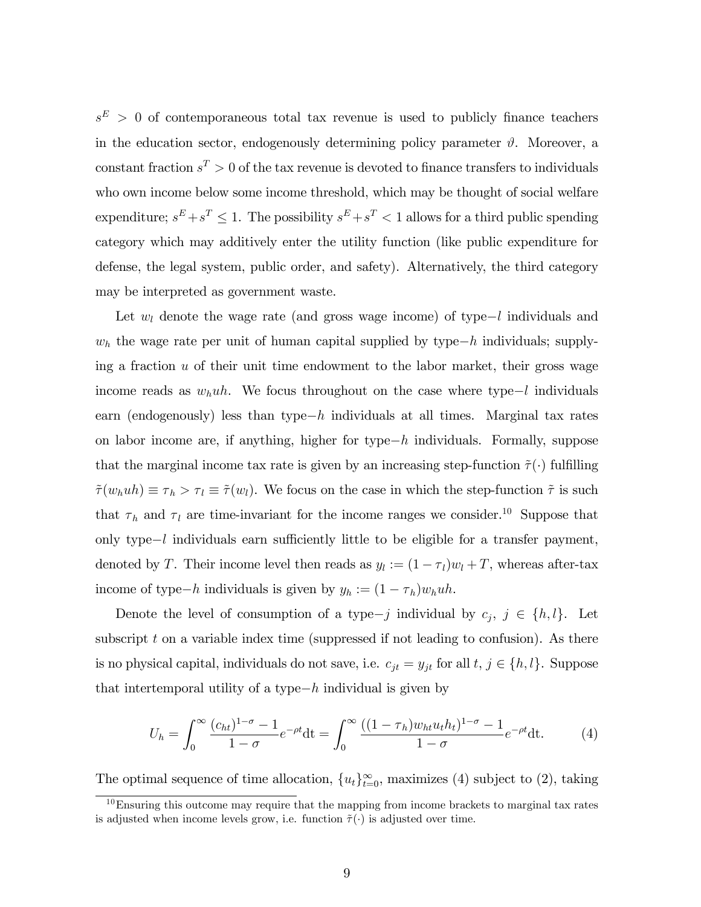$s<sup>E</sup> > 0$  of contemporaneous total tax revenue is used to publicly finance teachers in the education sector, endogenously determining policy parameter  $\vartheta$ . Moreover, a constant fraction  $s^T > 0$  of the tax revenue is devoted to finance transfers to individuals who own income below some income threshold, which may be thought of social welfare expenditure;  $s^E + s^T \leq 1$ . The possibility  $s^E + s^T < 1$  allows for a third public spending category which may additively enter the utility function (like public expenditure for defense, the legal system, public order, and safety). Alternatively, the third category may be interpreted as government waste.

Let  $w_l$  denote the wage rate (and gross wage income) of type-l individuals and  $w<sub>h</sub>$  the wage rate per unit of human capital supplied by type- $h$  individuals; supplying a fraction  $u$  of their unit time endowment to the labor market, their gross wage income reads as  $w_huh$ . We focus throughout on the case where type-l individuals earn (endogenously) less than type - h individuals at all times. Marginal tax rates on labor income are, if anything, higher for type- $h$  individuals. Formally, suppose that the marginal income tax rate is given by an increasing step-function  $\tilde{\tau}(\cdot)$  fulfilling  $\tilde{\tau}(w_huh) \equiv \tau_h > \tau_l \equiv \tilde{\tau}(w_l)$ . We focus on the case in which the step-function  $\tilde{\tau}$  is such that  $\tau_h$  and  $\tau_l$  are time-invariant for the income ranges we consider.<sup>10</sup> Suppose that only type $-l$  individuals earn sufficiently little to be eligible for a transfer payment, denoted by T. Their income level then reads as  $y_l := (1 - \tau_l)w_l + T$ , whereas after-tax income of type-h individuals is given by  $y_h := (1 - \tau_h)w_huh$ .

Denote the level of consumption of a type-j individual by  $c_j$ ,  $j \in \{h, l\}$ . Let subscript  $t$  on a variable index time (suppressed if not leading to confusion). As there is no physical capital, individuals do not save, i.e.  $c_{jt} = y_{jt}$  for all  $t, j \in \{h, l\}$ . Suppose that intertemporal utility of a type $-h$  individual is given by

$$
U_h = \int_0^\infty \frac{(c_{ht})^{1-\sigma} - 1}{1-\sigma} e^{-\rho t} dt = \int_0^\infty \frac{((1-\tau_h)w_{ht}u_t h_t)^{1-\sigma} - 1}{1-\sigma} e^{-\rho t} dt.
$$
 (4)

The optimal sequence of time allocation,  ${u_t}_{t=0}^{\infty}$ , maximizes (4) subject to (2), taking

 $10$ Ensuring this outcome may require that the mapping from income brackets to marginal tax rates is adjusted when income levels grow, i.e. function  $\tilde{\tau}(\cdot)$  is adjusted over time.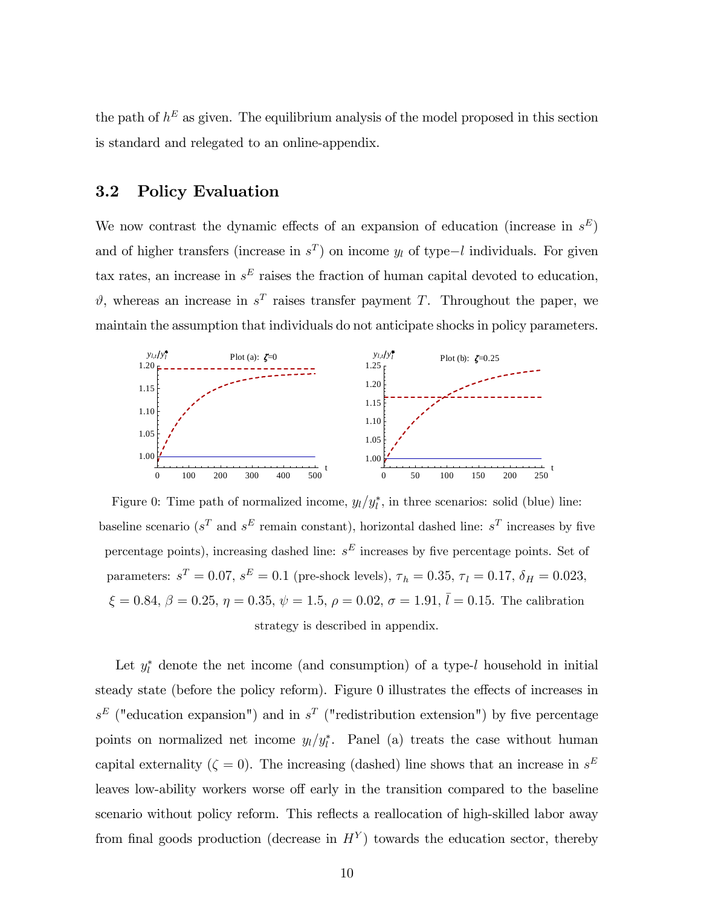the path of  $h^E$  as given. The equilibrium analysis of the model proposed in this section is standard and relegated to an online-appendix.

#### 3.2 Policy Evaluation

We now contrast the dynamic effects of an expansion of education (increase in  $s^E$ ) and of higher transfers (increase in  $s^T$ ) on income  $y_l$  of type-l individuals. For given tax rates, an increase in  $s<sup>E</sup>$  raises the fraction of human capital devoted to education,  $\vartheta$ , whereas an increase in  $s^T$  raises transfer payment T. Throughout the paper, we maintain the assumption that individuals do not anticipate shocks in policy parameters.



Figure 0: Time path of normalized income,  $y_l/y_l^*$ , in three scenarios: solid (blue) line: baseline scenario ( $s^T$  and  $s^E$  remain constant), horizontal dashed line:  $s^T$  increases by five percentage points), increasing dashed line:  $s<sup>E</sup>$  increases by five percentage points. Set of parameters:  $s^T = 0.07$ ,  $s^E = 0.1$  (pre-shock levels),  $\tau_h = 0.35$ ,  $\tau_l = 0.17$ ,  $\delta_H = 0.023$ ,  $\xi = 0.84, \beta = 0.25, \eta = 0.35, \psi = 1.5, \rho = 0.02, \sigma = 1.91, \bar{l} = 0.15$ . The calibration strategy is described in appendix.

Let  $y_l^*$  denote the net income (and consumption) of a type-l household in initial steady state (before the policy reform). Figure  $0$  illustrates the effects of increases in  $s<sup>E</sup>$  ("education expansion") and in  $s<sup>T</sup>$  ("redistribution extension") by five percentage points on normalized net income  $y_l/y_l^*$ . Panel (a) treats the case without human capital externality ( $\zeta = 0$ ). The increasing (dashed) line shows that an increase in  $s<sup>E</sup>$ leaves low-ability workers worse off early in the transition compared to the baseline scenario without policy reform. This reflects a reallocation of high-skilled labor away from final goods production (decrease in  $H<sup>Y</sup>$ ) towards the education sector, thereby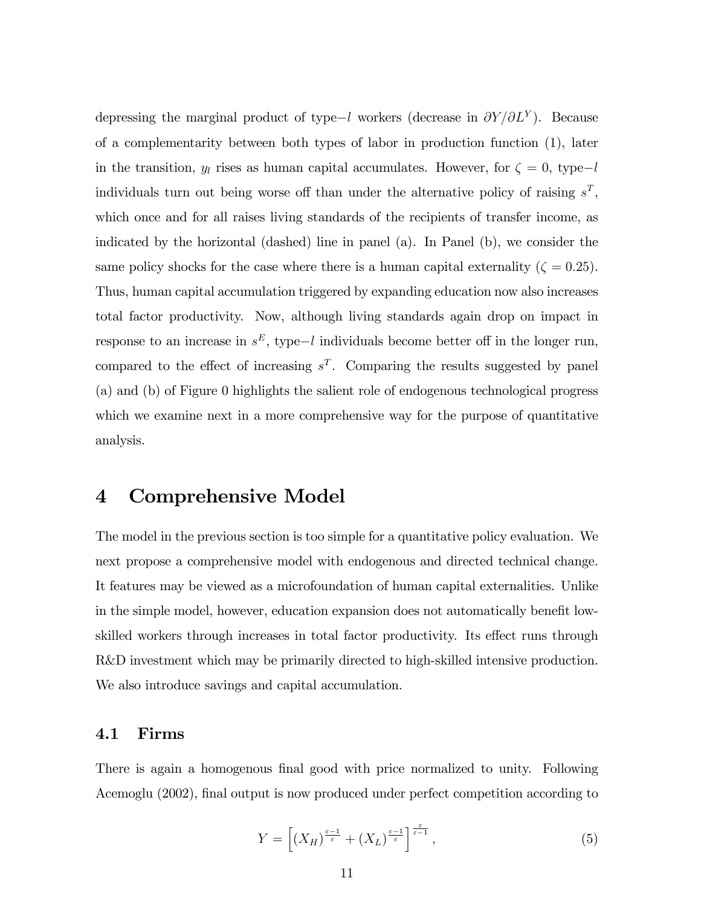depressing the marginal product of type-l workers (decrease in  $\partial Y/\partial L^Y$ ). Because of a complementarity between both types of labor in production function (1), later in the transition,  $y_l$  rises as human capital accumulates. However, for  $\zeta = 0$ , type-l individuals turn out being worse off than under the alternative policy of raising  $s^T$ , which once and for all raises living standards of the recipients of transfer income, as indicated by the horizontal (dashed) line in panel (a). In Panel (b), we consider the same policy shocks for the case where there is a human capital externality ( $\zeta = 0.25$ ). Thus, human capital accumulation triggered by expanding education now also increases total factor productivity. Now, although living standards again drop on impact in response to an increase in  $s^E$ , type-l individuals become better off in the longer run, compared to the effect of increasing  $s^T$ . Comparing the results suggested by panel (a) and (b) of Figure 0 highlights the salient role of endogenous technological progress which we examine next in a more comprehensive way for the purpose of quantitative analysis.

### 4 Comprehensive Model

The model in the previous section is too simple for a quantitative policy evaluation. We next propose a comprehensive model with endogenous and directed technical change. It features may be viewed as a microfoundation of human capital externalities. Unlike in the simple model, however, education expansion does not automatically benefit lowskilled workers through increases in total factor productivity. Its effect runs through R&D investment which may be primarily directed to high-skilled intensive production. We also introduce savings and capital accumulation.

#### 4.1 Firms

There is again a homogenous final good with price normalized to unity. Following Acemoglu (2002), final output is now produced under perfect competition according to

$$
Y = \left[ \left( X_H \right)^{\frac{\varepsilon - 1}{\varepsilon}} + \left( X_L \right)^{\frac{\varepsilon - 1}{\varepsilon}} \right]^{\frac{\varepsilon}{\varepsilon - 1}},\tag{5}
$$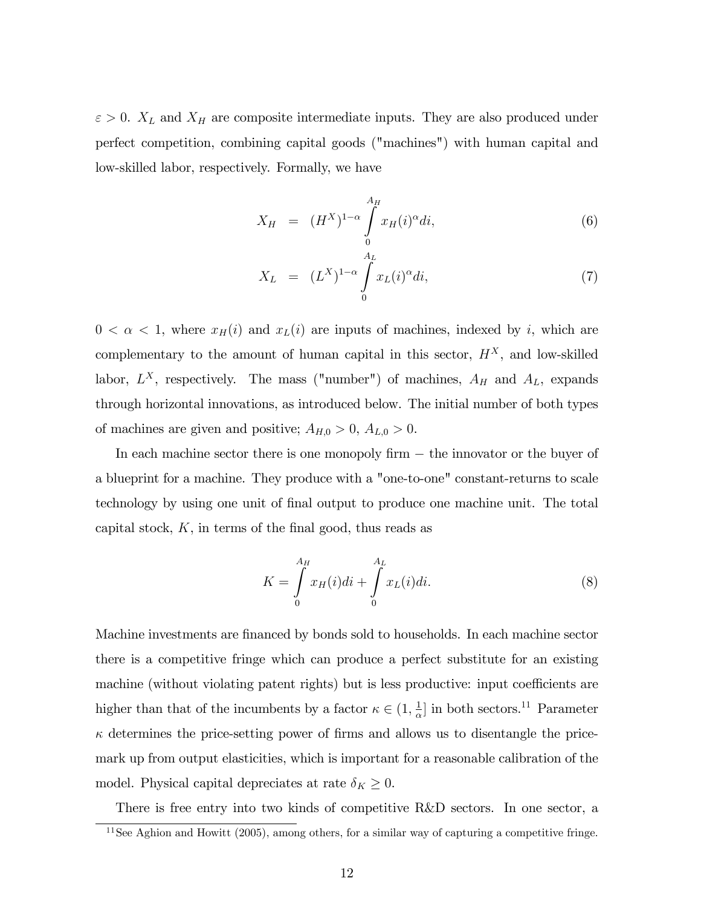$\varepsilon > 0$ .  $X_L$  and  $X_H$  are composite intermediate inputs. They are also produced under perfect competition, combining capital goods ("machines") with human capital and low-skilled labor, respectively. Formally, we have

$$
X_H = (H^X)^{1-\alpha} \int_{0}^{A_H} x_H(i)^{\alpha} di,
$$
\n(6)

$$
X_L = (L^X)^{1-\alpha} \int_0^{A_L} x_L(i)^{\alpha} di,
$$
\n
$$
(7)
$$

 $0 < \alpha < 1$ , where  $x_H(i)$  and  $x_L(i)$  are inputs of machines, indexed by i, which are complementary to the amount of human capital in this sector,  $H^X$ , and low-skilled labor,  $L^X$ , respectively. The mass ("number") of machines,  $A_H$  and  $A_L$ , expands through horizontal innovations, as introduced below. The initial number of both types of machines are given and positive;  $A_{H,0} > 0$ ,  $A_{L,0} > 0$ .

In each machine sector there is one monopoly  $firm - the$  innovator or the buyer of a blueprint for a machine. They produce with a "one-to-one" constant-returns to scale technology by using one unit of Önal output to produce one machine unit. The total capital stock,  $K$ , in terms of the final good, thus reads as

$$
K = \int_{0}^{A_{H}} x_{H}(i)di + \int_{0}^{A_{L}} x_{L}(i)di.
$$
 (8)

Machine investments are financed by bonds sold to households. In each machine sector there is a competitive fringe which can produce a perfect substitute for an existing machine (without violating patent rights) but is less productive: input coefficients are higher than that of the incumbents by a factor  $\kappa \in (1, \frac{1}{\alpha})$  $\frac{1}{\alpha}$ ] in both sectors.<sup>11</sup> Parameter  $\kappa$  determines the price-setting power of firms and allows us to disentangle the pricemark up from output elasticities, which is important for a reasonable calibration of the model. Physical capital depreciates at rate  $\delta_K \geq 0$ .

There is free entry into two kinds of competitive R&D sectors. In one sector, a

<sup>&</sup>lt;sup>11</sup> See Aghion and Howitt (2005), among others, for a similar way of capturing a competitive fringe.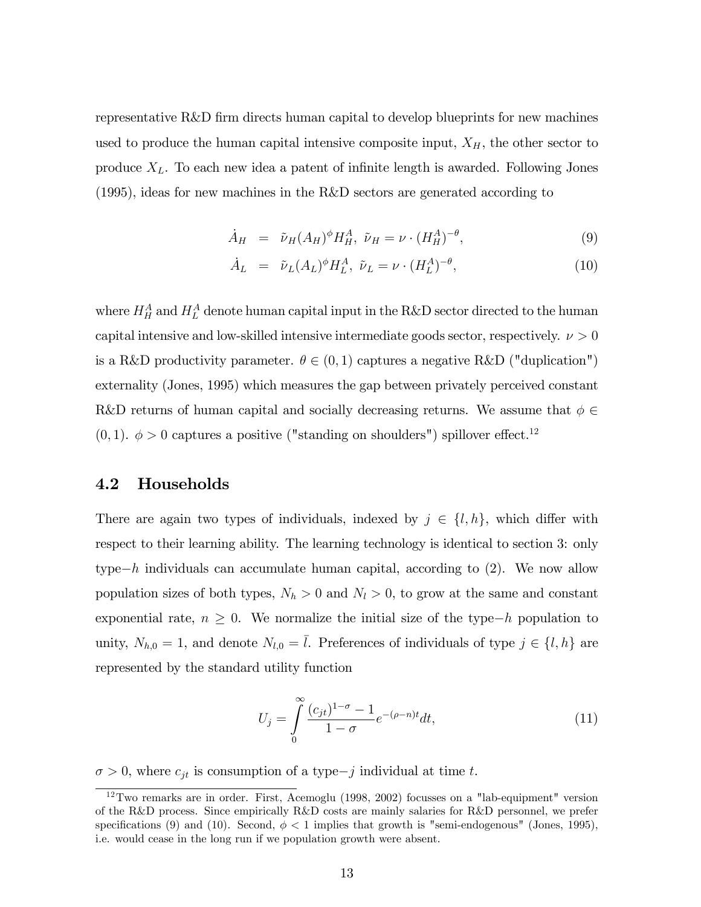representative R&D firm directs human capital to develop blueprints for new machines used to produce the human capital intensive composite input,  $X_H$ , the other sector to produce  $X_L$ . To each new idea a patent of infinite length is awarded. Following Jones (1995), ideas for new machines in the R&D sectors are generated according to

$$
\dot{A}_H = \tilde{\nu}_H (A_H)^{\phi} H_H^A, \ \tilde{\nu}_H = \nu \cdot (H_H^A)^{-\theta}, \tag{9}
$$

$$
\dot{A}_L = \tilde{\nu}_L (A_L)^{\phi} H_L^A, \ \tilde{\nu}_L = \nu \cdot (H_L^A)^{-\theta}, \tag{10}
$$

where  $H_H^A$  and  $H_L^A$  denote human capital input in the R&D sector directed to the human capital intensive and low-skilled intensive intermediate goods sector, respectively.  $\nu > 0$ is a R&D productivity parameter.  $\theta \in (0, 1)$  captures a negative R&D ("duplication") externality (Jones, 1995) which measures the gap between privately perceived constant R&D returns of human capital and socially decreasing returns. We assume that  $\phi \in$  $(0, 1)$ .  $\phi > 0$  captures a positive ("standing on shoulders") spillover effect.<sup>12</sup>

#### 4.2 Households

There are again two types of individuals, indexed by  $j \in \{l, h\}$ , which differ with respect to their learning ability. The learning technology is identical to section 3: only type-h individuals can accumulate human capital, according to  $(2)$ . We now allow population sizes of both types,  $N_h > 0$  and  $N_l > 0$ , to grow at the same and constant exponential rate,  $n \geq 0$ . We normalize the initial size of the type-h population to unity,  $N_{h,0} = 1$ , and denote  $N_{l,0} = \overline{l}$ . Preferences of individuals of type  $j \in \{l, h\}$  are represented by the standard utility function

$$
U_j = \int_{0}^{\infty} \frac{(c_{jt})^{1-\sigma} - 1}{1 - \sigma} e^{-(\rho - n)t} dt,
$$
\n(11)

 $\sigma > 0$ , where  $c_{jt}$  is consumption of a type-j individual at time t.

 $12$ Two remarks are in order. First, Acemoglu (1998, 2002) focusses on a "lab-equipment" version of the R&D process. Since empirically R&D costs are mainly salaries for R&D personnel, we prefer specifications (9) and (10). Second,  $\phi < 1$  implies that growth is "semi-endogenous" (Jones, 1995), i.e. would cease in the long run if we population growth were absent.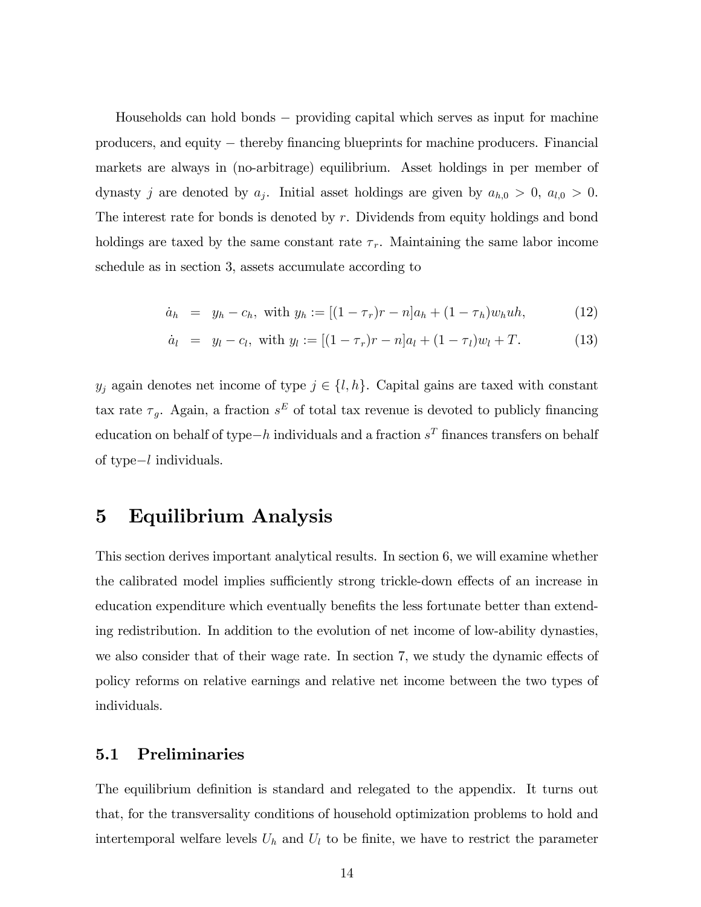Households can hold bonds  $-$  providing capital which serves as input for machine producers, and equity  $-$  thereby financing blueprints for machine producers. Financial markets are always in (no-arbitrage) equilibrium. Asset holdings in per member of dynasty j are denoted by  $a_j$ . Initial asset holdings are given by  $a_{h,0} > 0$ ,  $a_{l,0} > 0$ . The interest rate for bonds is denoted by r. Dividends from equity holdings and bond holdings are taxed by the same constant rate  $\tau_r$ . Maintaining the same labor income schedule as in section 3, assets accumulate according to

$$
\dot{a}_h = y_h - c_h, \text{ with } y_h := [(1 - \tau_r)r - n]a_h + (1 - \tau_h)w_huh, \tag{12}
$$

$$
\dot{a}_l = y_l - c_l, \text{ with } y_l := [(1 - \tau_r)r - n]a_l + (1 - \tau_l)w_l + T. \tag{13}
$$

 $y_j$  again denotes net income of type  $j \in \{l, h\}$ . Capital gains are taxed with constant tax rate  $\tau_g$ . Again, a fraction  $s^E$  of total tax revenue is devoted to publicly financing education on behalf of type $-h$  individuals and a fraction  $s<sup>T</sup>$  finances transfers on behalf of type $-l$  individuals.

### 5 Equilibrium Analysis

This section derives important analytical results. In section 6, we will examine whether the calibrated model implies sufficiently strong trickle-down effects of an increase in education expenditure which eventually benefits the less fortunate better than extending redistribution. In addition to the evolution of net income of low-ability dynasties, we also consider that of their wage rate. In section 7, we study the dynamic effects of policy reforms on relative earnings and relative net income between the two types of individuals.

#### 5.1 Preliminaries

The equilibrium definition is standard and relegated to the appendix. It turns out that, for the transversality conditions of household optimization problems to hold and intertemporal welfare levels  $U_h$  and  $U_l$  to be finite, we have to restrict the parameter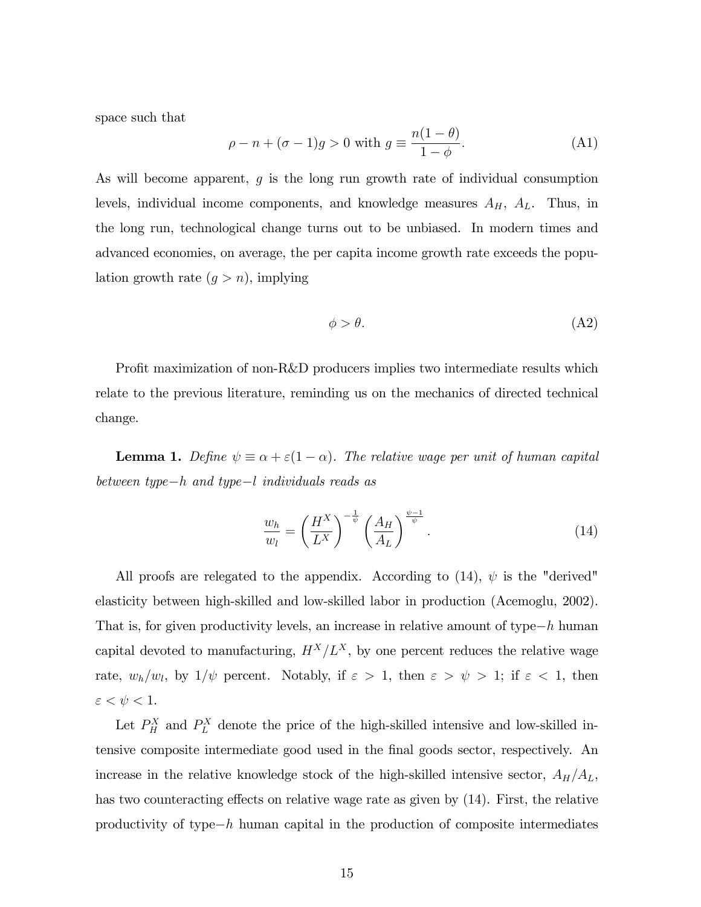space such that

$$
\rho - n + (\sigma - 1)g > 0 \text{ with } g \equiv \frac{n(1 - \theta)}{1 - \phi}.
$$
 (A1)

As will become apparent, g is the long run growth rate of individual consumption levels, individual income components, and knowledge measures  $A_H$ ,  $A_L$ . Thus, in the long run, technological change turns out to be unbiased. In modern times and advanced economies, on average, the per capita income growth rate exceeds the population growth rate  $(g > n)$ , implying

$$
\phi > \theta. \tag{A2}
$$

Profit maximization of non-R&D producers implies two intermediate results which relate to the previous literature, reminding us on the mechanics of directed technical change.

**Lemma 1.** Define  $\psi \equiv \alpha + \varepsilon(1 - \alpha)$ . The relative wage per unit of human capital between type $-h$  and type $-l$  individuals reads as

$$
\frac{w_h}{w_l} = \left(\frac{H^X}{L^X}\right)^{-\frac{1}{\psi}} \left(\frac{A_H}{A_L}\right)^{\frac{\psi-1}{\psi}}.\tag{14}
$$

All proofs are relegated to the appendix. According to (14),  $\psi$  is the "derived" elasticity between high-skilled and low-skilled labor in production (Acemoglu, 2002). That is, for given productivity levels, an increase in relative amount of type  $-h$  human capital devoted to manufacturing,  $H^X/L^X$ , by one percent reduces the relative wage rate,  $w_h/w_l$ , by  $1/\psi$  percent. Notably, if  $\varepsilon > 1$ , then  $\varepsilon > \psi > 1$ ; if  $\varepsilon < 1$ , then  $\varepsilon < \psi < 1.$ 

Let  $P_H^X$  and  $P_L^X$  denote the price of the high-skilled intensive and low-skilled intensive composite intermediate good used in the Önal goods sector, respectively. An increase in the relative knowledge stock of the high-skilled intensive sector,  $A_H/A_L$ , has two counteracting effects on relative wage rate as given by  $(14)$ . First, the relative productivity of type- $h$  human capital in the production of composite intermediates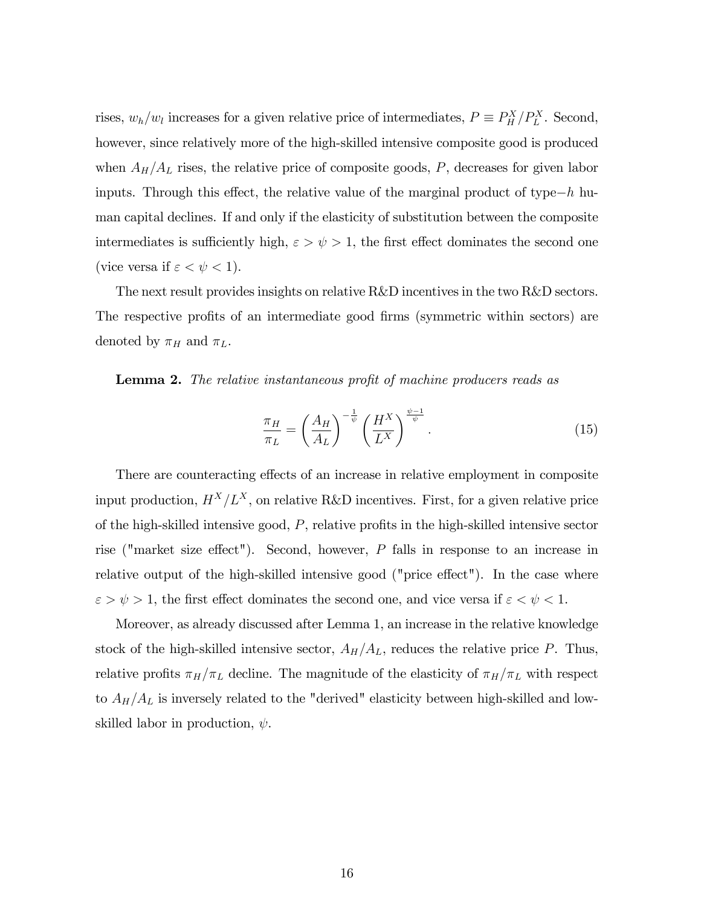rises,  $w_h/w_l$  increases for a given relative price of intermediates,  $P \equiv P_H^X/P_L^X$ . Second, however, since relatively more of the high-skilled intensive composite good is produced when  $A_H/A_L$  rises, the relative price of composite goods, P, decreases for given labor inputs. Through this effect, the relative value of the marginal product of type- $h$  human capital declines. If and only if the elasticity of substitution between the composite intermediates is sufficiently high,  $\varepsilon > \psi > 1$ , the first effect dominates the second one (vice versa if  $\varepsilon < \psi < 1$ ).

The next result provides insights on relative R&D incentives in the two R&D sectors. The respective profits of an intermediate good firms (symmetric within sectors) are denoted by  $\pi_H$  and  $\pi_L$ .

**Lemma 2.** The relative instantaneous profit of machine producers reads as

$$
\frac{\pi_H}{\pi_L} = \left(\frac{A_H}{A_L}\right)^{-\frac{1}{\psi}} \left(\frac{H^X}{L^X}\right)^{\frac{\psi-1}{\psi}}.\tag{15}
$$

There are counteracting effects of an increase in relative employment in composite input production,  $H^X/L^X$ , on relative R&D incentives. First, for a given relative price of the high-skilled intensive good,  $P$ , relative profits in the high-skilled intensive sector rise ("market size effect"). Second, however,  $P$  falls in response to an increase in relative output of the high-skilled intensive good ("price effect"). In the case where  $\varepsilon > \psi > 1,$  the first effect dominates the second one, and vice versa if  $\varepsilon < \psi < 1.$ 

Moreover, as already discussed after Lemma 1, an increase in the relative knowledge stock of the high-skilled intensive sector,  $A_H/A_L$ , reduces the relative price P. Thus, relative profits  $\pi_H/\pi_L$  decline. The magnitude of the elasticity of  $\pi_H/\pi_L$  with respect to  $A_H/A_L$  is inversely related to the "derived" elasticity between high-skilled and lowskilled labor in production,  $\psi$ .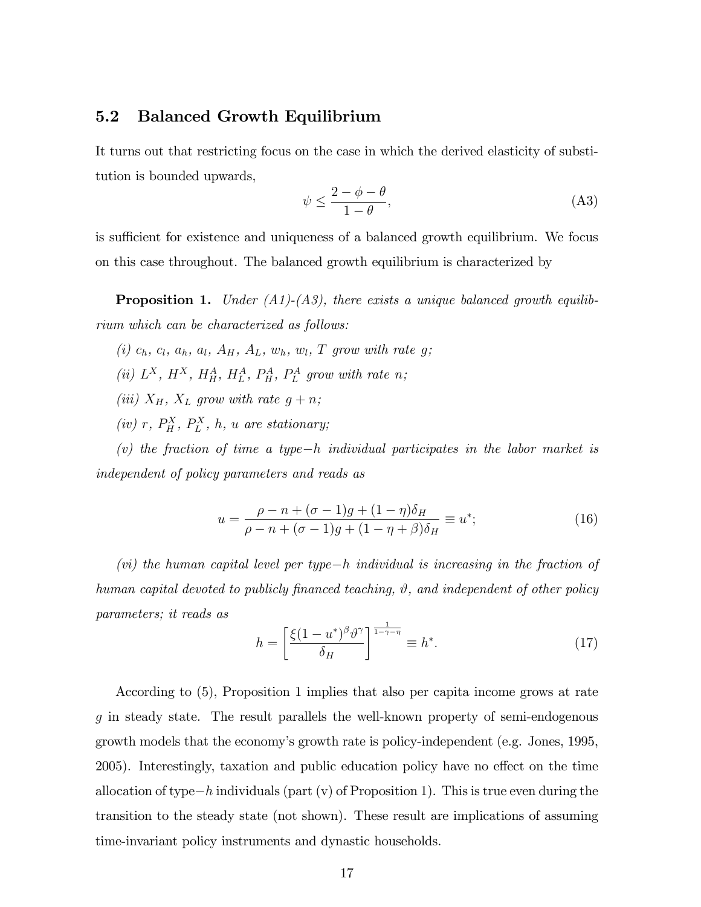#### 5.2 Balanced Growth Equilibrium

It turns out that restricting focus on the case in which the derived elasticity of substitution is bounded upwards,

$$
\psi \le \frac{2 - \phi - \theta}{1 - \theta},\tag{A3}
$$

is sufficient for existence and uniqueness of a balanced growth equilibrium. We focus on this case throughout. The balanced growth equilibrium is characterized by

**Proposition 1.** Under  $(A1)$ - $(A3)$ , there exists a unique balanced growth equilibrium which can be characterized as follows:

- (i)  $c_h$ ,  $c_l$ ,  $a_h$ ,  $a_l$ ,  $A_H$ ,  $A_L$ ,  $w_h$ ,  $w_l$ ,  $T$  grow with rate  $g$ ;
- (ii)  $L^X$ ,  $H^X$ ,  $H^A$ ,  $H^A$ ,  $P^A$ ,  $P^A$  grow with rate n;
- (iii)  $X_H$ ,  $X_L$  grow with rate  $g + n$ ;
- (iv)  $r$ ,  $P_H^X$ ,  $P_L^X$ ,  $h$ ,  $u$  are stationary;

(v) the fraction of time a type-h individual participates in the labor market is independent of policy parameters and reads as

$$
u = \frac{\rho - n + (\sigma - 1)g + (1 - \eta)\delta_H}{\rho - n + (\sigma - 1)g + (1 - \eta + \beta)\delta_H} \equiv u^*;
$$
 (16)

(vi) the human capital level per type-h individual is increasing in the fraction of human capital devoted to publicly financed teaching,  $\vartheta$ , and independent of other policy parameters; it reads as

$$
h = \left[\frac{\xi(1 - u^*)^{\beta}\vartheta^{\gamma}}{\delta_H}\right]^{\frac{1}{1 - \gamma - \eta}} \equiv h^*.
$$
 (17)

According to (5), Proposition 1 implies that also per capita income grows at rate g in steady state. The result parallels the well-known property of semi-endogenous growth models that the economyís growth rate is policy-independent (e.g. Jones, 1995, 2005). Interestingly, taxation and public education policy have no effect on the time allocation of type $-h$  individuals (part (v) of Proposition 1). This is true even during the transition to the steady state (not shown). These result are implications of assuming time-invariant policy instruments and dynastic households.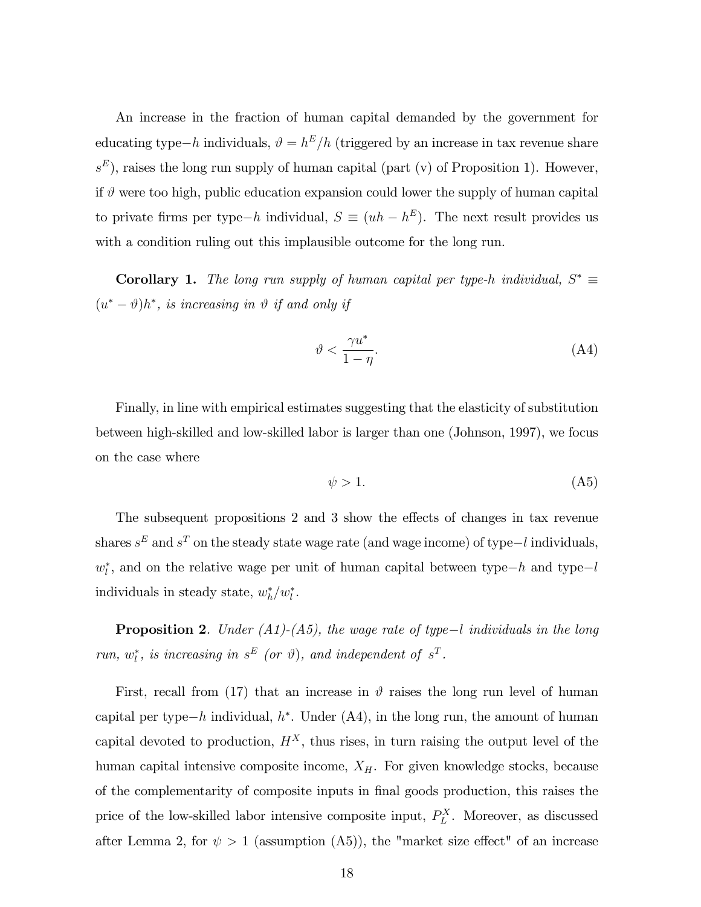An increase in the fraction of human capital demanded by the government for educating type-h individuals,  $\vartheta = h^E/h$  (triggered by an increase in tax revenue share  $s<sup>E</sup>$ ), raises the long run supply of human capital (part (v) of Proposition 1). However, if  $\vartheta$  were too high, public education expansion could lower the supply of human capital to private firms per type-h individual,  $S \equiv (uh - h^E)$ . The next result provides us with a condition ruling out this implausible outcome for the long run.

**Corollary 1.** The long run supply of human capital per type-h individual,  $S^* \equiv$  $(u^* - \vartheta)h^*$ , is increasing in  $\vartheta$  if and only if

$$
\vartheta < \frac{\gamma u^*}{1 - \eta}.\tag{A4}
$$

Finally, in line with empirical estimates suggesting that the elasticity of substitution between high-skilled and low-skilled labor is larger than one (Johnson, 1997), we focus on the case where

$$
\psi > 1. \tag{A5}
$$

The subsequent propositions 2 and 3 show the effects of changes in tax revenue shares  $s^E$  and  $s^T$  on the steady state wage rate (and wage income) of type-l individuals,  $w_l^*$ , and on the relative wage per unit of human capital between type- $h$  and type- $l$ individuals in steady state,  $w_h^*/w_l^*$ .

**Proposition 2.** Under (A1)-(A5), the wage rate of type-l individuals in the long run,  $w_l^*$ , is increasing in  $s^E$  (or  $\vartheta$ ), and independent of  $s^T$ .

First, recall from (17) that an increase in  $\vartheta$  raises the long run level of human capital per type-h individual,  $h^*$ . Under  $(A4)$ , in the long run, the amount of human capital devoted to production,  $H^X$ , thus rises, in turn raising the output level of the human capital intensive composite income,  $X_H$ . For given knowledge stocks, because of the complementarity of composite inputs in Önal goods production, this raises the price of the low-skilled labor intensive composite input,  $P_L^X$ . Moreover, as discussed after Lemma 2, for  $\psi > 1$  (assumption (A5)), the "market size effect" of an increase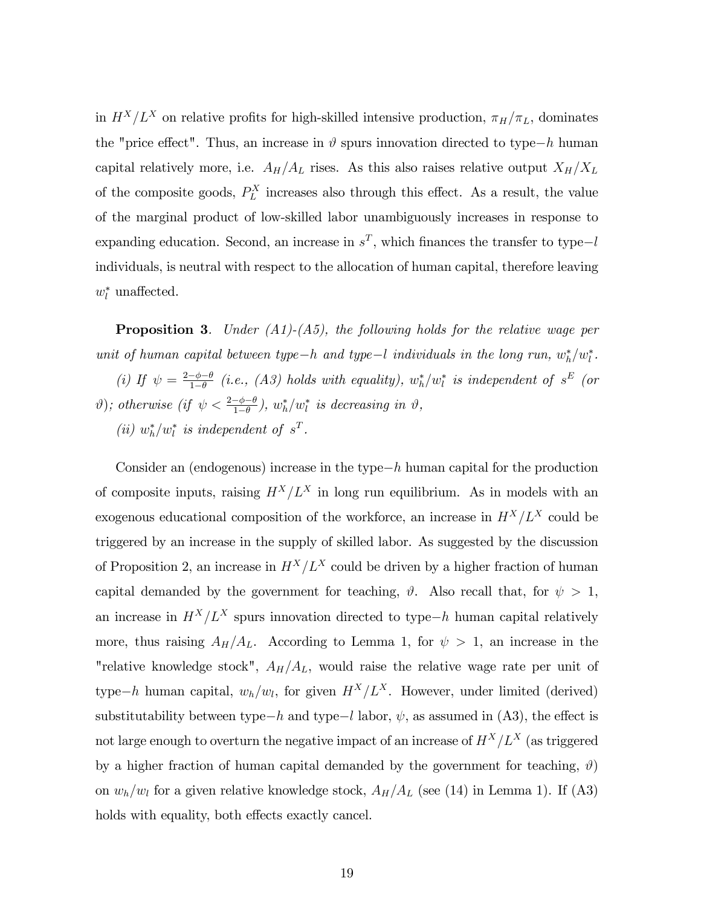in  $H^X/L^X$  on relative profits for high-skilled intensive production,  $\pi_H/\pi_L$ , dominates the "price effect". Thus, an increase in  $\vartheta$  spurs innovation directed to type-h human capital relatively more, i.e.  $A_H/A_L$  rises. As this also raises relative output  $X_H/X_L$ of the composite goods,  $P_L^X$  increases also through this effect. As a result, the value of the marginal product of low-skilled labor unambiguously increases in response to expanding education. Second, an increase in  $s^T$ , which finances the transfer to type-l individuals, is neutral with respect to the allocation of human capital, therefore leaving  $w_l^*$  unaffected.

**Proposition 3.** Under  $(A1)$ - $(A5)$ , the following holds for the relative wage per unit of human capital between type-h and type-l individuals in the long run,  $w_h^*/w_l^*$ . (i) If  $\psi = \frac{2-\phi-\theta}{1-\theta}$  $\frac{-\phi-\theta}{1-\theta}$  (i.e., (A3) holds with equality),  $w_h^*/w_l^*$  is independent of  $s^E$  (or  $\vartheta$ ); otherwise (if  $\psi < \frac{2-\phi-\theta}{1-\theta}$ ),  $w_h^* / w_l^*$  is decreasing in  $\vartheta$ ,

(ii)  $w_h^*/w_l^*$  is independent of  $s^T$ .

Consider an (endogenous) increase in the type- $h$  human capital for the production of composite inputs, raising  $H^X/L^X$  in long run equilibrium. As in models with an exogenous educational composition of the workforce, an increase in  $H^X/L^X$  could be triggered by an increase in the supply of skilled labor. As suggested by the discussion of Proposition 2, an increase in  $H^X/L^X$  could be driven by a higher fraction of human capital demanded by the government for teaching,  $\vartheta$ . Also recall that, for  $\psi > 1$ , an increase in  $H^X/L^X$  spurs innovation directed to type-h human capital relatively more, thus raising  $A_H/A_L$ . According to Lemma 1, for  $\psi > 1$ , an increase in the "relative knowledge stock",  $A_H/A_L$ , would raise the relative wage rate per unit of type-h human capital,  $w_h/w_l$ , for given  $H^X/L^X$ . However, under limited (derived) substitutability between type-h and type-l labor,  $\psi$ , as assumed in (A3), the effect is not large enough to overturn the negative impact of an increase of  $H^X/L^X$  (as triggered by a higher fraction of human capital demanded by the government for teaching,  $\vartheta$ ) on  $w_h/w_l$  for a given relative knowledge stock,  $A_H/A_L$  (see (14) in Lemma 1). If (A3) holds with equality, both effects exactly cancel.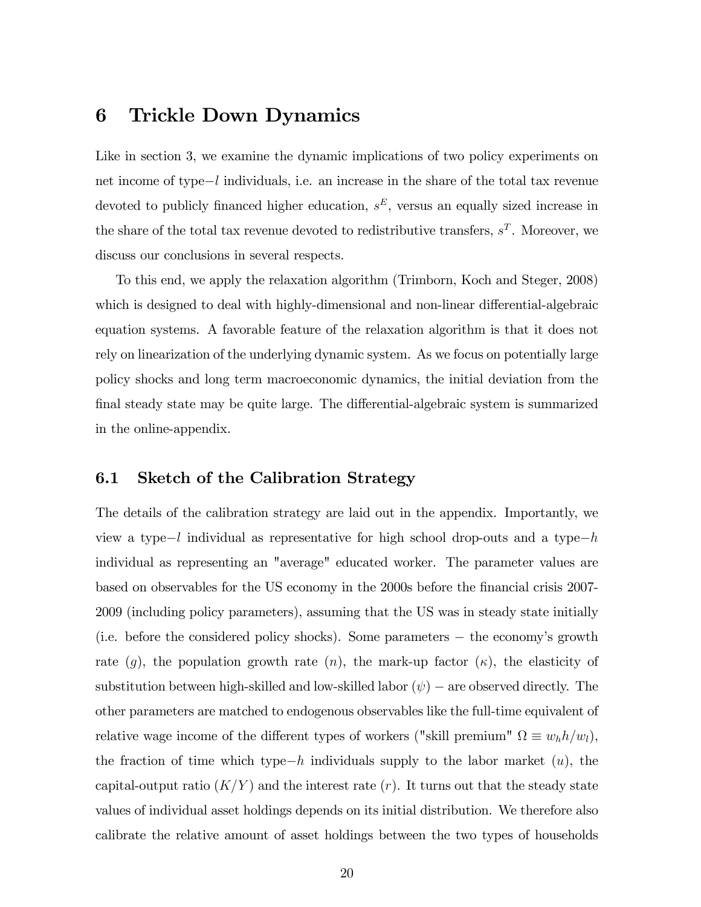### 6 Trickle Down Dynamics

Like in section 3, we examine the dynamic implications of two policy experiments on net income of type- $l$  individuals, i.e. an increase in the share of the total tax revenue devoted to publicly financed higher education,  $s<sup>E</sup>$ , versus an equally sized increase in the share of the total tax revenue devoted to redistributive transfers,  $s^T$ . Moreover, we discuss our conclusions in several respects.

To this end, we apply the relaxation algorithm (Trimborn, Koch and Steger, 2008) which is designed to deal with highly-dimensional and non-linear differential-algebraic equation systems. A favorable feature of the relaxation algorithm is that it does not rely on linearization of the underlying dynamic system. As we focus on potentially large policy shocks and long term macroeconomic dynamics, the initial deviation from the final steady state may be quite large. The differential-algebraic system is summarized in the online-appendix.

#### 6.1 Sketch of the Calibration Strategy

The details of the calibration strategy are laid out in the appendix. Importantly, we view a type-l individual as representative for high school drop-outs and a type- $h$ individual as representing an "average" educated worker. The parameter values are based on observables for the US economy in the 2000s before the Önancial crisis 2007- 2009 (including policy parameters), assuming that the US was in steady state initially (i.e. before the considered policy shocks). Some parameters  $-$  the economy's growth rate (g), the population growth rate (n), the mark-up factor ( $\kappa$ ), the elasticity of substitution between high-skilled and low-skilled labor  $(\psi)$  – are observed directly. The other parameters are matched to endogenous observables like the full-time equivalent of relative wage income of the different types of workers ("skill premium"  $\Omega \equiv w_h h/w_l$ ), the fraction of time which type-h individuals supply to the labor market  $(u)$ , the capital-output ratio  $(K/Y)$  and the interest rate  $(r)$ . It turns out that the steady state values of individual asset holdings depends on its initial distribution. We therefore also calibrate the relative amount of asset holdings between the two types of households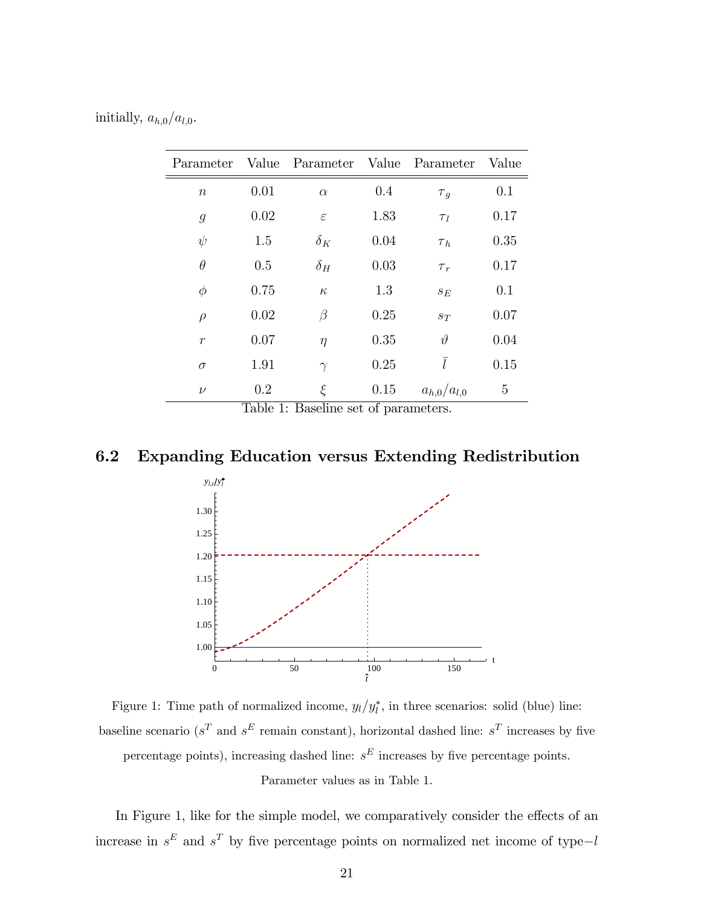initially,  $a_{h,0}/a_{l,0}$ .

| Parameter        | Value | Parameter Value Parameter |      |                   | Value |
|------------------|-------|---------------------------|------|-------------------|-------|
| $\boldsymbol{n}$ | 0.01  | $\alpha$                  | 0.4  | $\tau_q$          | 0.1   |
| $\mathfrak{g}$   | 0.02  | $\varepsilon$             | 1.83 | $\tau_l$          | 0.17  |
| $\psi$           | 1.5   | $\delta_K$                | 0.04 | $\tau_h$          | 0.35  |
| $\theta$         | 0.5   | $\delta_H$                | 0.03 | $\tau_r$          | 0.17  |
| $\phi$           | 0.75  | $\kappa$                  | 1.3  | $s_E$             | 0.1   |
| $\rho$           | 0.02  | $\beta$                   | 0.25 | $S_{T}$           | 0.07  |
| $\boldsymbol{r}$ | 0.07  | $\eta$                    | 0.35 | $\vartheta$       | 0.04  |
| $\sigma$         | 1.91  | $\gamma$                  | 0.25 | $\bar{l}$         | 0.15  |
| $\nu$            | 0.2   | $\xi$                     | 0.15 | $a_{h,0}/a_{l,0}$ | 5     |

Table 1: Baseline set of parameters.

#### 6.2 Expanding Education versus Extending Redistribution



Figure 1: Time path of normalized income,  $y_l/y_l^*$ , in three scenarios: solid (blue) line: baseline scenario ( $s^T$  and  $s^E$  remain constant), horizontal dashed line:  $s^T$  increases by five percentage points), increasing dashed line:  $s<sup>E</sup>$  increases by five percentage points. Parameter values as in Table 1.

In Figure 1, like for the simple model, we comparatively consider the effects of an increase in  $s^E$  and  $s^T$  by five percentage points on normalized net income of type-l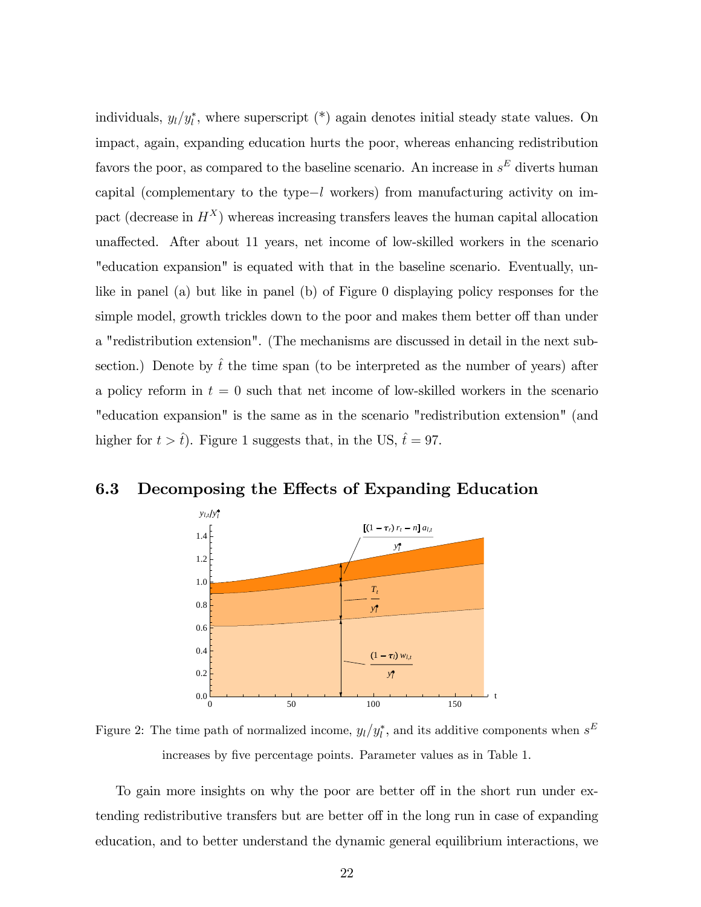individuals,  $y_l/y_l^*$ , where superscript (\*) again denotes initial steady state values. On impact, again, expanding education hurts the poor, whereas enhancing redistribution favors the poor, as compared to the baseline scenario. An increase in  $s<sup>E</sup>$  diverts human capital (complementary to the type- $l$  workers) from manufacturing activity on impact (decrease in  $H^X$ ) whereas increasing transfers leaves the human capital allocation unaffected. After about 11 years, net income of low-skilled workers in the scenario "education expansion" is equated with that in the baseline scenario. Eventually, unlike in panel (a) but like in panel (b) of Figure 0 displaying policy responses for the simple model, growth trickles down to the poor and makes them better off than under a "redistribution extension". (The mechanisms are discussed in detail in the next subsection.) Denote by  $\hat{t}$  the time span (to be interpreted as the number of years) after a policy reform in  $t = 0$  such that net income of low-skilled workers in the scenario "education expansion" is the same as in the scenario "redistribution extension" (and higher for  $t > \hat{t}$ . Figure 1 suggests that, in the US,  $\hat{t} = 97$ .

#### 6.3 Decomposing the Effects of Expanding Education



Figure 2: The time path of normalized income,  $y_l/y_l^*$ , and its additive components when  $s^E$ increases by five percentage points. Parameter values as in Table 1.

To gain more insights on why the poor are better off in the short run under extending redistributive transfers but are better off in the long run in case of expanding education, and to better understand the dynamic general equilibrium interactions, we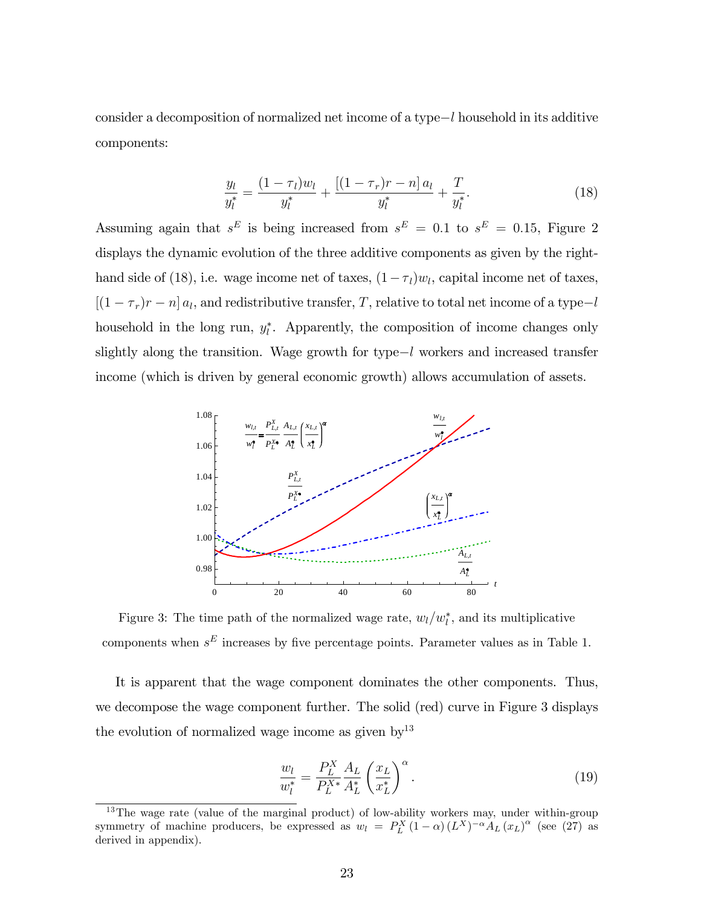consider a decomposition of normalized net income of a type  $-l$  household in its additive components:

$$
\frac{y_l}{y_l^*} = \frac{(1 - \tau_l)w_l}{y_l^*} + \frac{[(1 - \tau_r)r - n]a_l}{y_l^*} + \frac{T}{y_l^*}.
$$
\n(18)

Assuming again that  $s^E$  is being increased from  $s^E = 0.1$  to  $s^E = 0.15$ , Figure 2 displays the dynamic evolution of the three additive components as given by the righthand side of (18), i.e. wage income net of taxes,  $(1 - \tau_l)w_l$ , capital income net of taxes,  $[(1 - \tau_r)r - n]a_l$ , and redistributive transfer, T, relative to total net income of a type-l household in the long run,  $y_l^*$ . Apparently, the composition of income changes only slightly along the transition. Wage growth for type $-l$  workers and increased transfer income (which is driven by general economic growth) allows accumulation of assets.



Figure 3: The time path of the normalized wage rate,  $w_l/w_l^*$ , and its multiplicative components when  $s<sup>E</sup>$  increases by five percentage points. Parameter values as in Table 1.

It is apparent that the wage component dominates the other components. Thus, we decompose the wage component further. The solid (red) curve in Figure 3 displays the evolution of normalized wage income as given by  $13$ 

$$
\frac{w_l}{w_l^*} = \frac{P_L^X}{P_L^{X*}} \frac{A_L}{A_L^*} \left(\frac{x_L}{x_L^*}\right)^\alpha.
$$
\n(19)

<sup>&</sup>lt;sup>13</sup>The wage rate (value of the marginal product) of low-ability workers may, under within-group symmetry of machine producers, be expressed as  $w_l = P_L^X (1-\alpha) (L^X)^{-\alpha} A_L (x_L)^{\alpha}$  (see (27) as derived in appendix).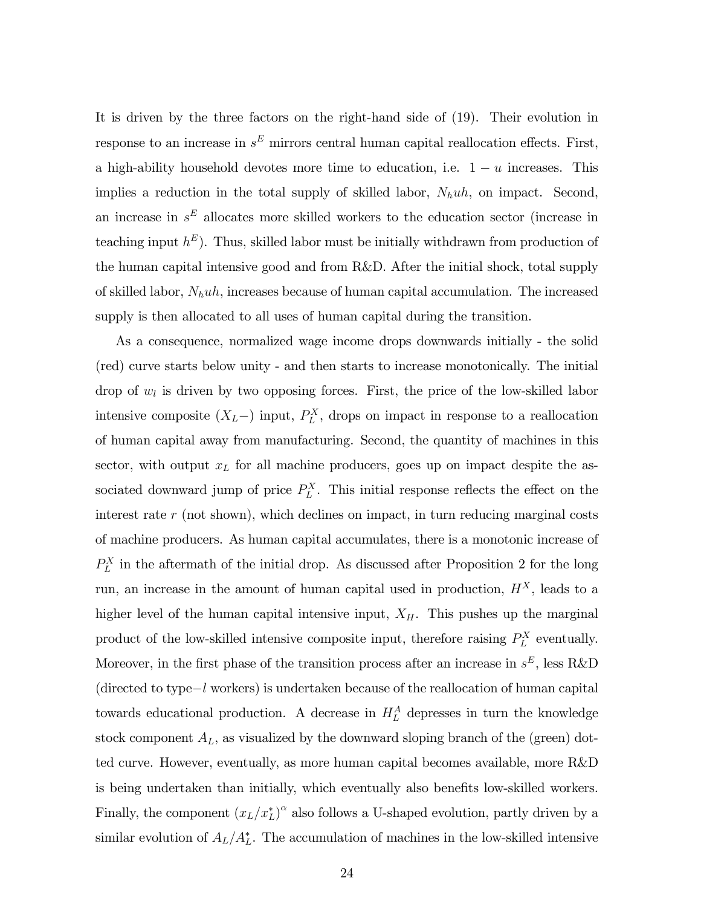It is driven by the three factors on the right-hand side of (19). Their evolution in response to an increase in  $s<sup>E</sup>$  mirrors central human capital reallocation effects. First, a high-ability household devotes more time to education, i.e.  $1 - u$  increases. This implies a reduction in the total supply of skilled labor,  $N_huh$ , on impact. Second, an increase in  $s<sup>E</sup>$  allocates more skilled workers to the education sector (increase in teaching input  $h^E$ ). Thus, skilled labor must be initially withdrawn from production of the human capital intensive good and from R&D. After the initial shock, total supply of skilled labor,  $N_huh$ , increases because of human capital accumulation. The increased supply is then allocated to all uses of human capital during the transition.

As a consequence, normalized wage income drops downwards initially - the solid (red) curve starts below unity - and then starts to increase monotonically. The initial drop of  $w_l$  is driven by two opposing forces. First, the price of the low-skilled labor intensive composite  $(X_L)$  input,  $P_L^X$ , drops on impact in response to a reallocation of human capital away from manufacturing. Second, the quantity of machines in this sector, with output  $x<sub>L</sub>$  for all machine producers, goes up on impact despite the associated downward jump of price  $P_L^X$ . This initial response reflects the effect on the interest rate r (not shown), which declines on impact, in turn reducing marginal costs of machine producers. As human capital accumulates, there is a monotonic increase of  $P_L^X$  in the aftermath of the initial drop. As discussed after Proposition 2 for the long run, an increase in the amount of human capital used in production,  $H^X$ , leads to a higher level of the human capital intensive input,  $X_H$ . This pushes up the marginal product of the low-skilled intensive composite input, therefore raising  $P_L^X$  eventually. Moreover, in the first phase of the transition process after an increase in  $s<sup>E</sup>$ , less R&D (directed to type-l workers) is undertaken because of the reallocation of human capital towards educational production. A decrease in  $H_L^A$  depresses in turn the knowledge stock component  $A_L$ , as visualized by the downward sloping branch of the (green) dotted curve. However, eventually, as more human capital becomes available, more R&D is being undertaken than initially, which eventually also benefits low-skilled workers. Finally, the component  $(x_L/x_L^*)^{\alpha}$  also follows a U-shaped evolution, partly driven by a similar evolution of  $A_L/A_L^*$ . The accumulation of machines in the low-skilled intensive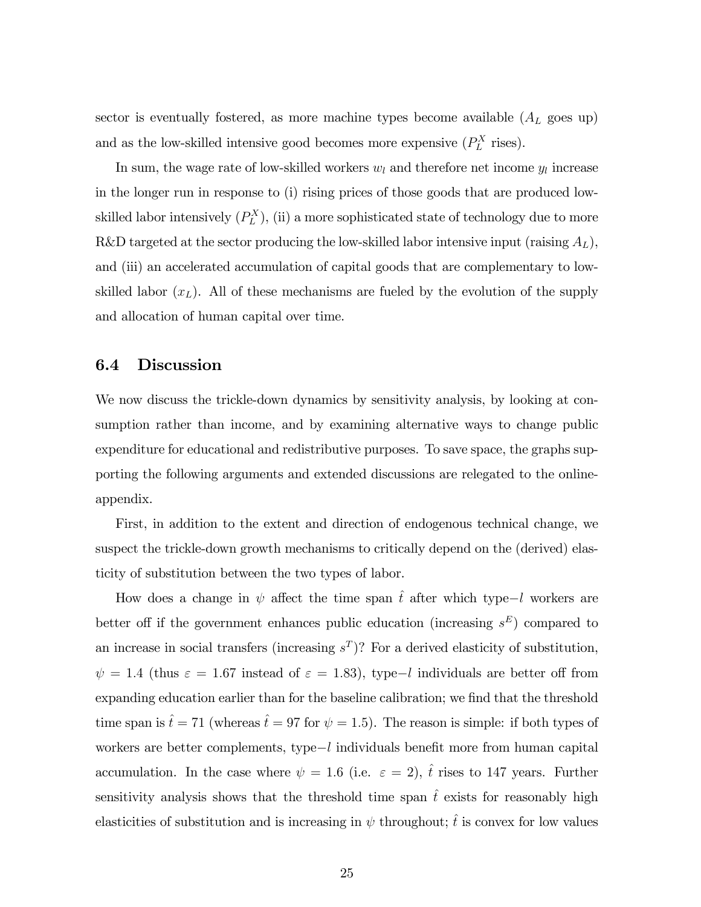sector is eventually fostered, as more machine types become available  $(A_L)$  goes up) and as the low-skilled intensive good becomes more expensive  $(P_L^X$  rises).

In sum, the wage rate of low-skilled workers  $w_l$  and therefore net income  $y_l$  increase in the longer run in response to (i) rising prices of those goods that are produced lowskilled labor intensively  $(P_L^X)$ , (ii) a more sophisticated state of technology due to more R&D targeted at the sector producing the low-skilled labor intensive input (raising  $A_L$ ), and (iii) an accelerated accumulation of capital goods that are complementary to lowskilled labor  $(x_L)$ . All of these mechanisms are fueled by the evolution of the supply and allocation of human capital over time.

#### 6.4 Discussion

We now discuss the trickle-down dynamics by sensitivity analysis, by looking at consumption rather than income, and by examining alternative ways to change public expenditure for educational and redistributive purposes. To save space, the graphs supporting the following arguments and extended discussions are relegated to the onlineappendix.

First, in addition to the extent and direction of endogenous technical change, we suspect the trickle-down growth mechanisms to critically depend on the (derived) elasticity of substitution between the two types of labor.

How does a change in  $\psi$  affect the time span  $\hat{t}$  after which type-l workers are better off if the government enhances public education (increasing  $s^E$ ) compared to an increase in social transfers (increasing  $s<sup>T</sup>$ )? For a derived elasticity of substitution,  $\psi = 1.4$  (thus  $\varepsilon = 1.67$  instead of  $\varepsilon = 1.83$ ), type-l individuals are better off from expanding education earlier than for the baseline calibration; we find that the threshold time span is  $\hat{t} = 71$  (whereas  $\hat{t} = 97$  for  $\psi = 1.5$ ). The reason is simple: if both types of workers are better complements, type $-l$  individuals benefit more from human capital accumulation. In the case where  $\psi = 1.6$  (i.e.  $\varepsilon = 2$ ),  $\hat{t}$  rises to 147 years. Further sensitivity analysis shows that the threshold time span  $\hat{t}$  exists for reasonably high elasticities of substitution and is increasing in  $\psi$  throughout;  $\hat{t}$  is convex for low values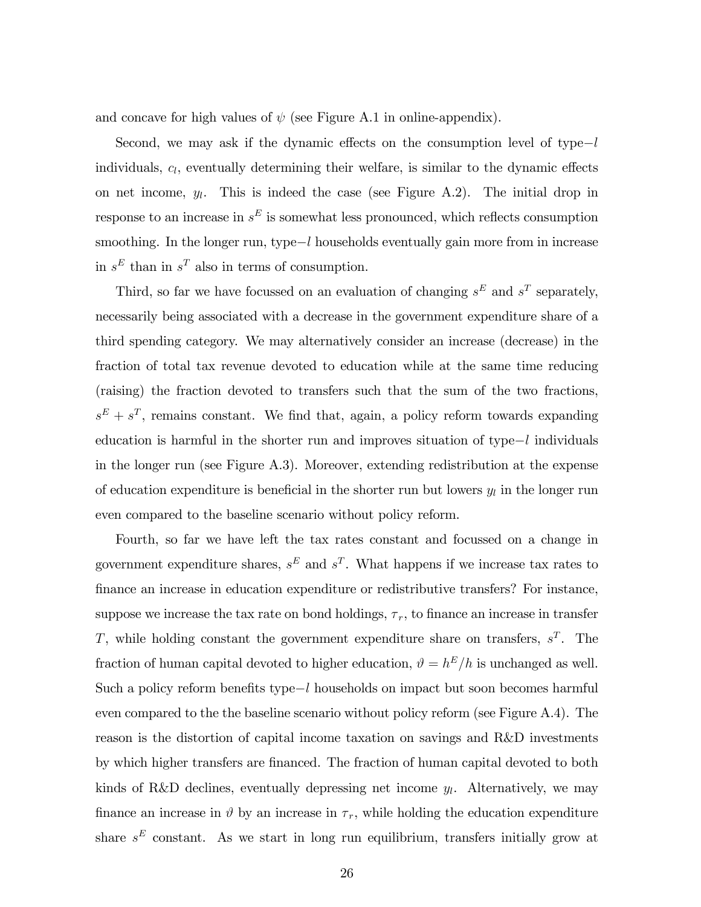and concave for high values of  $\psi$  (see Figure A.1 in online-appendix).

Second, we may ask if the dynamic effects on the consumption level of type- $l$ individuals,  $c_l$ , eventually determining their welfare, is similar to the dynamic effects on net income,  $y_l$ . This is indeed the case (see Figure A.2). The initial drop in response to an increase in  $s<sup>E</sup>$  is somewhat less pronounced, which reflects consumption smoothing. In the longer run, type $-l$  households eventually gain more from in increase in  $s<sup>E</sup>$  than in  $s<sup>T</sup>$  also in terms of consumption.

Third, so far we have focussed on an evaluation of changing  $s<sup>E</sup>$  and  $s<sup>T</sup>$  separately, necessarily being associated with a decrease in the government expenditure share of a third spending category. We may alternatively consider an increase (decrease) in the fraction of total tax revenue devoted to education while at the same time reducing (raising) the fraction devoted to transfers such that the sum of the two fractions,  $s<sup>E</sup> + s<sup>T</sup>$ , remains constant. We find that, again, a policy reform towards expanding education is harmful in the shorter run and improves situation of type $-l$  individuals in the longer run (see Figure A.3). Moreover, extending redistribution at the expense of education expenditure is beneficial in the shorter run but lowers  $y_l$  in the longer run even compared to the baseline scenario without policy reform.

Fourth, so far we have left the tax rates constant and focussed on a change in government expenditure shares,  $s^E$  and  $s^T$ . What happens if we increase tax rates to finance an increase in education expenditure or redistributive transfers? For instance, suppose we increase the tax rate on bond holdings,  $\tau_r$ , to finance an increase in transfer T, while holding constant the government expenditure share on transfers,  $s^T$ . The fraction of human capital devoted to higher education,  $\vartheta = h^E/h$  is unchanged as well. Such a policy reform benefits type $-l$  households on impact but soon becomes harmful even compared to the the baseline scenario without policy reform (see Figure A.4). The reason is the distortion of capital income taxation on savings and R&D investments by which higher transfers are Önanced. The fraction of human capital devoted to both kinds of R&D declines, eventually depressing net income  $y_l$ . Alternatively, we may finance an increase in  $\vartheta$  by an increase in  $\tau_r$ , while holding the education expenditure share  $s<sup>E</sup>$  constant. As we start in long run equilibrium, transfers initially grow at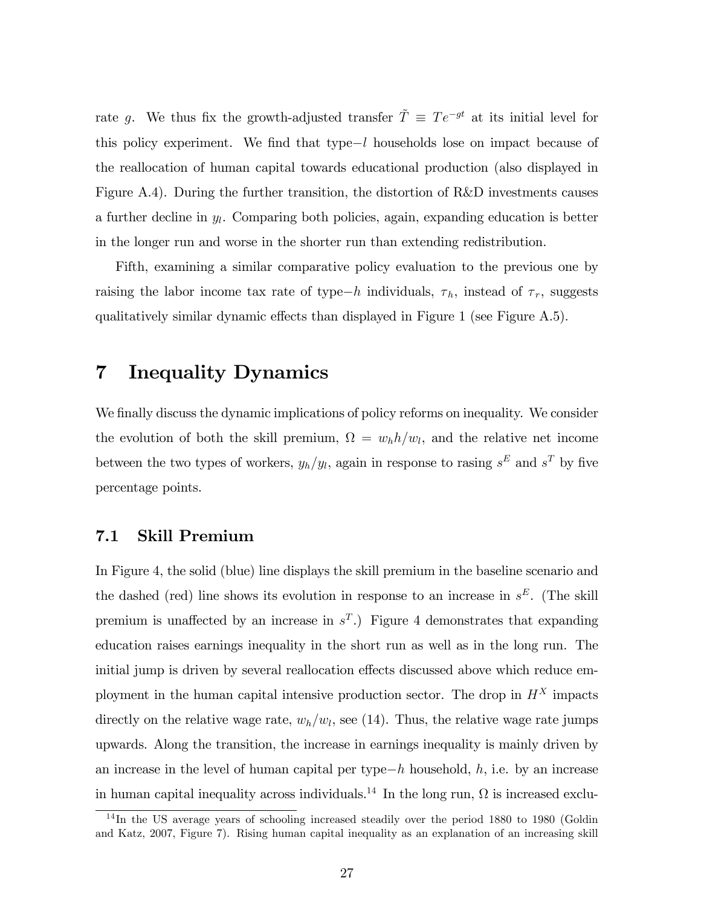rate g. We thus fix the growth-adjusted transfer  $\tilde{T}~\equiv~ Te^{-gt}$  at its initial level for this policy experiment. We find that type $-l$  households lose on impact because of the reallocation of human capital towards educational production (also displayed in Figure A.4). During the further transition, the distortion of R&D investments causes a further decline in  $y_l$ . Comparing both policies, again, expanding education is better in the longer run and worse in the shorter run than extending redistribution.

Fifth, examining a similar comparative policy evaluation to the previous one by raising the labor income tax rate of type-h individuals,  $\tau_h$ , instead of  $\tau_r$ , suggests qualitatively similar dynamic effects than displayed in Figure 1 (see Figure A.5).

### 7 Inequality Dynamics

We finally discuss the dynamic implications of policy reforms on inequality. We consider the evolution of both the skill premium,  $\Omega = w_h h/w_l$ , and the relative net income between the two types of workers,  $y_h/y_l$ , again in response to rasing  $s<sup>E</sup>$  and  $s<sup>T</sup>$  by five percentage points.

#### 7.1 Skill Premium

In Figure 4, the solid (blue) line displays the skill premium in the baseline scenario and the dashed (red) line shows its evolution in response to an increase in  $s<sup>E</sup>$ . (The skill premium is unaffected by an increase in  $s^T$ .) Figure 4 demonstrates that expanding education raises earnings inequality in the short run as well as in the long run. The initial jump is driven by several reallocation effects discussed above which reduce employment in the human capital intensive production sector. The drop in  $H<sup>X</sup>$  impacts directly on the relative wage rate,  $w_h/w_l$ , see (14). Thus, the relative wage rate jumps upwards. Along the transition, the increase in earnings inequality is mainly driven by an increase in the level of human capital per type- $h$  household,  $h$ , i.e. by an increase in human capital inequality across individuals.<sup>14</sup> In the long run,  $\Omega$  is increased exclu-

 $14$ In the US average years of schooling increased steadily over the period 1880 to 1980 (Goldin and Katz, 2007, Figure 7). Rising human capital inequality as an explanation of an increasing skill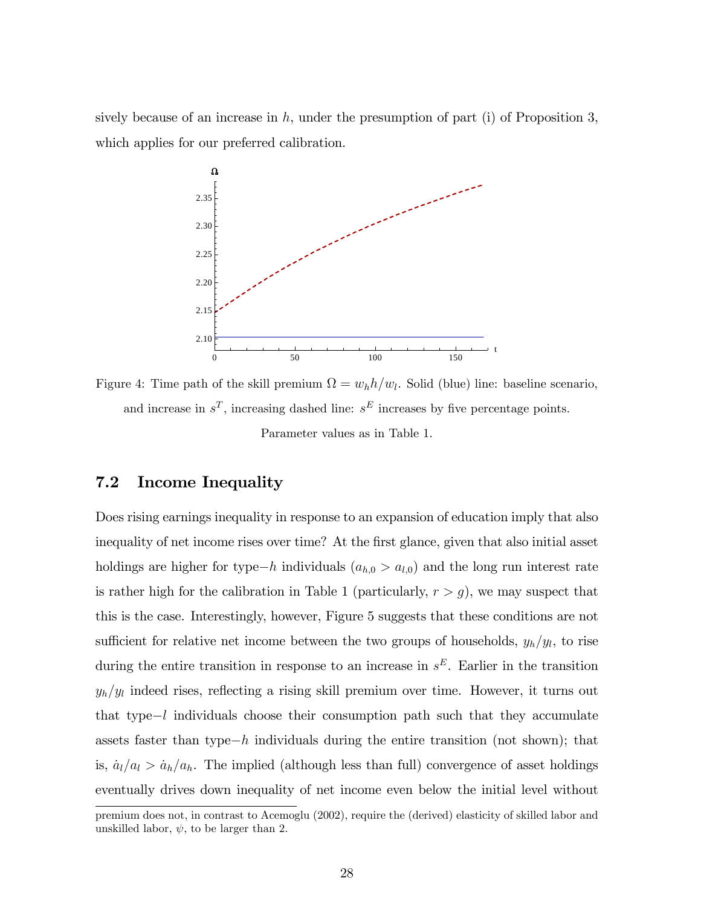sively because of an increase in  $h$ , under the presumption of part (i) of Proposition 3, which applies for our preferred calibration.



Figure 4: Time path of the skill premium  $\Omega = w_h h/w_l$ . Solid (blue) line: baseline scenario, and increase in  $s^T$ , increasing dashed line:  $s^E$  increases by five percentage points.

Parameter values as in Table 1.

#### 7.2 Income Inequality

Does rising earnings inequality in response to an expansion of education imply that also inequality of net income rises over time? At the first glance, given that also initial asset holdings are higher for type-h individuals  $(a_{h,0} > a_{l,0})$  and the long run interest rate is rather high for the calibration in Table 1 (particularly,  $r > g$ ), we may suspect that this is the case. Interestingly, however, Figure 5 suggests that these conditions are not sufficient for relative net income between the two groups of households,  $y_h/y_l$ , to rise during the entire transition in response to an increase in  $s<sup>E</sup>$ . Earlier in the transition  $y_h/y_l$  indeed rises, reflecting a rising skill premium over time. However, it turns out that type- $l$  individuals choose their consumption path such that they accumulate assets faster than type $-h$  individuals during the entire transition (not shown); that is,  $a_l/a_l > a_h/a_h$ . The implied (although less than full) convergence of asset holdings eventually drives down inequality of net income even below the initial level without

premium does not, in contrast to Acemoglu (2002), require the (derived) elasticity of skilled labor and unskilled labor,  $\psi$ , to be larger than 2.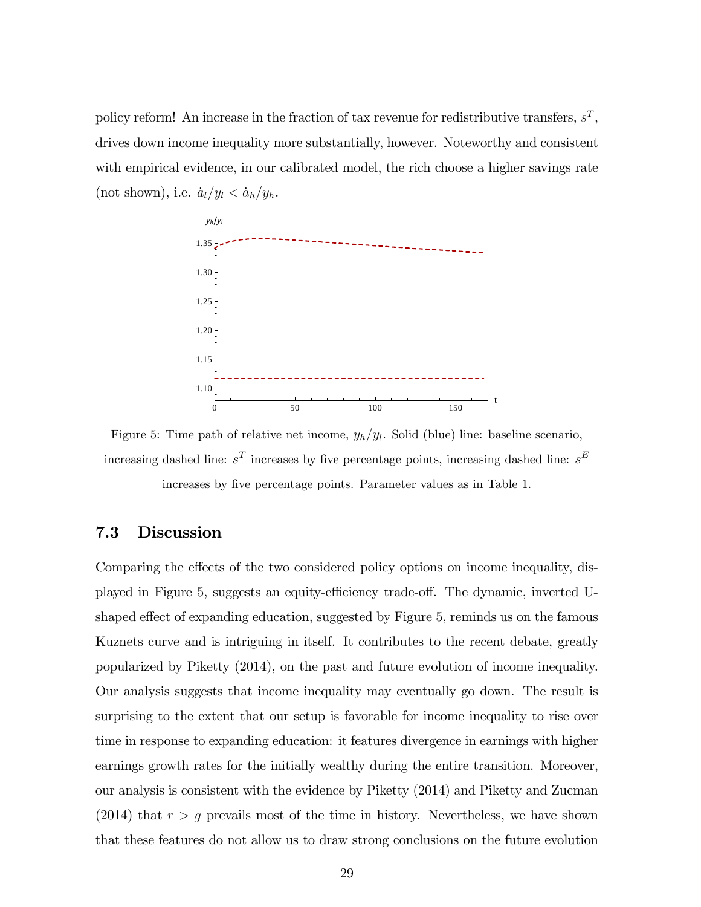policy reform! An increase in the fraction of tax revenue for redistributive transfers,  $s^T$ , drives down income inequality more substantially, however. Noteworthy and consistent with empirical evidence, in our calibrated model, the rich choose a higher savings rate (not shown), i.e.  $\dot{a}_l/y_l < \dot{a}_h/y_h$ .



Figure 5: Time path of relative net income,  $y_h/y_l$ . Solid (blue) line: baseline scenario, increasing dashed line:  $s^T$  increases by five percentage points, increasing dashed line:  $s^E$ increases by five percentage points. Parameter values as in Table 1.

#### 7.3 Discussion

Comparing the effects of the two considered policy options on income inequality, displayed in Figure 5, suggests an equity-efficiency trade-off. The dynamic, inverted Ushaped effect of expanding education, suggested by Figure 5, reminds us on the famous Kuznets curve and is intriguing in itself. It contributes to the recent debate, greatly popularized by Piketty (2014), on the past and future evolution of income inequality. Our analysis suggests that income inequality may eventually go down. The result is surprising to the extent that our setup is favorable for income inequality to rise over time in response to expanding education: it features divergence in earnings with higher earnings growth rates for the initially wealthy during the entire transition. Moreover, our analysis is consistent with the evidence by Piketty (2014) and Piketty and Zucman (2014) that  $r > g$  prevails most of the time in history. Nevertheless, we have shown that these features do not allow us to draw strong conclusions on the future evolution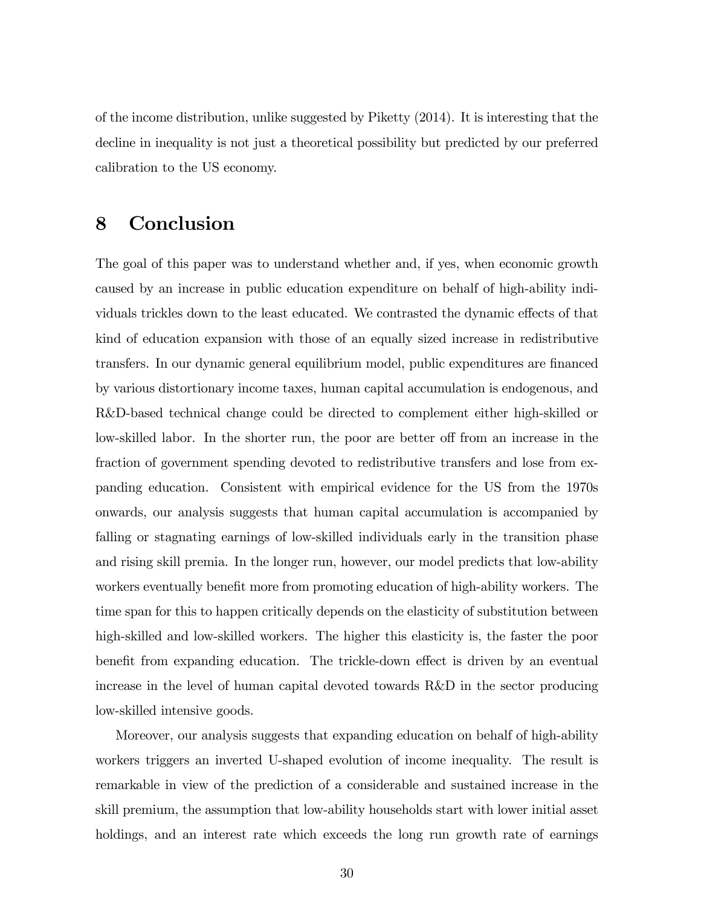of the income distribution, unlike suggested by Piketty (2014). It is interesting that the decline in inequality is not just a theoretical possibility but predicted by our preferred calibration to the US economy.

### 8 Conclusion

The goal of this paper was to understand whether and, if yes, when economic growth caused by an increase in public education expenditure on behalf of high-ability individuals trickles down to the least educated. We contrasted the dynamic effects of that kind of education expansion with those of an equally sized increase in redistributive transfers. In our dynamic general equilibrium model, public expenditures are financed by various distortionary income taxes, human capital accumulation is endogenous, and R&D-based technical change could be directed to complement either high-skilled or low-skilled labor. In the shorter run, the poor are better off from an increase in the fraction of government spending devoted to redistributive transfers and lose from expanding education. Consistent with empirical evidence for the US from the 1970s onwards, our analysis suggests that human capital accumulation is accompanied by falling or stagnating earnings of low-skilled individuals early in the transition phase and rising skill premia. In the longer run, however, our model predicts that low-ability workers eventually benefit more from promoting education of high-ability workers. The time span for this to happen critically depends on the elasticity of substitution between high-skilled and low-skilled workers. The higher this elasticity is, the faster the poor benefit from expanding education. The trickle-down effect is driven by an eventual increase in the level of human capital devoted towards R&D in the sector producing low-skilled intensive goods.

Moreover, our analysis suggests that expanding education on behalf of high-ability workers triggers an inverted U-shaped evolution of income inequality. The result is remarkable in view of the prediction of a considerable and sustained increase in the skill premium, the assumption that low-ability households start with lower initial asset holdings, and an interest rate which exceeds the long run growth rate of earnings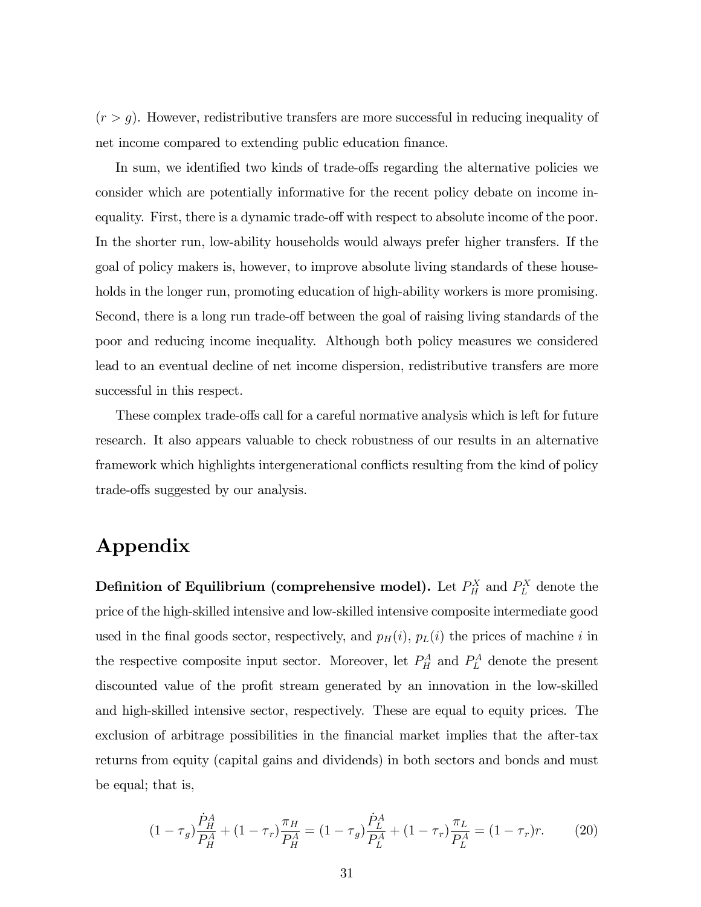$(r > g)$ . However, redistributive transfers are more successful in reducing inequality of net income compared to extending public education finance.

In sum, we identified two kinds of trade-offs regarding the alternative policies we consider which are potentially informative for the recent policy debate on income inequality. First, there is a dynamic trade-off with respect to absolute income of the poor. In the shorter run, low-ability households would always prefer higher transfers. If the goal of policy makers is, however, to improve absolute living standards of these households in the longer run, promoting education of high-ability workers is more promising. Second, there is a long run trade-off between the goal of raising living standards of the poor and reducing income inequality. Although both policy measures we considered lead to an eventual decline of net income dispersion, redistributive transfers are more successful in this respect.

These complex trade-offs call for a careful normative analysis which is left for future research. It also appears valuable to check robustness of our results in an alternative framework which highlights intergenerational conflicts resulting from the kind of policy trade-offs suggested by our analysis.

# Appendix

Definition of Equilibrium (comprehensive model). Let  $P_H^X$  and  $P_L^X$  denote the price of the high-skilled intensive and low-skilled intensive composite intermediate good used in the final goods sector, respectively, and  $p_H(i)$ ,  $p_L(i)$  the prices of machine i in the respective composite input sector. Moreover, let  $P_H^A$  and  $P_L^A$  denote the present discounted value of the profit stream generated by an innovation in the low-skilled and high-skilled intensive sector, respectively. These are equal to equity prices. The exclusion of arbitrage possibilities in the financial market implies that the after-tax returns from equity (capital gains and dividends) in both sectors and bonds and must be equal; that is,

$$
(1 - \tau_g) \frac{\dot{P}_H^A}{P_H^A} + (1 - \tau_r) \frac{\pi_H}{P_H^A} = (1 - \tau_g) \frac{\dot{P}_L^A}{P_L^A} + (1 - \tau_r) \frac{\pi_L}{P_L^A} = (1 - \tau_r)r. \tag{20}
$$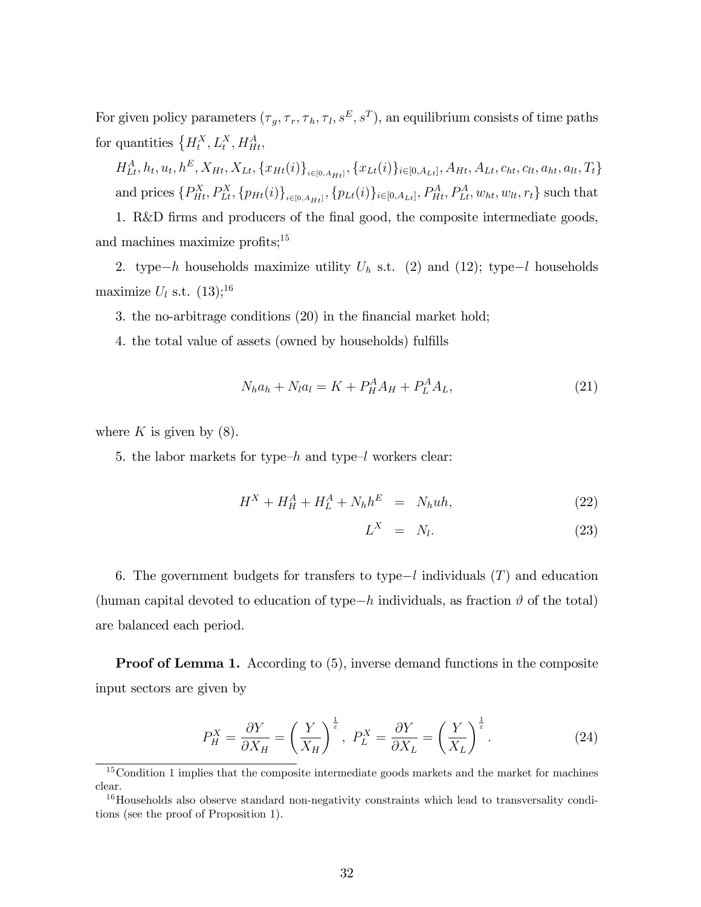For given policy parameters  $(\tau_g, \tau_r, \tau_h, \tau_l, s^E, s^T)$ , an equilibrium consists of time paths for quantities  $\left\{H_t^X, L_t^X, H_{Ht}^A, \right\}$ 

 $H_{Lt}^A, h_t, u_t, h^E, X_{Ht}, X_{Lt}, \{x_{Ht}(i)\}_{i \in [0, A_{Ht}]}$ ,  $\{x_{Lt}(i)\}_{i \in [0, A_{Lt}]}, A_{Ht}, A_{Lt}, c_{ht}, c_{lt}, a_{ht}, a_{lt}, T_t\}$ and prices  $\{P_{Ht}^X, P_{Lt}^X, \{p_{Ht}(i)\}_{i \in [0, A_{Ht}]}, \{p_{Lt}(i)\}_{i \in [0, A_{Lt}]}, P_{Ht}^A, P_{Lt}^A, w_{ht}, w_{lt}, r_t\}$  such that

1. R&D firms and producers of the final good, the composite intermediate goods, and machines maximize profits; $15$ 

2. type-h households maximize utility  $U_h$  s.t. (2) and (12); type-l households maximize  $U_l$  s.t.  $(13);^{16}$ 

3. the no-arbitrage conditions  $(20)$  in the financial market hold;

4. the total value of assets (owned by households) fulfills

$$
N_h a_h + N_l a_l = K + P_H^A A_H + P_L^A A_L,\tag{21}
$$

where K is given by  $(8)$ .

5. the labor markets for type-h and type-l workers clear:

$$
H^X + H^A_H + H^A_L + N_h h^E = N_h u h, \t\t(22)
$$

$$
L^X = N_l. \t\t(23)
$$

6. The government budgets for transfers to type  $-l$  individuals  $(T)$  and education (human capital devoted to education of type-h individuals, as fraction  $\vartheta$  of the total) are balanced each period.

**Proof of Lemma 1.** According to (5), inverse demand functions in the composite input sectors are given by

$$
P_H^X = \frac{\partial Y}{\partial X_H} = \left(\frac{Y}{X_H}\right)^{\frac{1}{\varepsilon}}, \ P_L^X = \frac{\partial Y}{\partial X_L} = \left(\frac{Y}{X_L}\right)^{\frac{1}{\varepsilon}}.
$$
 (24)

<sup>&</sup>lt;sup>15</sup>Condition 1 implies that the composite intermediate goods markets and the market for machines clear.

 $16$ Households also observe standard non-negativity constraints which lead to transversality conditions (see the proof of Proposition 1).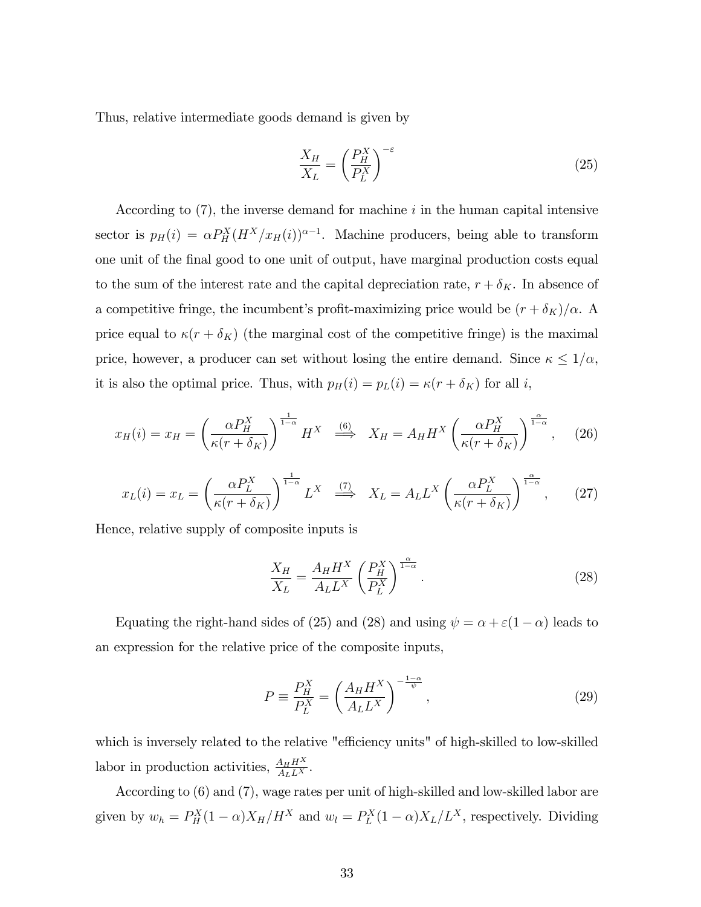Thus, relative intermediate goods demand is given by

$$
\frac{X_H}{X_L} = \left(\frac{P_H^X}{P_L^X}\right)^{-\varepsilon} \tag{25}
$$

According to  $(7)$ , the inverse demand for machine i in the human capital intensive sector is  $p_H(i) = \alpha P_H^X (H^X/x_H(i))^{\alpha-1}$ . Machine producers, being able to transform one unit of the Önal good to one unit of output, have marginal production costs equal to the sum of the interest rate and the capital depreciation rate,  $r + \delta_K$ . In absence of a competitive fringe, the incumbent's profit-maximizing price would be  $(r + \delta_K)/\alpha$ . A price equal to  $\kappa(r + \delta_K)$  (the marginal cost of the competitive fringe) is the maximal price, however, a producer can set without losing the entire demand. Since  $\kappa \leq 1/\alpha$ , it is also the optimal price. Thus, with  $p_H(i) = p_L(i) = \kappa(r + \delta_K)$  for all i,

$$
x_H(i) = x_H = \left(\frac{\alpha P_H^X}{\kappa(r + \delta_K)}\right)^{\frac{1}{1-\alpha}} H^X \stackrel{(6)}{\implies} X_H = A_H H^X \left(\frac{\alpha P_H^X}{\kappa(r + \delta_K)}\right)^{\frac{\alpha}{1-\alpha}}, \quad (26)
$$

$$
x_L(i) = x_L = \left(\frac{\alpha P_L^X}{\kappa(r + \delta_K)}\right)^{\frac{1}{1-\alpha}} L^X \quad \stackrel{(7)}{\Longrightarrow} \quad X_L = A_L L^X \left(\frac{\alpha P_L^X}{\kappa(r + \delta_K)}\right)^{\frac{\alpha}{1-\alpha}},\tag{27}
$$

Hence, relative supply of composite inputs is

$$
\frac{X_H}{X_L} = \frac{A_H H^X}{A_L L^X} \left(\frac{P_H^X}{P_L^X}\right)^{\frac{\alpha}{1-\alpha}}.\tag{28}
$$

Equating the right-hand sides of (25) and (28) and using  $\psi = \alpha + \varepsilon (1 - \alpha)$  leads to an expression for the relative price of the composite inputs,

$$
P \equiv \frac{P_H^X}{P_L^X} = \left(\frac{A_H H^X}{A_L L^X}\right)^{-\frac{1-\alpha}{\psi}},\tag{29}
$$

which is inversely related to the relative "efficiency units" of high-skilled to low-skilled labor in production activities,  $\frac{A_H H^X}{A_L L^X}$ .

According to (6) and (7), wage rates per unit of high-skilled and low-skilled labor are given by  $w_h = P_H^X(1-\alpha)X_H/H^X$  and  $w_l = P_L^X(1-\alpha)X_L/L^X$ , respectively. Dividing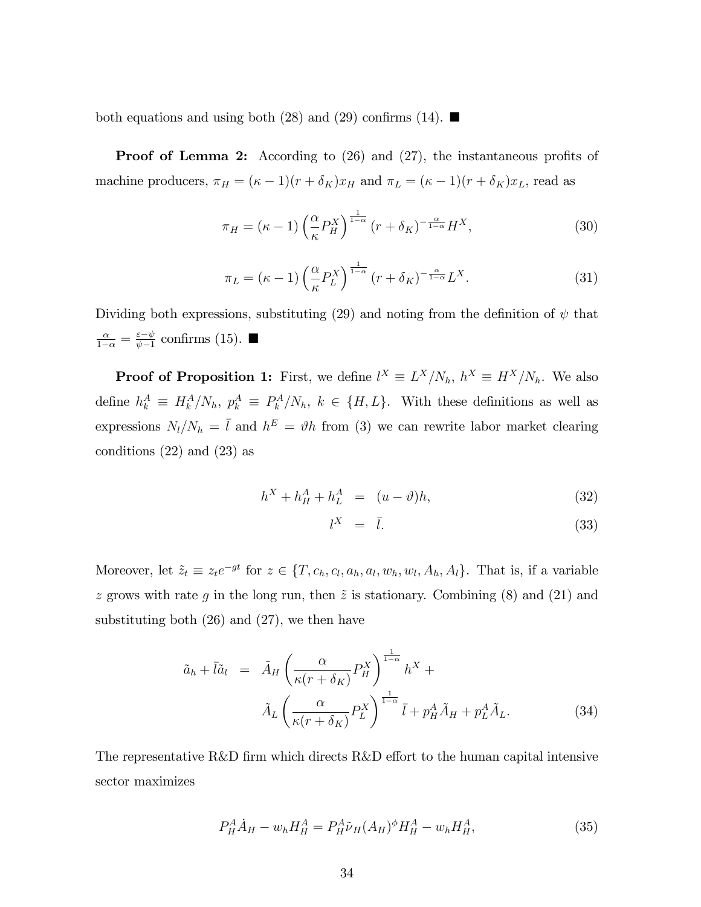both equations and using both (28) and (29) confirms (14).

**Proof of Lemma 2:** According to  $(26)$  and  $(27)$ , the instantaneous profits of machine producers,  $\pi_H = (\kappa - 1)(r + \delta_K)x_H$  and  $\pi_L = (\kappa - 1)(r + \delta_K)x_L$ , read as

$$
\pi_H = (\kappa - 1) \left(\frac{\alpha}{\kappa} P_H^X\right)^{\frac{1}{1-\alpha}} (r + \delta_K)^{-\frac{\alpha}{1-\alpha}} H^X,\tag{30}
$$

$$
\pi_L = (\kappa - 1) \left(\frac{\alpha}{\kappa} P_L^X\right)^{\frac{1}{1-\alpha}} (r + \delta_K)^{-\frac{\alpha}{1-\alpha}} L^X.
$$
\n(31)

Dividing both expressions, substituting (29) and noting from the definition of  $\psi$  that  $\frac{\alpha}{1-\alpha}=\frac{\varepsilon-\psi}{\psi-1}$  $\frac{\varepsilon-\psi}{\psi-1}$  confirms (15).

**Proof of Proposition 1:** First, we define  $l^X \equiv L^X/N_h$ ,  $h^X \equiv H^X/N_h$ . We also define  $h_k^A \equiv H_k^A/N_h$ ,  $p_k^A \equiv P_k^A/N_h$ ,  $k \in \{H, L\}$ . With these definitions as well as expressions  $N_l/N_h = \overline{l}$  and  $h^E = \vartheta h$  from (3) we can rewrite labor market clearing conditions (22) and (23) as

$$
h^X + h^A_H + h^A_L = (u - \vartheta)h, \tag{32}
$$

$$
l^X = \bar{l}.\tag{33}
$$

Moreover, let  $\tilde{z}_t \equiv z_t e^{-gt}$  for  $z \in \{T, c_h, c_l, a_h, a_l, w_h, w_l, A_h, A_l\}$ . That is, if a variable z grows with rate g in the long run, then  $\tilde{z}$  is stationary. Combining (8) and (21) and substituting both (26) and (27), we then have

$$
\tilde{a}_h + \bar{l}\tilde{a}_l = \tilde{A}_H \left( \frac{\alpha}{\kappa (r + \delta_K)} P_H^X \right)^{\frac{1}{1-\alpha}} h^X +
$$

$$
\tilde{A}_L \left( \frac{\alpha}{\kappa (r + \delta_K)} P_L^X \right)^{\frac{1}{1-\alpha}} \bar{l} + p_H^A \tilde{A}_H + p_L^A \tilde{A}_L.
$$
(34)

The representative R&D firm which directs R&D effort to the human capital intensive sector maximizes

$$
P_H^A \dot{A}_H - w_h H_H^A = P_H^A \tilde{\nu}_H (A_H)^{\phi} H_H^A - w_h H_H^A, \tag{35}
$$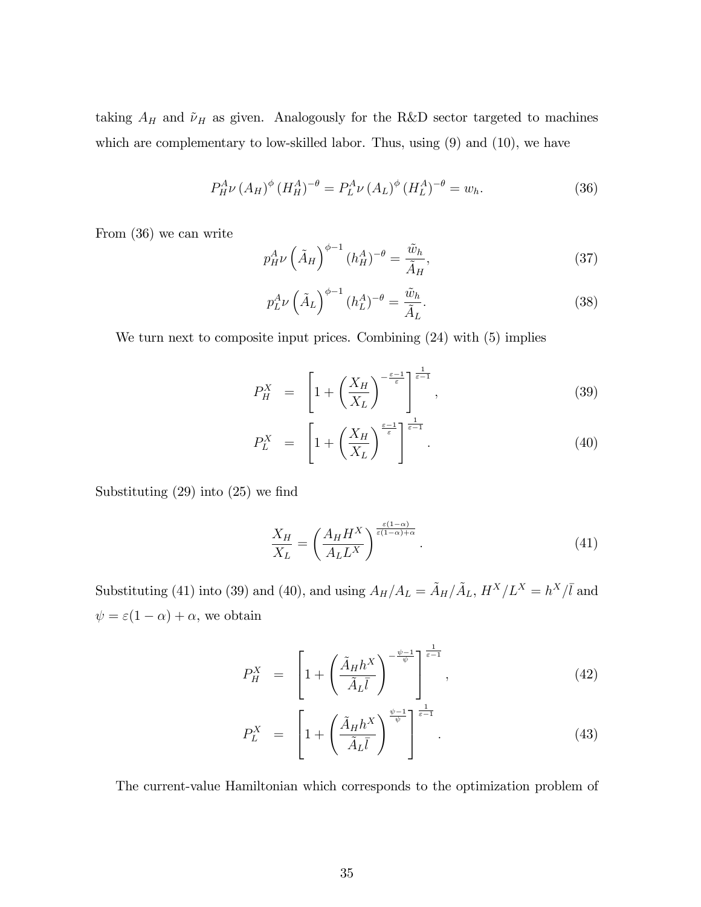taking  $A_H$  and  $\tilde{\nu}_H$  as given. Analogously for the R&D sector targeted to machines which are complementary to low-skilled labor. Thus, using  $(9)$  and  $(10)$ , we have

$$
P_H^A \nu \left( A_H \right)^{\phi} \left( H_H^A \right)^{-\theta} = P_L^A \nu \left( A_L \right)^{\phi} \left( H_L^A \right)^{-\theta} = w_h. \tag{36}
$$

From (36) we can write

$$
p_H^A \nu \left(\tilde{A}_H\right)^{\phi-1} (h_H^A)^{-\theta} = \frac{\tilde{w}_h}{\tilde{A}_H},\tag{37}
$$

$$
p_L^A \nu \left(\tilde{A}_L\right)^{\phi-1} (h_L^A)^{-\theta} = \frac{\tilde{w}_h}{\tilde{A}_L}.\tag{38}
$$

We turn next to composite input prices. Combining  $(24)$  with  $(5)$  implies

$$
P_H^X = \left[1 + \left(\frac{X_H}{X_L}\right)^{-\frac{\varepsilon - 1}{\varepsilon}}\right]^{\frac{1}{\varepsilon - 1}},\tag{39}
$$

$$
P_L^X = \left[1 + \left(\frac{X_H}{X_L}\right)^{\frac{\varepsilon - 1}{\varepsilon}}\right]^{\frac{1}{\varepsilon - 1}}.\tag{40}
$$

Substituting  $(29)$  into  $(25)$  we find

$$
\frac{X_H}{X_L} = \left(\frac{A_H H^X}{A_L L^X}\right)^{\frac{\varepsilon(1-\alpha)}{\varepsilon(1-\alpha)+\alpha}}.\tag{41}
$$

Substituting (41) into (39) and (40), and using  $A_H/A_L = \tilde{A}_H/\tilde{A}_L$ ,  $H^X/L^X = h^X/\overline{l}$  and  $\psi = \varepsilon (1 - \alpha) + \alpha$ , we obtain

$$
P_H^X = \left[1 + \left(\frac{\tilde{A}_H h^X}{\tilde{A}_L \bar{l}}\right)^{-\frac{\psi - 1}{\psi}}\right]_0^{\frac{1}{\varepsilon - 1}},\tag{42}
$$

$$
P_L^X = \left[1 + \left(\frac{\tilde{A}_H h^X}{\tilde{A}_L \bar{l}}\right)^{\frac{\psi - 1}{\psi}}\right]^{\frac{1}{\varepsilon - 1}}.\tag{43}
$$

The current-value Hamiltonian which corresponds to the optimization problem of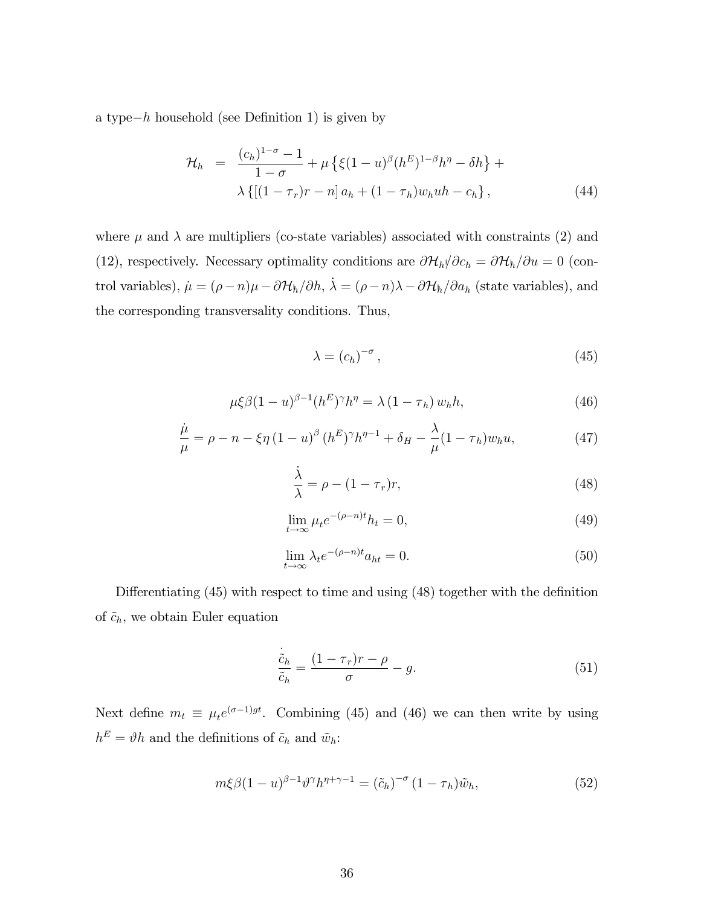a type- $h$  household (see Definition 1) is given by

$$
\mathcal{H}_h = \frac{(c_h)^{1-\sigma} - 1}{1 - \sigma} + \mu \left\{ \xi (1 - u)^{\beta} (h^E)^{1-\beta} h^{\eta} - \delta h \right\} + \lambda \left\{ [(1 - \tau_r)r - n] a_h + (1 - \tau_h) w_h uh - c_h \right\},
$$
\n(44)

where  $\mu$  and  $\lambda$  are multipliers (co-state variables) associated with constraints (2) and (12), respectively. Necessary optimality conditions are  $\partial \mathcal{H}_h/\partial c_h = \partial \mathcal{H}_h/\partial u = 0$  (control variables),  $\dot{\mu} = (\rho - n)\mu - \partial \mathcal{H}_h/\partial h$ ,  $\dot{\lambda} = (\rho - n)\lambda - \partial \mathcal{H}_h/\partial a_h$  (state variables), and the corresponding transversality conditions. Thus,

$$
\lambda = (c_h)^{-\sigma},\tag{45}
$$

$$
\mu\xi\beta(1-u)^{\beta-1}(h^E)^\gamma h^\eta = \lambda(1-\tau_h) w_h h,\tag{46}
$$

$$
\frac{\dot{\mu}}{\mu} = \rho - n - \xi \eta \left(1 - u\right)^{\beta} \left(h^E\right)^{\gamma} h^{\eta - 1} + \delta_H - \frac{\lambda}{\mu} (1 - \tau_h) w_h u,\tag{47}
$$

$$
\frac{\dot{\lambda}}{\lambda} = \rho - (1 - \tau_r)r,\tag{48}
$$

$$
\lim_{t \to \infty} \mu_t e^{-(\rho - n)t} h_t = 0,\tag{49}
$$

$$
\lim_{t \to \infty} \lambda_t e^{-(\rho - n)t} a_{ht} = 0.
$$
\n(50)

Differentiating  $(45)$  with respect to time and using  $(48)$  together with the definition of  $\tilde{c}_h$ , we obtain Euler equation

$$
\frac{\dot{\tilde{c}}_h}{\tilde{c}_h} = \frac{(1 - \tau_r)r - \rho}{\sigma} - g.
$$
\n(51)

Next define  $m_t \equiv \mu_t e^{(\sigma - 1)gt}$ . Combining (45) and (46) we can then write by using  $h^E = \vartheta h$  and the definitions of  $\tilde{c}_h$  and  $\tilde{w}_h$ :

$$
m\xi\beta(1-u)^{\beta-1}\vartheta^{\gamma}h^{\eta+\gamma-1} = (\tilde{c}_h)^{-\sigma}(1-\tau_h)\tilde{w}_h, \tag{52}
$$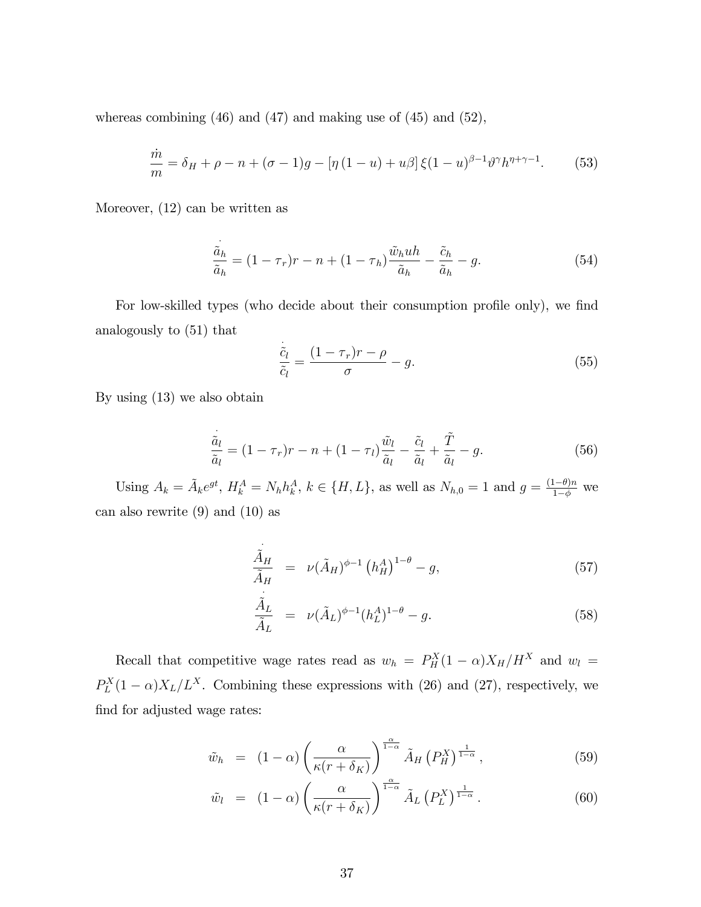whereas combining  $(46)$  and  $(47)$  and making use of  $(45)$  and  $(52)$ ,

$$
\frac{\dot{m}}{m} = \delta_H + \rho - n + (\sigma - 1)g - [\eta (1 - u) + u\beta] \xi (1 - u)^{\beta - 1} \vartheta^{\gamma} h^{\eta + \gamma - 1}.
$$
 (53)

Moreover, (12) can be written as

$$
\frac{\ddot{\tilde{a}}_h}{\tilde{a}_h} = (1 - \tau_r)r - n + (1 - \tau_h)\frac{\tilde{w}_h u h}{\tilde{a}_h} - \frac{\tilde{c}_h}{\tilde{a}_h} - g.
$$
\n(54)

For low-skilled types (who decide about their consumption profile only), we find analogously to (51) that

$$
\frac{\dot{\tilde{c}}_l}{\tilde{c}_l} = \frac{(1 - \tau_r)r - \rho}{\sigma} - g.
$$
\n(55)

By using (13) we also obtain

$$
\frac{\dot{\tilde{a}}_l}{\tilde{a}_l} = (1 - \tau_r)r - n + (1 - \tau_l)\frac{\tilde{w}_l}{\tilde{a}_l} - \frac{\tilde{c}_l}{\tilde{a}_l} + \frac{\tilde{T}}{\tilde{a}_l} - g.
$$
\n(56)

Using  $A_k = \tilde{A}_k e^{gt}$ ,  $H_k^A = N_h h_k^A$ ,  $k \in \{H, L\}$ , as well as  $N_{h,0} = 1$  and  $g = \frac{(1-\theta)n}{1-\phi}$  we can also rewrite (9) and (10) as

$$
\frac{\tilde{A}_H}{\tilde{A}_H} = \nu (\tilde{A}_H)^{\phi - 1} (h_H^A)^{1 - \theta} - g,
$$
\n(57)

$$
\frac{\dot{\tilde{A}}_L}{\tilde{A}_L} = \nu(\tilde{A}_L)^{\phi - 1} (h_L^A)^{1 - \theta} - g.
$$
\n(58)

Recall that competitive wage rates read as  $w_h = P_H^X(1-\alpha)X_H/H^X$  and  $w_l =$  $P_L^X(1-\alpha)X_L/L^X$ . Combining these expressions with (26) and (27), respectively, we find for adjusted wage rates:

$$
\tilde{w}_h = (1 - \alpha) \left( \frac{\alpha}{\kappa (r + \delta_K)} \right)^{\frac{\alpha}{1 - \alpha}} \tilde{A}_H \left( P_H^X \right)^{\frac{1}{1 - \alpha}}, \tag{59}
$$

$$
\tilde{w}_l = (1 - \alpha) \left( \frac{\alpha}{\kappa (r + \delta_K)} \right)^{\frac{\alpha}{1 - \alpha}} \tilde{A}_L \left( P_L^X \right)^{\frac{1}{1 - \alpha}}.
$$
\n(60)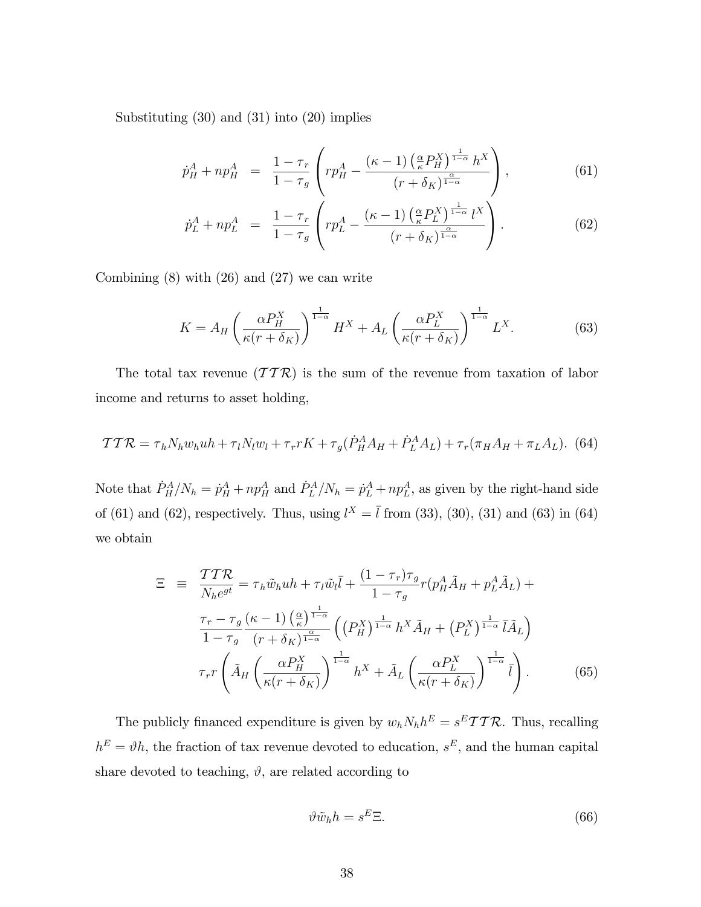Substituting (30) and (31) into (20) implies

$$
\dot{p}_{H}^{A} + np_{H}^{A} = \frac{1 - \tau_{r}}{1 - \tau_{g}} \left( rp_{H}^{A} - \frac{(\kappa - 1) \left( \frac{\alpha}{\kappa} P_{H}^{X} \right)^{\frac{1}{1 - \alpha}} h^{X}}{\left( r + \delta_{K} \right)^{\frac{\alpha}{1 - \alpha}}} \right),\tag{61}
$$

$$
\dot{p}_L^A + np_L^A = \frac{1 - \tau_r}{1 - \tau_g} \left( r p_L^A - \frac{(\kappa - 1) \left( \frac{\alpha}{\kappa} P_L^X \right)^{\frac{1}{1 - \alpha}} l^X}{(r + \delta_K)^{\frac{\alpha}{1 - \alpha}}} \right). \tag{62}
$$

Combining (8) with (26) and (27) we can write

$$
K = A_H \left(\frac{\alpha P_H^X}{\kappa (r + \delta_K)}\right)^{\frac{1}{1-\alpha}} H^X + A_L \left(\frac{\alpha P_L^X}{\kappa (r + \delta_K)}\right)^{\frac{1}{1-\alpha}} L^X. \tag{63}
$$

The total tax revenue  $(T T \mathcal{R})$  is the sum of the revenue from taxation of labor income and returns to asset holding,

$$
\mathcal{TTR} = \tau_h N_h w_h uh + \tau_l N_l w_l + \tau_r rK + \tau_g (\dot{P}_H^A A_H + \dot{P}_L^A A_L) + \tau_r (\pi_H A_H + \pi_L A_L). \tag{64}
$$

Note that  $\dot{P}_H^A/N_h = \dot{p}_H^A + n p_H^A$  and  $\dot{P}_L^A/N_h = \dot{p}_L^A + n p_L^A$ , as given by the right-hand side of (61) and (62), respectively. Thus, using  $l^X = \bar{l}$  from (33), (30), (31) and (63) in (64) we obtain

$$
\Xi \equiv \frac{TT\mathcal{R}}{N_h e^{gt}} = \tau_h \tilde{w}_h uh + \tau_l \tilde{w}_l \bar{l} + \frac{(1 - \tau_r)\tau_g}{1 - \tau_g} r(p_H^A \tilde{A}_H + p_L^A \tilde{A}_L) +
$$
\n
$$
\frac{\tau_r - \tau_g}{1 - \tau_g} \frac{(\kappa - 1) \left(\frac{\alpha}{\kappa}\right)^{\frac{1}{1 - \alpha}}}{(r + \delta_K)^{\frac{\alpha}{1 - \alpha}}} \left( \left(P_H^X\right)^{\frac{1}{1 - \alpha}} h^X \tilde{A}_H + \left(P_L^X\right)^{\frac{1}{1 - \alpha}} \bar{l} \tilde{A}_L \right)
$$
\n
$$
\tau_r r \left( \tilde{A}_H \left( \frac{\alpha P_H^X}{\kappa (r + \delta_K)} \right)^{\frac{1}{1 - \alpha}} h^X + \tilde{A}_L \left( \frac{\alpha P_L^X}{\kappa (r + \delta_K)} \right)^{\frac{1}{1 - \alpha}} \bar{l} \right). \tag{65}
$$

The publicly financed expenditure is given by  $w_h N_h h^E = s^E \mathcal{T} \mathcal{T} \mathcal{R}$ . Thus, recalling  $h^{E} = \vartheta h$ , the fraction of tax revenue devoted to education,  $s^{E}$ , and the human capital share devoted to teaching,  $\vartheta$ , are related according to

$$
\vartheta \tilde{w}_h h = s^E \Xi. \tag{66}
$$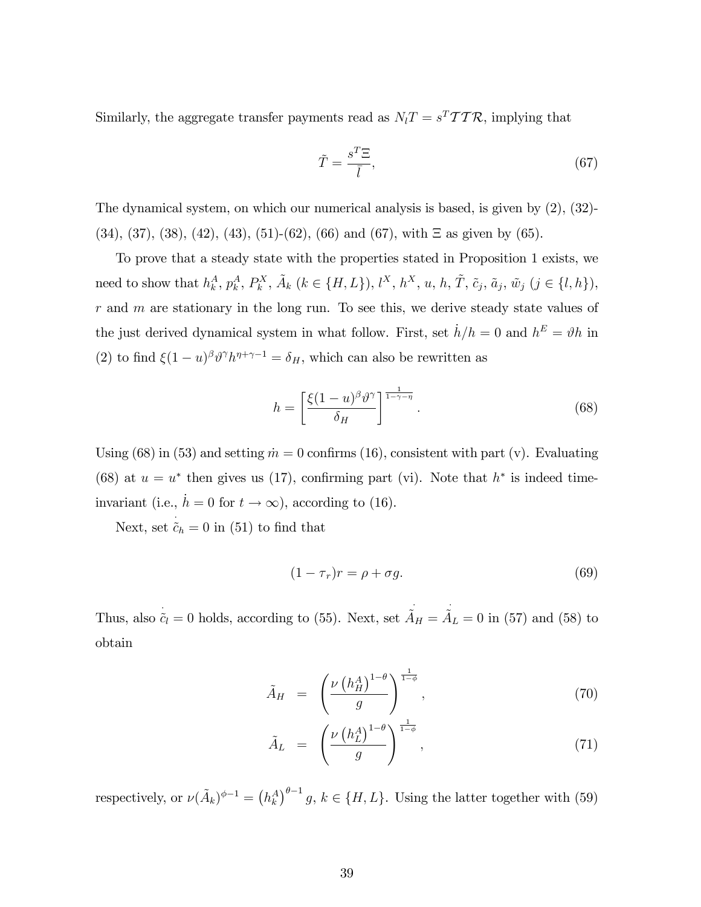Similarly, the aggregate transfer payments read as  $N_l T = s^T T T \mathcal{R}$ , implying that

$$
\tilde{T} = \frac{s^T \Xi}{\bar{l}},\tag{67}
$$

The dynamical system, on which our numerical analysis is based, is given by  $(2)$ ,  $(32)$ - $(34)$ ,  $(37)$ ,  $(38)$ ,  $(42)$ ,  $(43)$ ,  $(51)$ - $(62)$ ,  $(66)$  and  $(67)$ , with  $\Xi$  as given by  $(65)$ .

To prove that a steady state with the properties stated in Proposition 1 exists, we need to show that  $h_k^A$ ,  $p_k^A$ ,  $P_k^X$ ,  $\tilde{A}_k$  ( $k \in \{H, L\}$ ),  $l^X$ ,  $h^X$ ,  $u$ ,  $h$ ,  $\tilde{T}$ ,  $\tilde{c}_j$ ,  $\tilde{a}_j$ ,  $\tilde{w}_j$  ( $j \in \{l, h\}$ ),  $r$  and  $m$  are stationary in the long run. To see this, we derive steady state values of the just derived dynamical system in what follow. First, set  $\dot{h}/h = 0$  and  $h^E = \vartheta h$  in (2) to find  $\xi(1-u)^{\beta}\theta^{\gamma}h^{\eta+\gamma-1}=\delta_H$ , which can also be rewritten as

$$
h = \left[\frac{\xi(1-u)^{\beta}\vartheta^{\gamma}}{\delta_H}\right]^{\frac{1}{1-\gamma-\eta}}.\tag{68}
$$

Using (68) in (53) and setting  $\dot{m} = 0$  confirms (16), consistent with part (v). Evaluating (68) at  $u = u^*$  then gives us (17), confirming part (vi). Note that  $h^*$  is indeed timeinvariant (i.e.,  $h = 0$  for  $t \to \infty$ ), according to (16).

Next, set  $\ddot{\tilde{c}}_h = 0$  in (51) to find that

$$
(1 - \tau_r)r = \rho + \sigma g. \tag{69}
$$

Thus, also  $\tilde{c}_l = 0$  holds, according to (55). Next, set  $\tilde{A}_H = \tilde{A}_L = 0$  in (57) and (58) to obtain

$$
\tilde{A}_H = \left(\frac{\nu \left(h_H^A\right)^{1-\theta}}{g}\right)^{\frac{1}{1-\phi}},\tag{70}
$$

$$
\tilde{A}_L = \left(\frac{\nu \left(h_L^A\right)^{1-\theta}}{g}\right)^{\frac{1}{1-\phi}},\tag{71}
$$

respectively, or  $\nu(\tilde{A}_k)^{\phi-1} = (h_k^A)^{\theta-1} g, k \in \{H, L\}$ . Using the latter together with (59)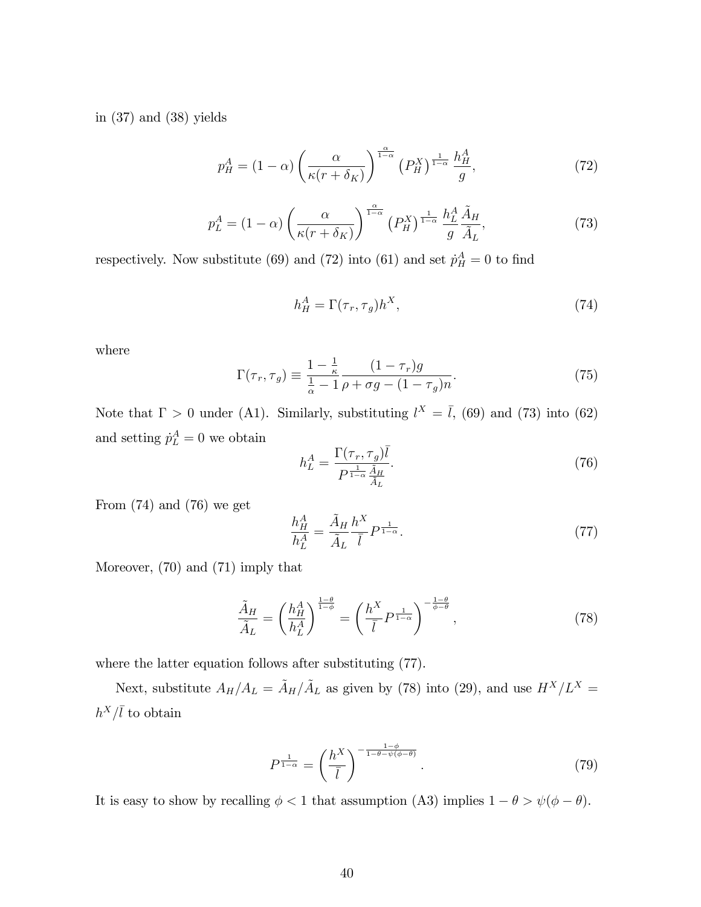in (37) and (38) yields

$$
p_H^A = (1 - \alpha) \left( \frac{\alpha}{\kappa (r + \delta_K)} \right)^{\frac{\alpha}{1 - \alpha}} \left( P_H^X \right)^{\frac{1}{1 - \alpha}} \frac{h_H^A}{g},\tag{72}
$$

$$
p_L^A = (1 - \alpha) \left( \frac{\alpha}{\kappa (r + \delta_K)} \right)^{\frac{\alpha}{1 - \alpha}} \left( P_H^X \right)^{\frac{1}{1 - \alpha}} \frac{h_L^A}{g} \frac{\tilde{A}_H}{\tilde{A}_L},\tag{73}
$$

respectively. Now substitute (69) and (72) into (61) and set  $\dot{p}_H^A = 0$  to find

$$
h_H^A = \Gamma(\tau_r, \tau_g) h^X,\tag{74}
$$

where

$$
\Gamma(\tau_r, \tau_g) \equiv \frac{1 - \frac{1}{\kappa}}{\frac{1}{\alpha} - 1} \frac{(1 - \tau_r)g}{\rho + \sigma g - (1 - \tau_g)n}.
$$
\n(75)

Note that  $\Gamma > 0$  under (A1). Similarly, substituting  $l^X = \overline{l}$ , (69) and (73) into (62) and setting  $\dot{p}_L^A = 0$  we obtain

$$
h_L^A = \frac{\Gamma(\tau_r, \tau_g)\bar{l}}{P^{\frac{1}{1-\alpha}} \frac{\tilde{A}_H}{\tilde{A}_L}}.\tag{76}
$$

From  $(74)$  and  $(76)$  we get

$$
\frac{h_H^A}{h_L^A} = \frac{\tilde{A}_H}{\tilde{A}_L} \frac{h^X}{\bar{l}} P^{\frac{1}{1-\alpha}}.
$$
\n(77)

Moreover, (70) and (71) imply that

$$
\frac{\tilde{A}_H}{\tilde{A}_L} = \left(\frac{h_H^A}{h_L^A}\right)^{\frac{1-\theta}{1-\phi}} = \left(\frac{h^X}{\bar{l}} P^{\frac{1}{1-\alpha}}\right)^{-\frac{1-\theta}{\phi-\theta}},\tag{78}
$$

where the latter equation follows after substituting  $(77)$ .

Next, substitute  $A_H/A_L = \tilde{A}_H/\tilde{A}_L$  as given by (78) into (29), and use  $H^X/L^X =$  $h^X/\overline{l}$  to obtain

$$
P^{\frac{1}{1-\alpha}} = \left(\frac{h^X}{\bar{l}}\right)^{-\frac{1-\phi}{1-\theta-\psi(\phi-\theta)}}.\tag{79}
$$

It is easy to show by recalling  $\phi < 1$  that assumption (A3) implies  $1 - \theta > \psi(\phi - \theta)$ .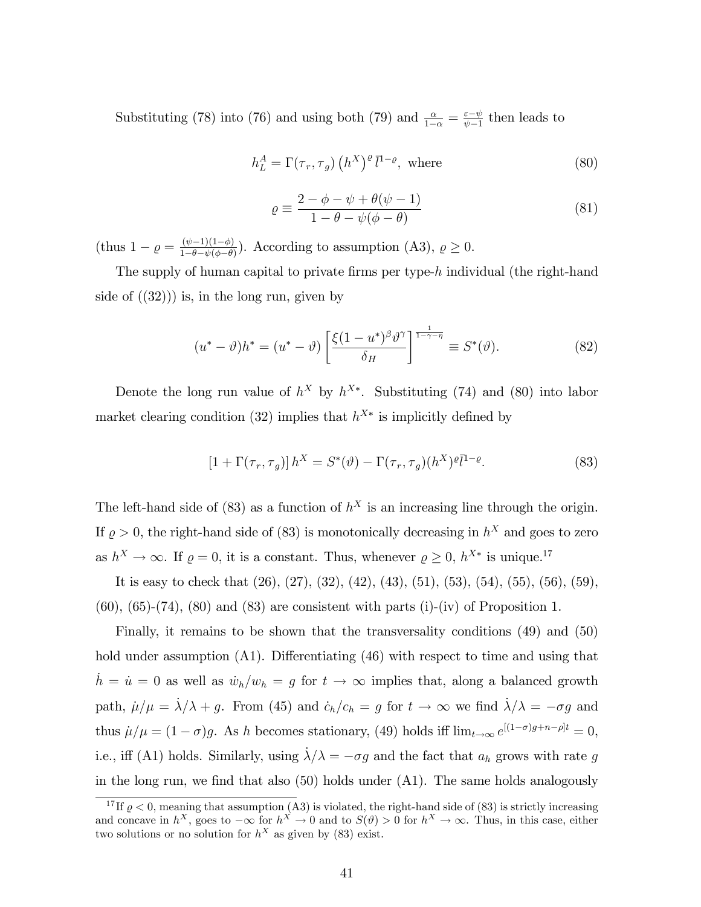Substituting (78) into (76) and using both (79) and  $\frac{\alpha}{1-\alpha} = \frac{\varepsilon - \psi}{\psi - 1}$  $\frac{\varepsilon - \psi}{\psi - 1}$  then leads to

$$
h_L^A = \Gamma(\tau_r, \tau_g) \left( h^X \right)^{\varrho} \bar{l}^{1-\varrho}, \text{ where}
$$
 (80)

$$
\varrho \equiv \frac{2 - \phi - \psi + \theta(\psi - 1)}{1 - \theta - \psi(\phi - \theta)}
$$
(81)

(thus  $1 - \varrho = \frac{(\psi - 1)(1 - \phi)}{1 - \theta - \psi(\phi - \theta)}$  $\frac{(\psi-1)(1-\varphi)}{1-\theta-\psi(\phi-\theta)}$ . According to assumption (A3),  $\varrho \geq 0$ .

The supply of human capital to private firms per type-h individual (the right-hand side of  $((32))$  is, in the long run, given by

$$
(u^* - \vartheta)h^* = (u^* - \vartheta) \left[ \frac{\xi (1 - u^*)^{\beta} \vartheta^{\gamma}}{\delta_H} \right]^{1 - \gamma - \eta} \equiv S^*(\vartheta). \tag{82}
$$

Denote the long run value of  $h^X$  by  $h^{X*}$ . Substituting (74) and (80) into labor market clearing condition (32) implies that  $h^{X*}$  is implicitly defined by

$$
\left[1 + \Gamma(\tau_r, \tau_g)\right] h^X = S^*(\vartheta) - \Gamma(\tau_r, \tau_g)(h^X)^{\varrho} \bar{l}^{1-\varrho}.
$$
\n(83)

The left-hand side of (83) as a function of  $h^X$  is an increasing line through the origin. If  $\rho > 0$ , the right-hand side of (83) is monotonically decreasing in  $h^X$  and goes to zero as  $h^X \to \infty$ . If  $\varrho = 0$ , it is a constant. Thus, whenever  $\varrho \ge 0$ ,  $h^{X*}$  is unique.<sup>17</sup>

It is easy to check that (26), (27), (32), (42), (43), (51), (53), (54), (55), (56), (59),  $(60), (65)$ - $(74), (80)$  and  $(83)$  are consistent with parts (i)-(iv) of Proposition 1.

Finally, it remains to be shown that the transversality conditions (49) and (50) hold under assumption  $(A1)$ . Differentiating  $(46)$  with respect to time and using that  $h = \dot{u} = 0$  as well as  $\dot{w}_h / w_h = g$  for  $t \to \infty$  implies that, along a balanced growth path,  $\mu/\mu = \lambda/\lambda + g$ . From (45) and  $c_h/c_h = g$  for  $t \to \infty$  we find  $\lambda/\lambda = -\sigma g$  and thus  $\mu/\mu = (1 - \sigma)g$ . As h becomes stationary, (49) holds iff  $\lim_{t \to \infty} e^{[(1 - \sigma)g + n - \rho]t} = 0$ , i.e., iff (A1) holds. Similarly, using  $\dot{\lambda}/\lambda = -\sigma g$  and the fact that  $a_h$  grows with rate g in the long run, we find that also  $(50)$  holds under  $(A1)$ . The same holds analogously

<sup>&</sup>lt;sup>17</sup>If  $\varrho$  < 0, meaning that assumption (A3) is violated, the right-hand side of (83) is strictly increasing and concave in  $h^X$ , goes to  $-\infty$  for  $h^X \to 0$  and to  $S(\theta) > 0$  for  $h^X \to \infty$ . Thus, in this case, either two solutions or no solution for  $h^X$  as given by (83) exist.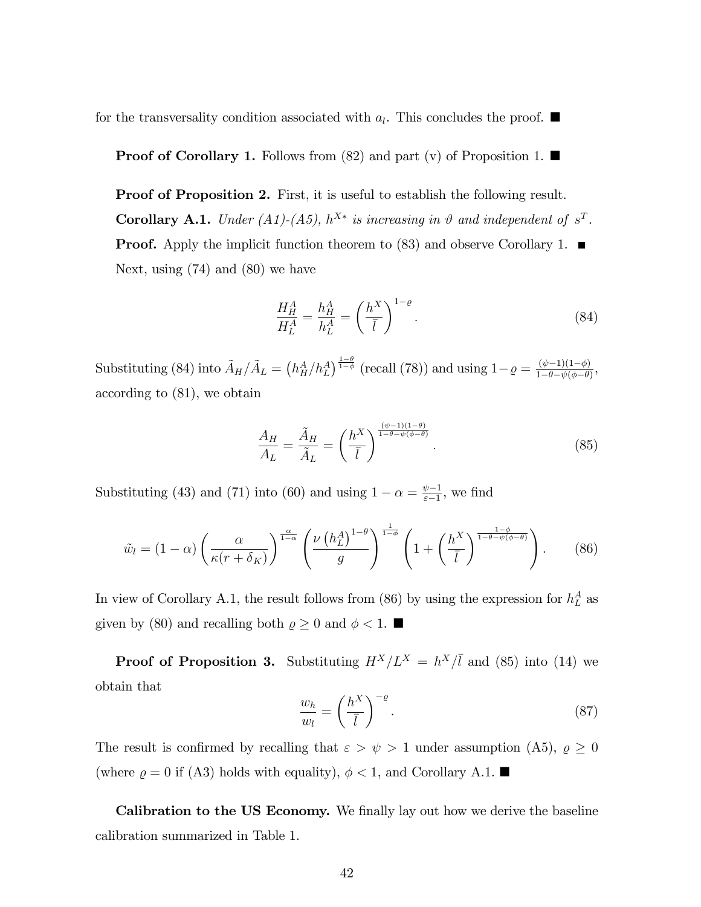for the transversality condition associated with  $a_l$ . This concludes the proof.  $\blacksquare$ 

**Proof of Corollary 1.** Follows from (82) and part (v) of Proposition 1.  $\blacksquare$ 

Proof of Proposition 2. First, it is useful to establish the following result. **Corollary A.1.** Under (A1)-(A5),  $h^{X*}$  is increasing in  $\vartheta$  and independent of  $s^T$ . **Proof.** Apply the implicit function theorem to (83) and observe Corollary 1.  $\blacksquare$ Next, using (74) and (80) we have

$$
\frac{H_H^A}{H_L^A} = \frac{h_H^A}{h_L^A} = \left(\frac{h^X}{\bar{l}}\right)^{1-\varrho}.\tag{84}
$$

Substituting (84) into  $\tilde{A}_H/\tilde{A}_L = (h_H^A/h_L^A)^{\frac{1-\theta}{1-\phi}}$  (recall (78)) and using  $1-\varrho = \frac{(\psi-1)(1-\phi)}{1-\theta-\psi(\phi-\theta)}$  $\frac{(\psi-1)(1-\varphi)}{1-\theta-\psi(\phi-\theta)},$ according to (81), we obtain

$$
\frac{A_H}{A_L} = \frac{\tilde{A}_H}{\tilde{A}_L} = \left(\frac{h^X}{\bar{l}}\right)^{\frac{(\psi - 1)(1-\theta)}{1-\theta - \psi(\phi-\theta)}}.\tag{85}
$$

Substituting (43) and (71) into (60) and using  $1 - \alpha = \frac{\psi - 1}{\varepsilon - 1}$  $\frac{\psi-1}{\varepsilon-1}$ , we find

$$
\tilde{w}_l = (1 - \alpha) \left( \frac{\alpha}{\kappa (r + \delta_K)} \right)^{\frac{\alpha}{1 - \alpha}} \left( \frac{\nu \left( h_L^A \right)^{1 - \theta}}{g} \right)^{\frac{1}{1 - \phi}} \left( 1 + \left( \frac{h^X}{\bar{l}} \right)^{\frac{1 - \phi}{1 - \theta - \psi(\phi - \theta)}} \right). \tag{86}
$$

In view of Corollary A.1, the result follows from (86) by using the expression for  $h_L^A$  as given by (80) and recalling both  $\rho \ge 0$  and  $\phi < 1$ .

**Proof of Proposition 3.** Substituting  $H^X/L^X = h^X/\overline{l}$  and (85) into (14) we obtain that

$$
\frac{w_h}{w_l} = \left(\frac{h^X}{\bar{l}}\right)^{-\varrho}.\tag{87}
$$

The result is confirmed by recalling that  $\varepsilon > \psi > 1$  under assumption (A5),  $\varrho \ge 0$ (where  $\rho = 0$  if (A3) holds with equality),  $\phi < 1$ , and Corollary A.1.

Calibration to the US Economy. We finally lay out how we derive the baseline calibration summarized in Table 1.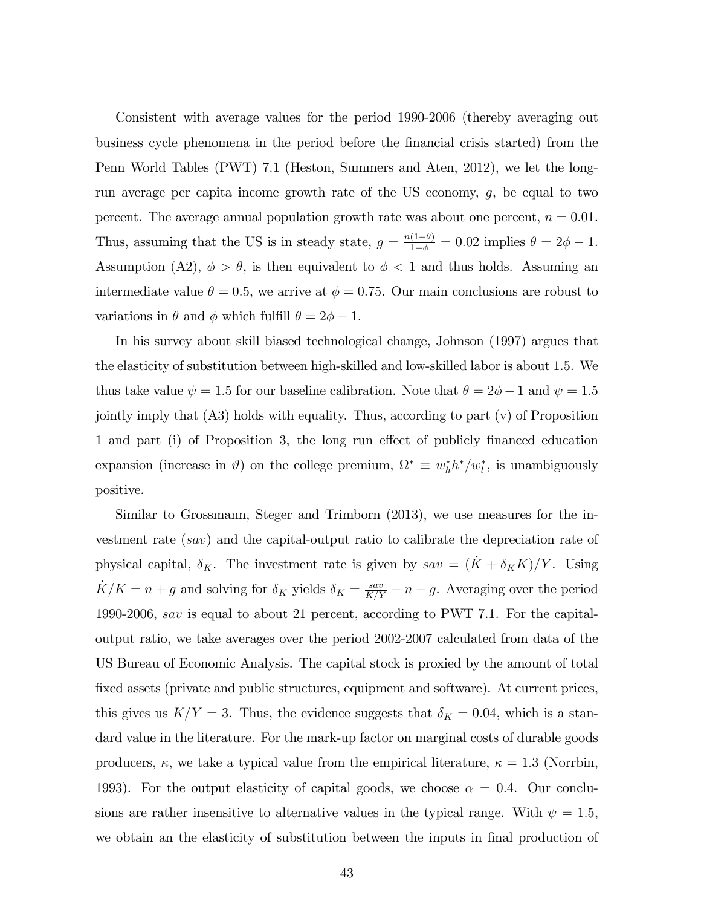Consistent with average values for the period 1990-2006 (thereby averaging out business cycle phenomena in the period before the Önancial crisis started) from the Penn World Tables (PWT) 7.1 (Heston, Summers and Aten, 2012), we let the longrun average per capita income growth rate of the US economy, g, be equal to two percent. The average annual population growth rate was about one percent,  $n = 0.01$ . Thus, assuming that the US is in steady state,  $g = \frac{n(1-\theta)}{1-\phi} = 0.02$  implies  $\theta = 2\phi - 1$ . Assumption (A2),  $\phi > \theta$ , is then equivalent to  $\phi < 1$  and thus holds. Assuming an intermediate value  $\theta = 0.5$ , we arrive at  $\phi = 0.75$ . Our main conclusions are robust to variations in  $\theta$  and  $\phi$  which fulfill  $\theta = 2\phi - 1$ .

In his survey about skill biased technological change, Johnson (1997) argues that the elasticity of substitution between high-skilled and low-skilled labor is about 1.5. We thus take value  $\psi = 1.5$  for our baseline calibration. Note that  $\theta = 2\phi - 1$  and  $\psi = 1.5$ jointly imply that (A3) holds with equality. Thus, according to part (v) of Proposition 1 and part (i) of Proposition 3, the long run effect of publicly financed education expansion (increase in  $\vartheta$ ) on the college premium,  $\Omega^* \equiv w_h^* h^* / w_l^*$ , is unambiguously positive.

Similar to Grossmann, Steger and Trimborn (2013), we use measures for the investment rate (sav) and the capital-output ratio to calibrate the depreciation rate of physical capital,  $\delta_K$ . The investment rate is given by  $sav = (K + \delta_K K)/Y$ . Using  $\dot{K}/K = n + g$  and solving for  $\delta_K$  yields  $\delta_K = \frac{say}{K/Y} - n - g$ . Averaging over the period 1990-2006, sav is equal to about 21 percent, according to PWT 7.1. For the capitaloutput ratio, we take averages over the period 2002-2007 calculated from data of the US Bureau of Economic Analysis. The capital stock is proxied by the amount of total fixed assets (private and public structures, equipment and software). At current prices, this gives us  $K/Y = 3$ . Thus, the evidence suggests that  $\delta_K = 0.04$ , which is a standard value in the literature. For the mark-up factor on marginal costs of durable goods producers,  $\kappa$ , we take a typical value from the empirical literature,  $\kappa = 1.3$  (Norrbin, 1993). For the output elasticity of capital goods, we choose  $\alpha = 0.4$ . Our conclusions are rather insensitive to alternative values in the typical range. With  $\psi = 1.5$ , we obtain an the elasticity of substitution between the inputs in final production of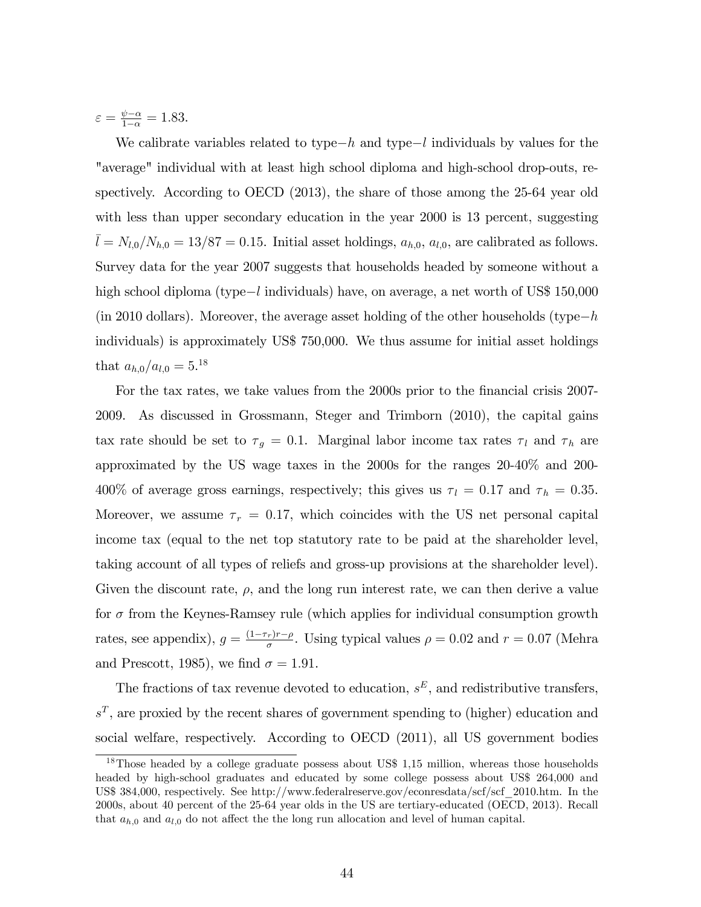$\varepsilon = \frac{\psi - \alpha}{1 - \alpha} = 1.83.$ 

We calibrate variables related to type- $h$  and type- $l$  individuals by values for the "average" individual with at least high school diploma and high-school drop-outs, respectively. According to OECD (2013), the share of those among the 25-64 year old with less than upper secondary education in the year 2000 is 13 percent, suggesting  $l = N_{l,0}/N_{h,0} = 13/87 = 0.15$ . Initial asset holdings,  $a_{h,0}$ ,  $a_{l,0}$ , are calibrated as follows. Survey data for the year 2007 suggests that households headed by someone without a high school diploma (type- $l$  individuals) have, on average, a net worth of US\$ 150,000 (in 2010 dollars). Moreover, the average asset holding of the other households (type  $-h$ ) individuals) is approximately US\$ 750,000. We thus assume for initial asset holdings that  $a_{h,0}/a_{l,0} = 5.^{18}$ 

For the tax rates, we take values from the 2000s prior to the financial crisis 2007-2009. As discussed in Grossmann, Steger and Trimborn (2010), the capital gains tax rate should be set to  $\tau_g = 0.1$ . Marginal labor income tax rates  $\tau_l$  and  $\tau_h$  are approximated by the US wage taxes in the 2000s for the ranges 20-40% and 200- 400% of average gross earnings, respectively; this gives us  $\tau_l = 0.17$  and  $\tau_h = 0.35$ . Moreover, we assume  $\tau_r = 0.17$ , which coincides with the US net personal capital income tax (equal to the net top statutory rate to be paid at the shareholder level, taking account of all types of reliefs and gross-up provisions at the shareholder level). Given the discount rate,  $\rho$ , and the long run interest rate, we can then derive a value for  $\sigma$  from the Keynes-Ramsey rule (which applies for individual consumption growth rates, see appendix),  $g = \frac{(1 - \tau_r)r - \rho}{\sigma}$ . Using typical values  $\rho = 0.02$  and  $r = 0.07$  (Mehra and Prescott, 1985), we find  $\sigma = 1.91$ .

The fractions of tax revenue devoted to education,  $s<sup>E</sup>$ , and redistributive transfers,  $s<sup>T</sup>$ , are proxied by the recent shares of government spending to (higher) education and social welfare, respectively. According to OECD (2011), all US government bodies

 $18$ Those headed by a college graduate possess about US\$ 1,15 million, whereas those households headed by high-school graduates and educated by some college possess about US\$ 264,000 and US\$ 384,000, respectively. See http://www.federalreserve.gov/econresdata/scf/scf\_2010.htm. In the 2000s, about 40 percent of the 25-64 year olds in the US are tertiary-educated (OECD, 2013). Recall that  $a_{h,0}$  and  $a_{l,0}$  do not affect the the long run allocation and level of human capital.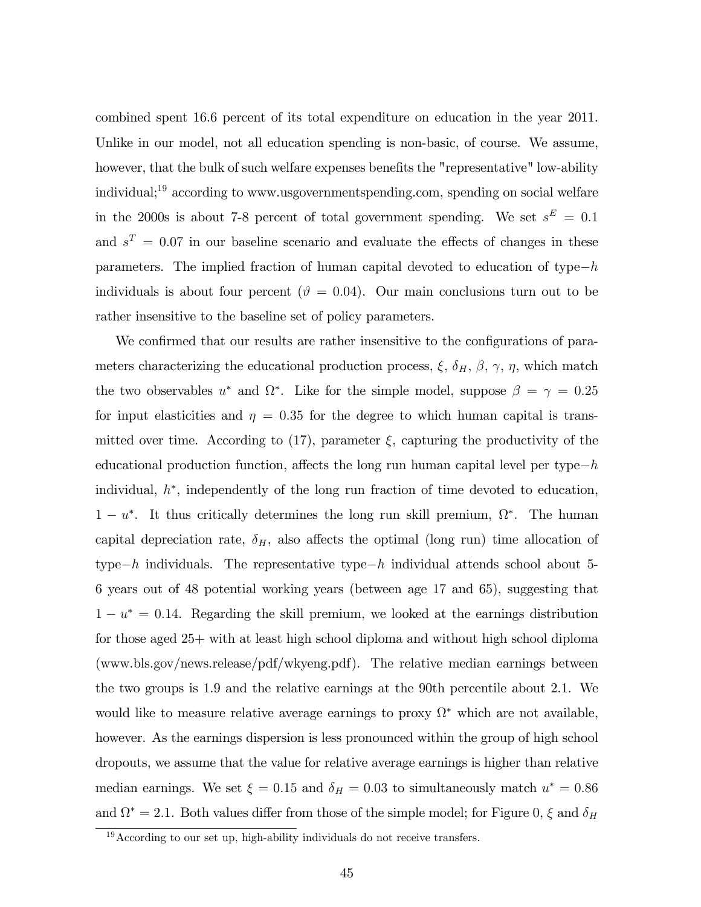combined spent 16.6 percent of its total expenditure on education in the year 2011. Unlike in our model, not all education spending is non-basic, of course. We assume, however, that the bulk of such welfare expenses benefits the "representative" low-ability individual;<sup>19</sup> according to www.usgovernmentspending.com, spending on social welfare in the 2000s is about 7-8 percent of total government spending. We set  $s^E = 0.1$ and  $s^T = 0.07$  in our baseline scenario and evaluate the effects of changes in these parameters. The implied fraction of human capital devoted to education of type $-h$ individuals is about four percent ( $\vartheta = 0.04$ ). Our main conclusions turn out to be rather insensitive to the baseline set of policy parameters.

We confirmed that our results are rather insensitive to the configurations of parameters characterizing the educational production process,  $\xi$ ,  $\delta_H$ ,  $\beta$ ,  $\gamma$ ,  $\eta$ , which match the two observables  $u^*$  and  $\Omega^*$ . Like for the simple model, suppose  $\beta = \gamma = 0.25$ for input elasticities and  $\eta = 0.35$  for the degree to which human capital is transmitted over time. According to (17), parameter  $\xi$ , capturing the productivity of the educational production function, affects the long run human capital level per type $-h$ individual,  $h^*$ , independently of the long run fraction of time devoted to education,  $1 - u^*$ . It thus critically determines the long run skill premium,  $\Omega^*$ . The human capital depreciation rate,  $\delta_H$ , also affects the optimal (long run) time allocation of type-h individuals. The representative type-h individual attends school about 5-6 years out of 48 potential working years (between age 17 and 65), suggesting that  $1 - u^* = 0.14$ . Regarding the skill premium, we looked at the earnings distribution for those aged 25+ with at least high school diploma and without high school diploma (www.bls.gov/news.release/pdf/wkyeng.pdf). The relative median earnings between the two groups is 1.9 and the relative earnings at the 90th percentile about 2.1. We would like to measure relative average earnings to proxy  $\Omega^*$  which are not available, however. As the earnings dispersion is less pronounced within the group of high school dropouts, we assume that the value for relative average earnings is higher than relative median earnings. We set  $\xi = 0.15$  and  $\delta_H = 0.03$  to simultaneously match  $u^* = 0.86$ and  $\Omega^* = 2.1$ . Both values differ from those of the simple model; for Figure 0,  $\xi$  and  $\delta_H$ 

 $19$ According to our set up, high-ability individuals do not receive transfers.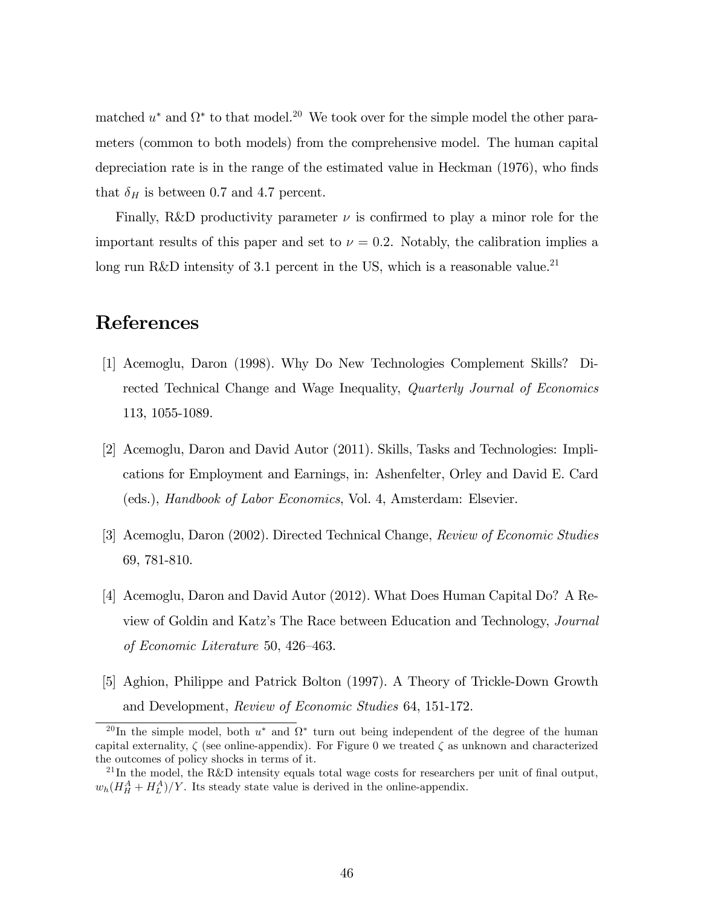matched  $u^*$  and  $\Omega^*$  to that model.<sup>20</sup> We took over for the simple model the other parameters (common to both models) from the comprehensive model. The human capital depreciation rate is in the range of the estimated value in Heckman (1976), who finds that  $\delta_H$  is between 0.7 and 4.7 percent.

Finally, R&D productivity parameter  $\nu$  is confirmed to play a minor role for the important results of this paper and set to  $\nu = 0.2$ . Notably, the calibration implies a long run R&D intensity of 3.1 percent in the US, which is a reasonable value.<sup>21</sup>

### References

- [1] Acemoglu, Daron (1998). Why Do New Technologies Complement Skills? Directed Technical Change and Wage Inequality, Quarterly Journal of Economics 113, 1055-1089.
- [2] Acemoglu, Daron and David Autor (2011). Skills, Tasks and Technologies: Implications for Employment and Earnings, in: Ashenfelter, Orley and David E. Card (eds.), Handbook of Labor Economics, Vol. 4, Amsterdam: Elsevier.
- [3] Acemoglu, Daron (2002). Directed Technical Change, Review of Economic Studies 69, 781-810.
- [4] Acemoglu, Daron and David Autor (2012). What Does Human Capital Do? A Review of Goldin and Katzís The Race between Education and Technology, Journal of Economic Literature 50, 426–463.
- [5] Aghion, Philippe and Patrick Bolton (1997). A Theory of Trickle-Down Growth and Development, Review of Economic Studies 64, 151-172.

<sup>&</sup>lt;sup>20</sup>In the simple model, both  $u^*$  and  $\Omega^*$  turn out being independent of the degree of the human capital externality,  $\zeta$  (see online-appendix). For Figure 0 we treated  $\zeta$  as unknown and characterized the outcomes of policy shocks in terms of it.

<sup>&</sup>lt;sup>21</sup>In the model, the R&D intensity equals total wage costs for researchers per unit of final output,  $w_h (H_H^A + H_L^A)/Y$ . Its steady state value is derived in the online-appendix.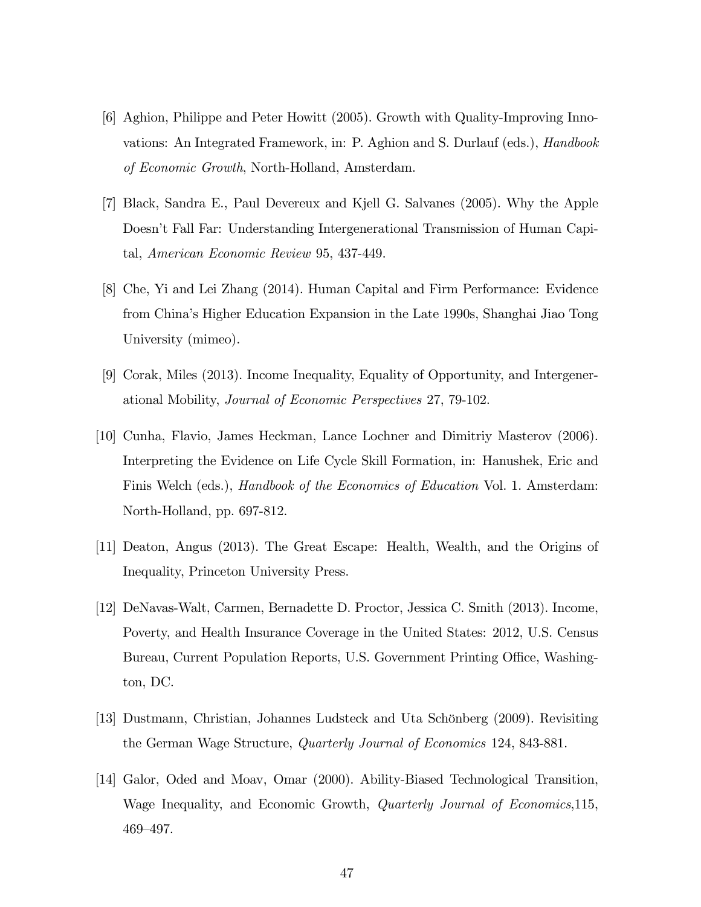- [6] Aghion, Philippe and Peter Howitt (2005). Growth with Quality-Improving Innovations: An Integrated Framework, in: P. Aghion and S. Durlauf (eds.), Handbook of Economic Growth, North-Holland, Amsterdam.
- [7] Black, Sandra E., Paul Devereux and Kjell G. Salvanes (2005). Why the Apple Doesnít Fall Far: Understanding Intergenerational Transmission of Human Capital, American Economic Review 95, 437-449.
- [8] Che, Yi and Lei Zhang (2014). Human Capital and Firm Performance: Evidence from Chinaís Higher Education Expansion in the Late 1990s, Shanghai Jiao Tong University (mimeo).
- [9] Corak, Miles (2013). Income Inequality, Equality of Opportunity, and Intergenerational Mobility, Journal of Economic Perspectives 27, 79-102.
- [10] Cunha, Flavio, James Heckman, Lance Lochner and Dimitriy Masterov (2006). Interpreting the Evidence on Life Cycle Skill Formation, in: Hanushek, Eric and Finis Welch (eds.), Handbook of the Economics of Education Vol. 1. Amsterdam: North-Holland, pp. 697-812.
- [11] Deaton, Angus (2013). The Great Escape: Health, Wealth, and the Origins of Inequality, Princeton University Press.
- [12] DeNavas-Walt, Carmen, Bernadette D. Proctor, Jessica C. Smith (2013). Income, Poverty, and Health Insurance Coverage in the United States: 2012, U.S. Census Bureau, Current Population Reports, U.S. Government Printing Office, Washington, DC.
- [13] Dustmann, Christian, Johannes Ludsteck and Uta Schönberg (2009). Revisiting the German Wage Structure, Quarterly Journal of Economics 124, 843-881.
- [14] Galor, Oded and Moav, Omar (2000). Ability-Biased Technological Transition, Wage Inequality, and Economic Growth, Quarterly Journal of Economics,115, 469-497.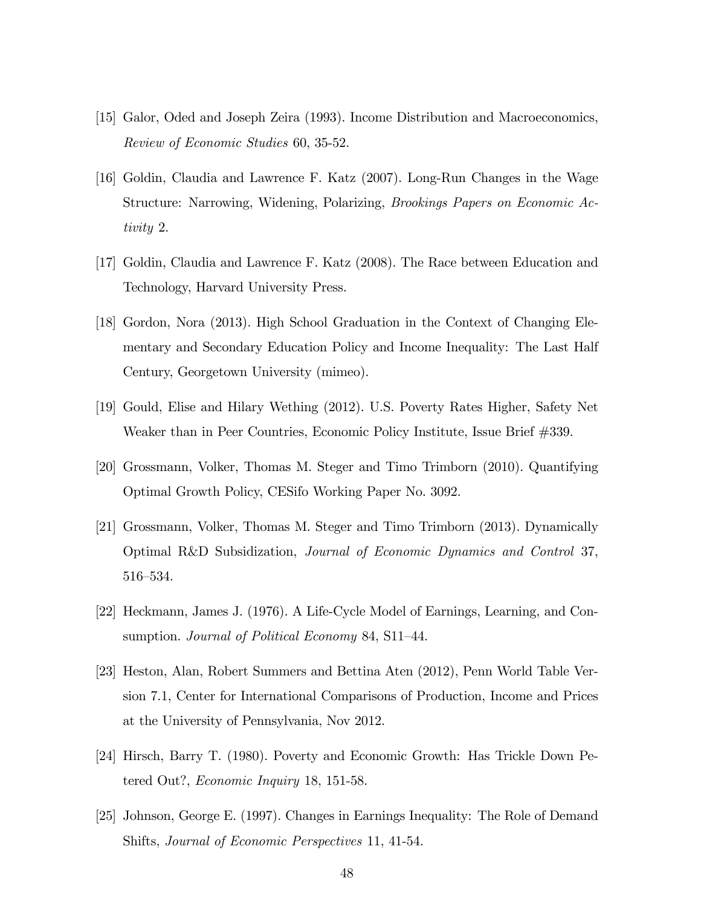- [15] Galor, Oded and Joseph Zeira (1993). Income Distribution and Macroeconomics, Review of Economic Studies 60, 35-52.
- [16] Goldin, Claudia and Lawrence F. Katz (2007). Long-Run Changes in the Wage Structure: Narrowing, Widening, Polarizing, Brookings Papers on Economic Activity 2.
- [17] Goldin, Claudia and Lawrence F. Katz (2008). The Race between Education and Technology, Harvard University Press.
- [18] Gordon, Nora (2013). High School Graduation in the Context of Changing Elementary and Secondary Education Policy and Income Inequality: The Last Half Century, Georgetown University (mimeo).
- [19] Gould, Elise and Hilary Wething (2012). U.S. Poverty Rates Higher, Safety Net Weaker than in Peer Countries, Economic Policy Institute, Issue Brief #339.
- [20] Grossmann, Volker, Thomas M. Steger and Timo Trimborn (2010). Quantifying Optimal Growth Policy, CESifo Working Paper No. 3092.
- [21] Grossmann, Volker, Thomas M. Steger and Timo Trimborn (2013). Dynamically Optimal R&D Subsidization, Journal of Economic Dynamics and Control 37, 516–534.
- [22] Heckmann, James J. (1976). A Life-Cycle Model of Earnings, Learning, and Consumption. Journal of Political Economy 84, S11-44.
- [23] Heston, Alan, Robert Summers and Bettina Aten (2012), Penn World Table Version 7.1, Center for International Comparisons of Production, Income and Prices at the University of Pennsylvania, Nov 2012.
- [24] Hirsch, Barry T. (1980). Poverty and Economic Growth: Has Trickle Down Petered Out?, Economic Inquiry 18, 151-58.
- [25] Johnson, George E. (1997). Changes in Earnings Inequality: The Role of Demand Shifts, Journal of Economic Perspectives 11, 41-54.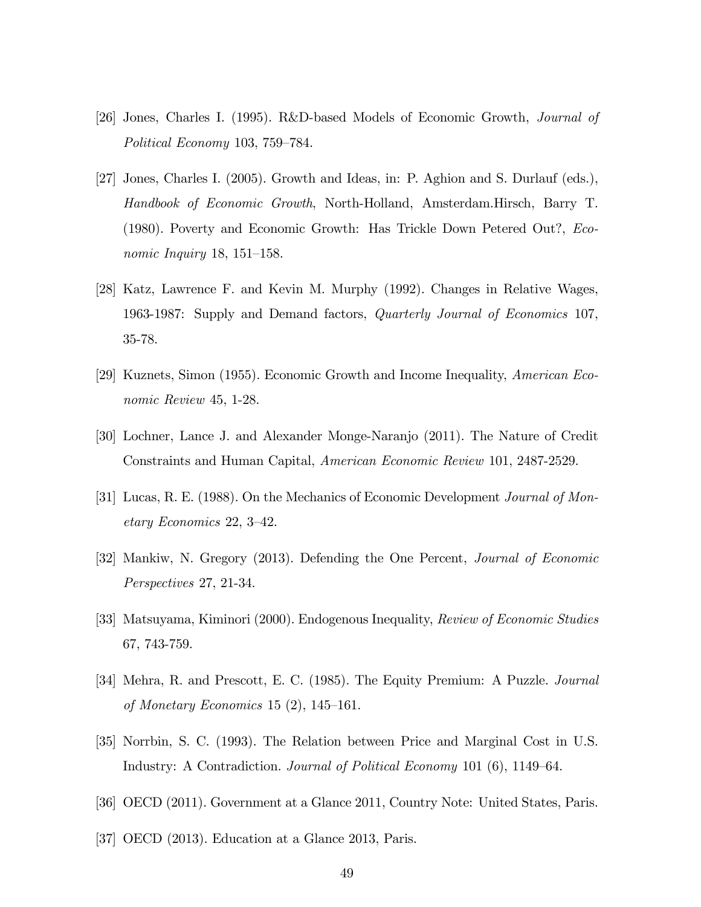- [26] Jones, Charles I. (1995). R&D-based Models of Economic Growth, Journal of Political Economy 103, 759–784.
- [27] Jones, Charles I. (2005). Growth and Ideas, in: P. Aghion and S. Durlauf (eds.), Handbook of Economic Growth, North-Holland, Amsterdam.Hirsch, Barry T. (1980). Poverty and Economic Growth: Has Trickle Down Petered Out?, Economic Inquiry 18, 151–158.
- [28] Katz, Lawrence F. and Kevin M. Murphy (1992). Changes in Relative Wages, 1963-1987: Supply and Demand factors, *Quarterly Journal of Economics* 107, 35-78.
- [29] Kuznets, Simon (1955). Economic Growth and Income Inequality, American Economic Review 45, 1-28.
- [30] Lochner, Lance J. and Alexander Monge-Naranjo (2011). The Nature of Credit Constraints and Human Capital, American Economic Review 101, 2487-2529.
- [31] Lucas, R. E. (1988). On the Mechanics of Economic Development Journal of Mon $etary Economics 22, 3-42.$
- [32] Mankiw, N. Gregory (2013). Defending the One Percent, Journal of Economic Perspectives 27, 21-34.
- [33] Matsuyama, Kiminori (2000). Endogenous Inequality, Review of Economic Studies 67, 743-759.
- [34] Mehra, R. and Prescott, E. C. (1985). The Equity Premium: A Puzzle. Journal of Monetary Economics 15  $(2)$ , 145–161.
- [35] Norrbin, S. C. (1993). The Relation between Price and Marginal Cost in U.S. Industry: A Contradiction. *Journal of Political Economy* 101 (6), 1149–64.
- [36] OECD (2011). Government at a Glance 2011, Country Note: United States, Paris.
- [37] OECD (2013). Education at a Glance 2013, Paris.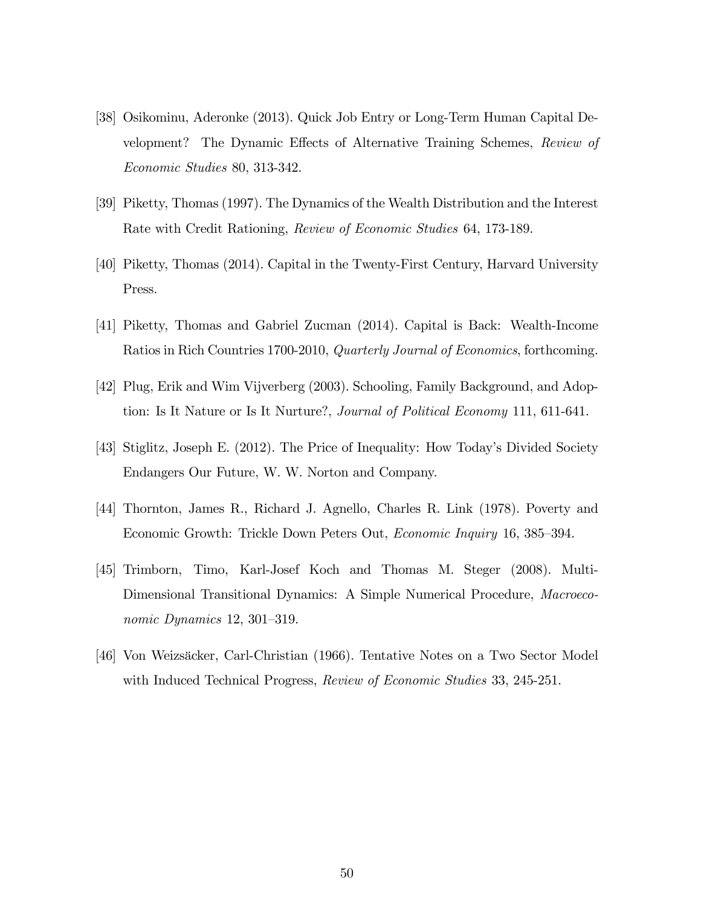- [38] Osikominu, Aderonke (2013). Quick Job Entry or Long-Term Human Capital Development? The Dynamic Effects of Alternative Training Schemes, Review of Economic Studies 80, 313-342.
- [39] Piketty, Thomas (1997). The Dynamics of the Wealth Distribution and the Interest Rate with Credit Rationing, Review of Economic Studies 64, 173-189.
- [40] Piketty, Thomas (2014). Capital in the Twenty-First Century, Harvard University Press.
- [41] Piketty, Thomas and Gabriel Zucman (2014). Capital is Back: Wealth-Income Ratios in Rich Countries 1700-2010, Quarterly Journal of Economics, forthcoming.
- [42] Plug, Erik and Wim Vijverberg (2003). Schooling, Family Background, and Adoption: Is It Nature or Is It Nurture?, Journal of Political Economy 111, 611-641.
- [43] Stiglitz, Joseph E. (2012). The Price of Inequality: How Todayís Divided Society Endangers Our Future, W. W. Norton and Company.
- [44] Thornton, James R., Richard J. Agnello, Charles R. Link (1978). Poverty and Economic Growth: Trickle Down Peters Out, *Economic Inquiry* 16, 385–394.
- [45] Trimborn, Timo, Karl-Josef Koch and Thomas M. Steger (2008). Multi-Dimensional Transitional Dynamics: A Simple Numerical Procedure, Macroeconomic Dynamics 12, 301–319.
- [46] Von Weizs‰cker, Carl-Christian (1966). Tentative Notes on a Two Sector Model with Induced Technical Progress, Review of Economic Studies 33, 245-251.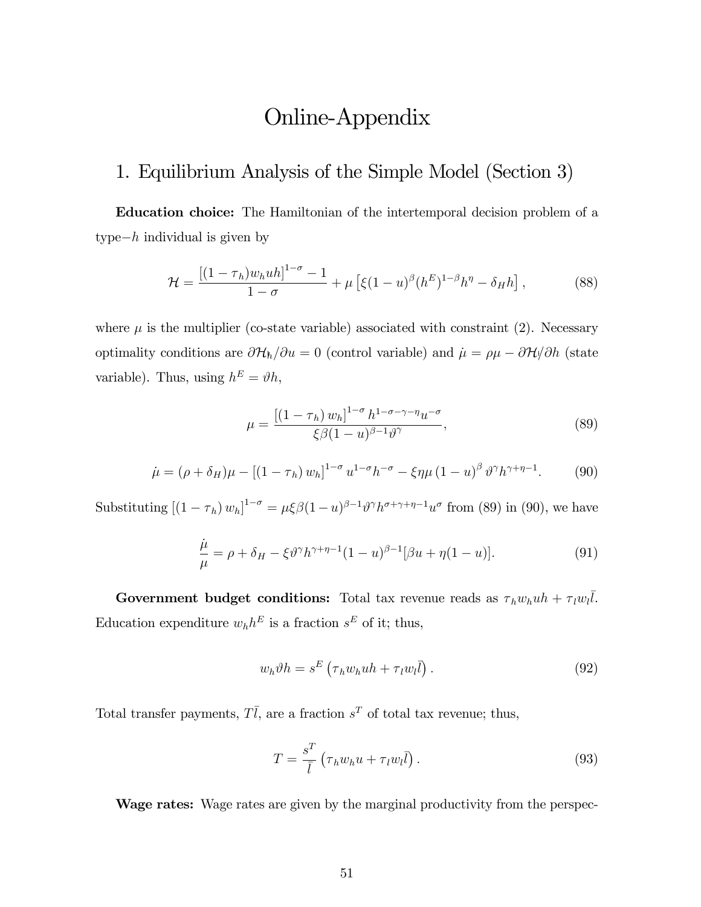# Online-Appendix

### 1. Equilibrium Analysis of the Simple Model (Section 3)

Education choice: The Hamiltonian of the intertemporal decision problem of a type $-h$  individual is given by

$$
\mathcal{H} = \frac{[(1 - \tau_h)w_h u h]^{1 - \sigma} - 1}{1 - \sigma} + \mu \left[ \xi (1 - u)^{\beta} (h^E)^{1 - \beta} h^{\eta} - \delta_H h \right],
$$
(88)

where  $\mu$  is the multiplier (co-state variable) associated with constraint (2). Necessary optimality conditions are  $\partial H_h/\partial u = 0$  (control variable) and  $\dot{\mu} = \rho\mu - \partial H/\partial h$  (state variable). Thus, using  $h^E = \vartheta h$ ,

$$
\mu = \frac{\left[ (1 - \tau_h) w_h \right]^{1 - \sigma} h^{1 - \sigma - \gamma - \eta} u^{-\sigma}}{\xi \beta (1 - u)^{\beta - 1} \vartheta^{\gamma}},\tag{89}
$$

$$
\dot{\mu} = (\rho + \delta_H)\mu - \left[ (1 - \tau_h) w_h \right]^{1 - \sigma} u^{1 - \sigma} h^{-\sigma} - \xi \eta \mu \left( 1 - u \right)^{\beta} \vartheta^{\gamma} h^{\gamma + \eta - 1}.
$$
 (90)

Substituting  $[(1 - \tau_h) w_h]^{1-\sigma} = \mu \xi \beta (1-u)^{\beta-1} \vartheta^{\gamma} h^{\sigma+\gamma+\eta-1} u^{\sigma}$  from (89) in (90), we have

$$
\frac{\dot{\mu}}{\mu} = \rho + \delta_H - \xi \vartheta^{\gamma} h^{\gamma + \eta - 1} (1 - u)^{\beta - 1} [\beta u + \eta (1 - u)]. \tag{91}
$$

Government budget conditions: Total tax revenue reads as  $\tau_h w_h u h + \tau_l w_l \overline{l}$ . Education expenditure  $w_h h^E$  is a fraction  $s^E$  of it; thus,

$$
w_h \vartheta h = s^E \left( \tau_h w_h u h + \tau_l w_l \bar{l} \right). \tag{92}
$$

Total transfer payments,  $T\overline{l}$ , are a fraction  $s^T$  of total tax revenue; thus,

$$
T = \frac{s^T}{\bar{l}} \left( \tau_h w_h u + \tau_l w_l \bar{l} \right).
$$
 (93)

Wage rates: Wage rates are given by the marginal productivity from the perspec-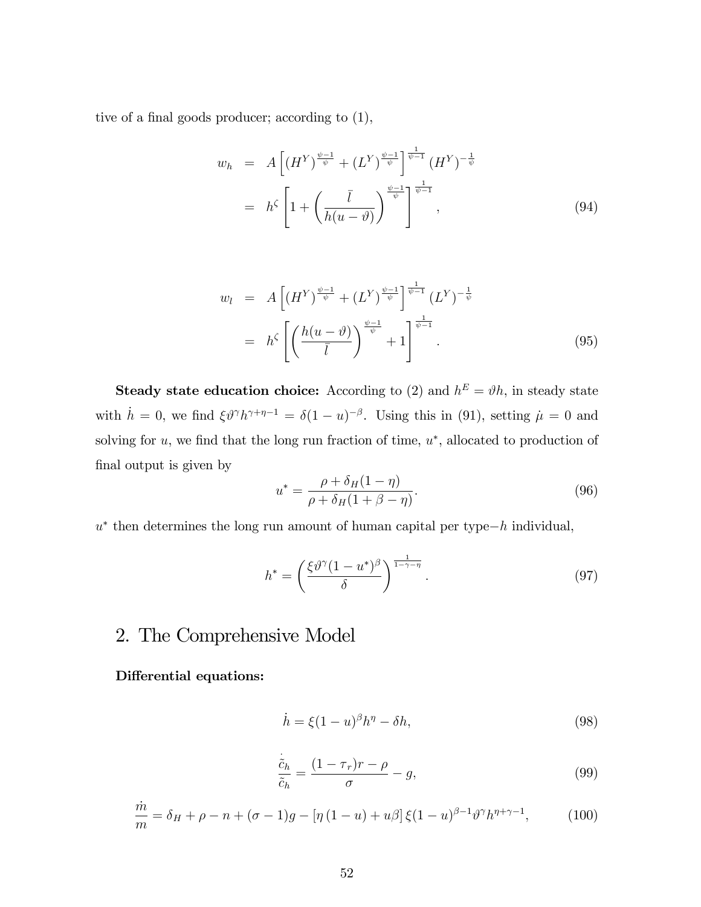tive of a final goods producer; according to  $(1)$ ,

$$
w_h = A \left[ (H^Y)^{\frac{\psi - 1}{\psi}} + (L^Y)^{\frac{\psi - 1}{\psi}} \right]^{\frac{1}{\psi - 1}} (H^Y)^{-\frac{1}{\psi}}
$$
  
=  $h^{\zeta} \left[ 1 + \left( \frac{\bar{l}}{h(u - \vartheta)} \right)^{\frac{\psi - 1}{\psi}} \right]^{\frac{1}{\psi - 1}},$  (94)

$$
w_l = A \left[ \left( H^Y \right)^{\frac{\psi - 1}{\psi}} + \left( L^Y \right)^{\frac{\psi - 1}{\psi}} \right]^{\frac{1}{\psi - 1}} \left( L^Y \right)^{-\frac{1}{\psi}} \\
= h^{\zeta} \left[ \left( \frac{h(u - \vartheta)}{\overline{l}} \right)^{\frac{\psi - 1}{\psi}} + 1 \right]^{\frac{1}{\psi - 1}}.
$$
\n(95)

**Steady state education choice:** According to (2) and  $h^E = \vartheta h$ , in steady state with  $\dot{h} = 0$ , we find  $\xi \partial^{\gamma} h^{\gamma + \eta - 1} = \delta (1 - u)^{-\beta}$ . Using this in (91), setting  $\dot{\mu} = 0$  and solving for  $u$ , we find that the long run fraction of time,  $u^*$ , allocated to production of final output is given by

$$
u^* = \frac{\rho + \delta_H (1 - \eta)}{\rho + \delta_H (1 + \beta - \eta)}.
$$
\n(96)

 $u^*$  then determines the long run amount of human capital per type- $h$  individual,

$$
h^* = \left(\frac{\xi \vartheta^{\gamma} (1 - u^*)^{\beta}}{\delta}\right)^{\frac{1}{1 - \gamma - \eta}}.
$$
\n(97)

### 2. The Comprehensive Model

Differential equations:

$$
\dot{h} = \xi (1 - u)^{\beta} h^{\eta} - \delta h,\tag{98}
$$

$$
\frac{\ddot{c}_h}{\ddot{c}_h} = \frac{(1 - \tau_r)r - \rho}{\sigma} - g,\tag{99}
$$

$$
\frac{\dot{m}}{m} = \delta_H + \rho - n + (\sigma - 1)g - [\eta (1 - u) + u\beta] \xi (1 - u)^{\beta - 1} \vartheta^{\gamma} h^{\eta + \gamma - 1},\tag{100}
$$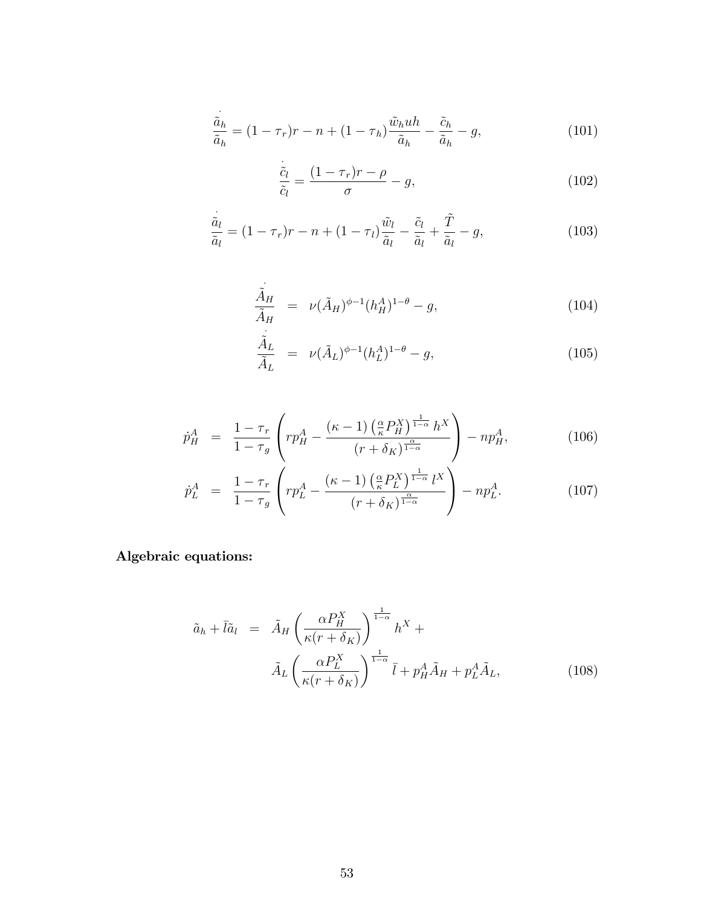$$
\frac{\ddot{a}_h}{\tilde{a}_h} = (1 - \tau_r)r - n + (1 - \tau_h)\frac{\tilde{w}_h u h}{\tilde{a}_h} - \frac{\tilde{c}_h}{\tilde{a}_h} - g,\tag{101}
$$

$$
\frac{\dot{\tilde{c}}_l}{\tilde{c}_l} = \frac{(1 - \tau_r)r - \rho}{\sigma} - g,\tag{102}
$$

$$
\frac{\dot{\tilde{a}}_l}{\tilde{a}_l} = (1 - \tau_r)r - n + (1 - \tau_l)\frac{\tilde{w}_l}{\tilde{a}_l} - \frac{\tilde{c}_l}{\tilde{a}_l} + \frac{\tilde{T}}{\tilde{a}_l} - g,\tag{103}
$$

$$
\frac{\tilde{A}_H}{\tilde{A}_H} = \nu (\tilde{A}_H)^{\phi - 1} (h_H^A)^{1 - \theta} - g,
$$
\n(104)

$$
\frac{\tilde{A}_L}{\tilde{A}_L} = \nu(\tilde{A}_L)^{\phi - 1} (h_L^A)^{1 - \theta} - g,
$$
\n(105)

$$
\dot{p}_{H}^{A} = \frac{1-\tau_{r}}{1-\tau_{g}} \left( rp_{H}^{A} - \frac{\left(\kappa - 1\right) \left(\frac{\alpha}{\kappa} P_{H}^{X}\right)^{\frac{1}{1-\alpha}} h^{X}}{\left(r + \delta_{K}\right)^{\frac{\alpha}{1-\alpha}}} \right) - np_{H}^{A},\tag{106}
$$

$$
\dot{p}_L^A = \frac{1 - \tau_r}{1 - \tau_g} \left( r p_L^A - \frac{(\kappa - 1) \left( \frac{\alpha}{\kappa} P_L^X \right)^{\frac{1}{1 - \alpha}} l^X}{(r + \delta_K)^{\frac{\alpha}{1 - \alpha}}} \right) - n p_L^A. \tag{107}
$$

Algebraic equations:

$$
\tilde{a}_h + \bar{l}\tilde{a}_l = \tilde{A}_H \left(\frac{\alpha P_H^X}{\kappa (r + \delta_K)}\right)^{\frac{1}{1-\alpha}} h^X +
$$

$$
\tilde{A}_L \left(\frac{\alpha P_L^X}{\kappa (r + \delta_K)}\right)^{\frac{1}{1-\alpha}} \bar{l} + p_H^A \tilde{A}_H + p_L^A \tilde{A}_L, \tag{108}
$$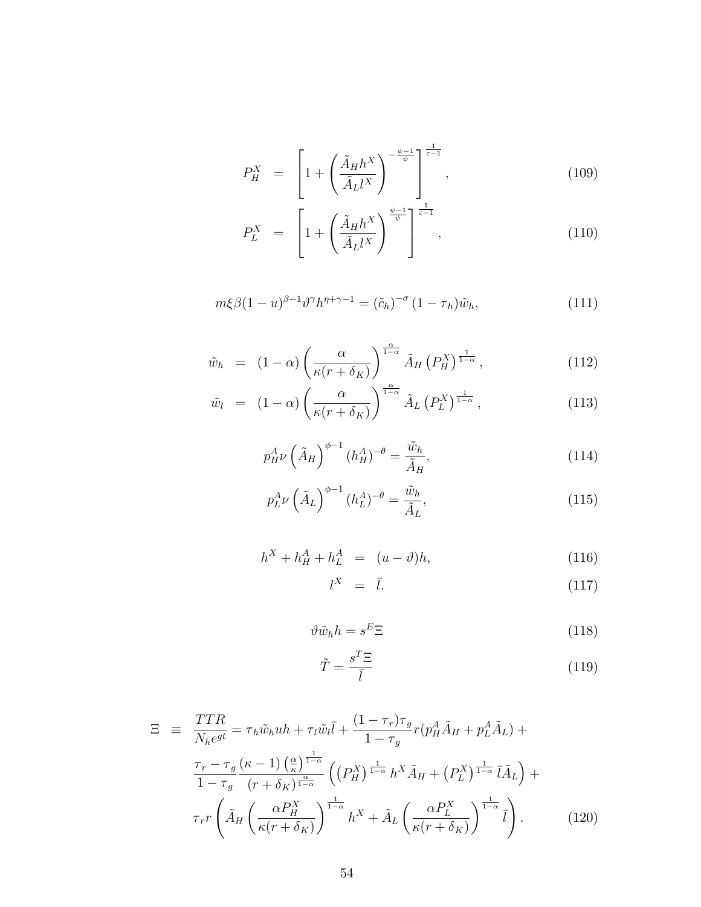$$
P_H^X = \left[1 + \left(\frac{\tilde{A}_H h^X}{\tilde{A}_L l^X}\right)^{-\frac{\psi - 1}{\psi}}\right]_0^{\frac{1}{\varepsilon - 1}},\tag{109}
$$

$$
P_L^X = \left[1 + \left(\frac{\tilde{A}_H h^X}{\tilde{A}_L l^X}\right)^{\frac{\psi - 1}{\psi}}\right]^{\frac{1}{\varepsilon - 1}},\tag{110}
$$

$$
m\xi\beta(1-u)^{\beta-1}\vartheta^{\gamma}h^{\eta+\gamma-1} = (\tilde{c}_h)^{-\sigma}(1-\tau_h)\tilde{w}_h, \qquad (111)
$$

$$
\tilde{w}_h = (1 - \alpha) \left( \frac{\alpha}{\kappa (r + \delta_K)} \right)^{\frac{\alpha}{1 - \alpha}} \tilde{A}_H \left( P_H^X \right)^{\frac{1}{1 - \alpha}}, \tag{112}
$$

$$
\tilde{w}_l = (1 - \alpha) \left( \frac{\alpha}{\kappa (r + \delta_K)} \right)^{\frac{\alpha}{1 - \alpha}} \tilde{A}_L \left( P_L^X \right)^{\frac{1}{1 - \alpha}}, \tag{113}
$$

$$
p_{H}^A \nu \left(\tilde{A}_H\right)^{\phi-1} (h_H^A)^{-\theta} = \frac{\tilde{w}_h}{\tilde{A}_H},\tag{114}
$$

$$
p_L^A \nu \left(\tilde{A}_L\right)^{\phi-1} (h_L^A)^{-\theta} = \frac{\tilde{w}_h}{\tilde{A}_L},\tag{115}
$$

$$
h^X + h^A_H + h^A_L = (u - \vartheta)h, \tag{116}
$$

$$
l^X = \bar{l}.\tag{117}
$$

$$
\vartheta \tilde{w}_h h = s^E \Xi \tag{118}
$$

$$
\tilde{T} = \frac{s^T \Xi}{\bar{l}}\tag{119}
$$

$$
\Xi \equiv \frac{TTR}{N_h e^{gt}} = \tau_h \tilde{w}_h uh + \tau_l \tilde{w}_l \bar{l} + \frac{(1 - \tau_r) \tau_g}{1 - \tau_g} r (p_H^A \tilde{A}_H + p_L^A \tilde{A}_L) +
$$
\n
$$
\frac{\tau_r - \tau_g}{1 - \tau_g} \frac{(\kappa - 1) \left(\frac{\alpha}{\kappa}\right)^{\frac{1}{1 - \alpha}}}{(r + \delta_K)^{\frac{\alpha}{1 - \alpha}}} \left( \left(P_H^X\right)^{\frac{1}{1 - \alpha}} h^X \tilde{A}_H + \left(P_L^X\right)^{\frac{1}{1 - \alpha}} \bar{l} \tilde{A}_L \right) +
$$
\n
$$
\tau_r r \left( \tilde{A}_H \left( \frac{\alpha P_H^X}{\kappa (r + \delta_K)} \right)^{\frac{1}{1 - \alpha}} h^X + \tilde{A}_L \left( \frac{\alpha P_L^X}{\kappa (r + \delta_K)} \right)^{\frac{1}{1 - \alpha}} \bar{l} \right). \tag{120}
$$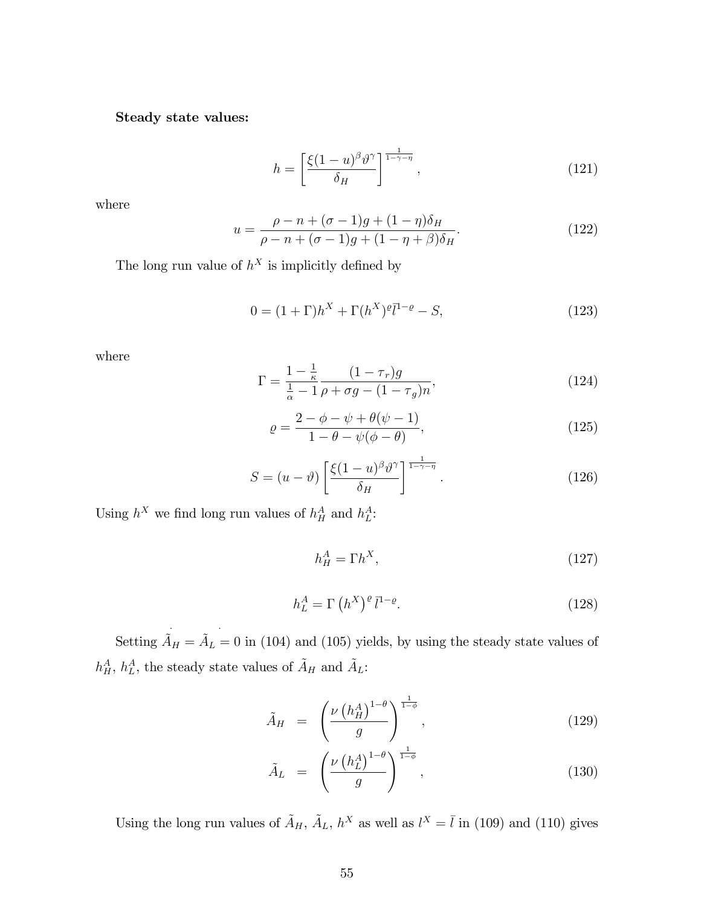Steady state values:

$$
h = \left[\frac{\xi(1-u)^{\beta}\vartheta^{\gamma}}{\delta_H}\right]^{\frac{1}{1-\gamma-\eta}},\tag{121}
$$

where

$$
u = \frac{\rho - n + (\sigma - 1)g + (1 - \eta)\delta_H}{\rho - n + (\sigma - 1)g + (1 - \eta + \beta)\delta_H}.
$$
 (122)

The long run value of  $h^X$  is implicitly defined by

$$
0 = (1+\Gamma)h^X + \Gamma(h^X)^e \overline{l}^{1-\varrho} - S,\tag{123}
$$

where

$$
\Gamma = \frac{1 - \frac{1}{\kappa}}{\frac{1}{\alpha} - 1} \frac{(1 - \tau_r)g}{\rho + \sigma g - (1 - \tau_g)n},
$$
\n(124)

$$
\varrho = \frac{2 - \phi - \psi + \theta(\psi - 1)}{1 - \theta - \psi(\phi - \theta)},\tag{125}
$$

$$
S = (u - \vartheta) \left[ \frac{\xi (1 - u)^{\beta} \vartheta^{\gamma}}{\delta_H} \right]^{\frac{1}{1 - \gamma - \eta}}.
$$
 (126)

Using  $h^X$  we find long run values of  $h^A_H$  and  $h^A_L$ :

$$
h_H^A = \Gamma h^X,\tag{127}
$$

$$
h_L^A = \Gamma \left( h^X \right)^{\varrho} \bar{l}^{1-\varrho}.
$$
\n(128)

Setting  $\tilde{A}_H = \tilde{A}_L = 0$  in (104) and (105) yields, by using the steady state values of  $h^A_H$ ,  $h^A_L$ , the steady state values of  $\tilde{A}_H$  and  $\tilde{A}_L$ :

$$
\tilde{A}_H = \left(\frac{\nu \left(h_H^A\right)^{1-\theta}}{g}\right)^{\frac{1}{1-\phi}},\tag{129}
$$

$$
\tilde{A}_L = \left(\frac{\nu \left(h_L^A\right)^{1-\theta}}{g}\right)^{\frac{1}{1-\phi}},\tag{130}
$$

Using the long run values of  $\tilde{A}_H$ ,  $\tilde{A}_L$ ,  $h^X$  as well as  $l^X = \overline{l}$  in (109) and (110) gives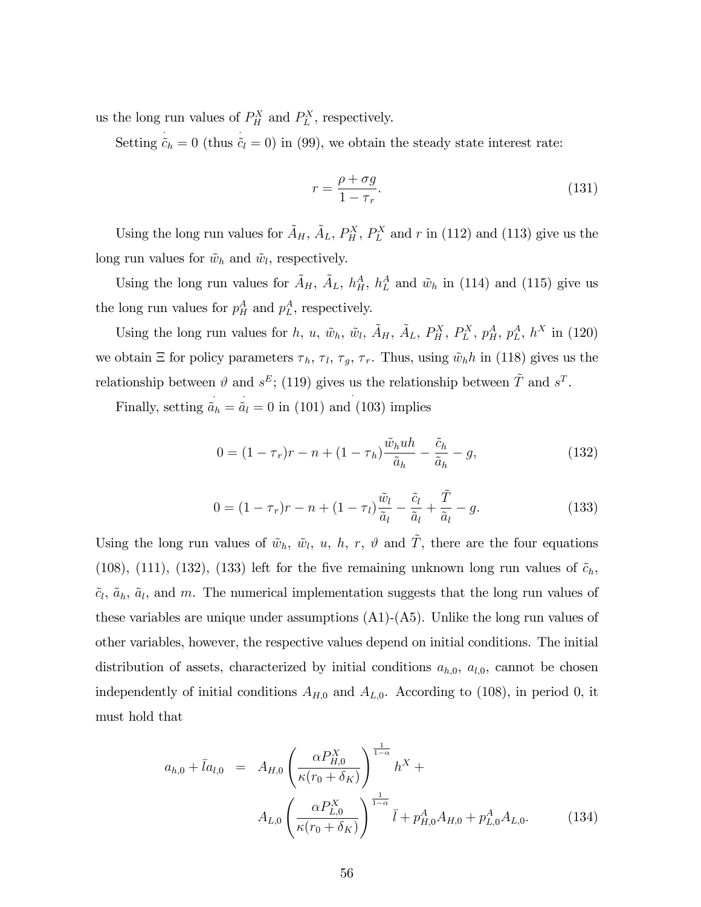us the long run values of  $P_H^X$  and  $P_L^X$ , respectively.

Setting  $\tilde{c}_h = 0$  (thus  $\tilde{c}_l = 0$ ) in (99), we obtain the steady state interest rate:

$$
r = \frac{\rho + \sigma g}{1 - \tau_r}.\tag{131}
$$

Using the long run values for  $\tilde{A}_H$ ,  $\tilde{A}_L$ ,  $P_H^X$ ,  $P_L^X$  and r in (112) and (113) give us the long run values for  $\tilde{w}_h$  and  $\tilde{w}_l$ , respectively.

Using the long run values for  $\tilde{A}_H$ ,  $\tilde{A}_L$ ,  $h_H^A$ ,  $h_L^A$  and  $\tilde{w}_h$  in (114) and (115) give us the long run values for  $p_H^A$  and  $p_L^A$ , respectively.

Using the long run values for h, u,  $\tilde{w}_h$ ,  $\tilde{w}_l$ ,  $\tilde{A}_H$ ,  $\tilde{A}_L$ ,  $P^X_H$ ,  $P^X_L$ ,  $p^A_H$ ,  $p^A_L$ ,  $h^X$  in (120) we obtain  $\Xi$  for policy parameters  $\tau_h$ ,  $\tau_l$ ,  $\tau_g$ ,  $\tau_r$ . Thus, using  $\tilde{w}_h h$  in (118) gives us the relationship between  $\vartheta$  and  $s^E$ ; (119) gives us the relationship between  $\tilde{T}$  and  $s^T$ .

Finally, setting  $\tilde{a}_h = \tilde{a}_l = 0$  in (101) and (103) implies

$$
0 = (1 - \tau_r)r - n + (1 - \tau_h)\frac{\tilde{w}_h u h}{\tilde{a}_h} - \frac{\tilde{c}_h}{\tilde{a}_h} - g,\tag{132}
$$

$$
0 = (1 - \tau_r)r - n + (1 - \tau_l)\frac{\tilde{w}_l}{\tilde{a}_l} - \frac{\tilde{c}_l}{\tilde{a}_l} + \frac{\tilde{T}}{\tilde{a}_l} - g.
$$
 (133)

Using the long run values of  $\tilde{w}_h$ ,  $\tilde{w}_l$ , u, h, r,  $\vartheta$  and  $\tilde{T}$ , there are the four equations (108), (111), (132), (133) left for the five remaining unknown long run values of  $\tilde{c}_h$ ,  $\tilde{c}_l$ ,  $\tilde{a}_h$ ,  $\tilde{a}_l$ , and m. The numerical implementation suggests that the long run values of these variables are unique under assumptions (A1)-(A5). Unlike the long run values of other variables, however, the respective values depend on initial conditions. The initial distribution of assets, characterized by initial conditions  $a_{h,0}$ ,  $a_{l,0}$ , cannot be chosen independently of initial conditions  $A_{H,0}$  and  $A_{L,0}$ . According to (108), in period 0, it must hold that

$$
a_{h,0} + \bar{l}a_{l,0} = A_{H,0} \left(\frac{\alpha P_{H,0}^X}{\kappa(r_0 + \delta_K)}\right)^{\frac{1}{1-\alpha}} h^X + A_{L,0} \left(\frac{\alpha P_{L,0}^X}{\kappa(r_0 + \delta_K)}\right)^{\frac{1}{1-\alpha}} \bar{l} + p_{H,0}^A A_{H,0} + p_{L,0}^A A_{L,0}.
$$
 (134)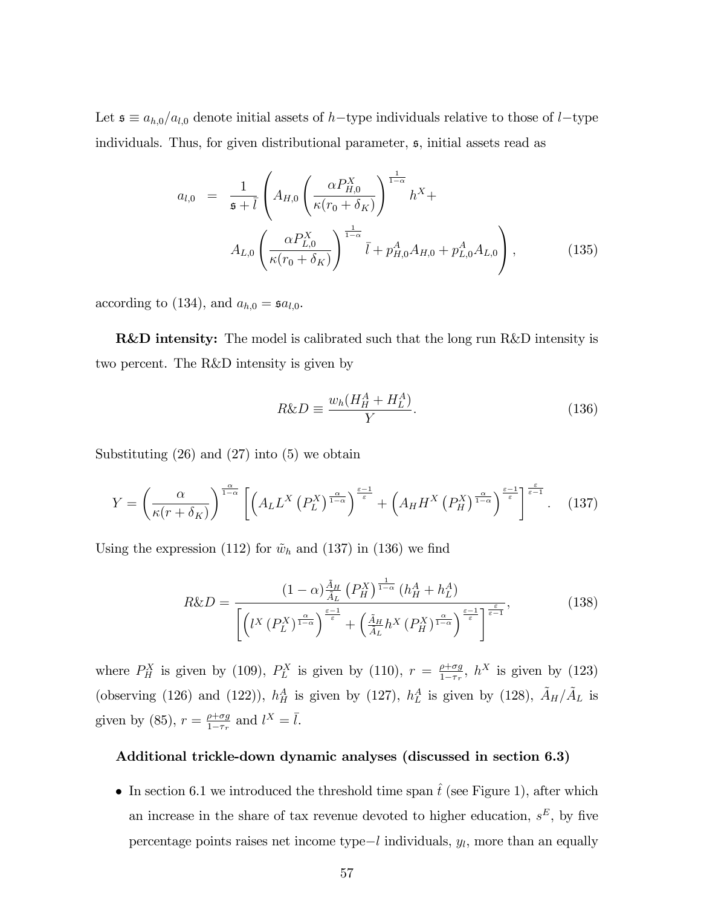Let  $\mathfrak{s} \equiv a_{h,0}/a_{l,0}$  denote initial assets of h-type individuals relative to those of l-type individuals. Thus, for given distributional parameter, s, initial assets read as

$$
a_{l,0} = \frac{1}{\mathfrak{s} + \bar{l}} \left( A_{H,0} \left( \frac{\alpha P_{H,0}^X}{\kappa (r_0 + \delta_K)} \right)^{\frac{1}{1-\alpha}} h^X + A_{L,0} \left( \frac{\alpha P_{L,0}^X}{\kappa (r_0 + \delta_K)} \right)^{\frac{1}{1-\alpha}} \bar{l} + p_{H,0}^A A_{H,0} + p_{L,0}^A A_{L,0} \right), \tag{135}
$$

according to (134), and  $a_{h,0} = \mathfrak{s} a_{l,0}$ .

R&D intensity: The model is calibrated such that the long run R&D intensity is two percent. The R&D intensity is given by

$$
R\&D \equiv \frac{w_h(H_H^A + H_L^A)}{Y}.\tag{136}
$$

Substituting (26) and (27) into (5) we obtain

$$
Y = \left(\frac{\alpha}{\kappa(r+\delta_K)}\right)^{\frac{\alpha}{1-\alpha}} \left[ \left(A_L L^X \left(P_L^X\right)^{\frac{\alpha}{1-\alpha}}\right)^{\frac{\varepsilon-1}{\varepsilon}} + \left(A_H H^X \left(P_H^X\right)^{\frac{\alpha}{1-\alpha}}\right)^{\frac{\varepsilon-1}{\varepsilon}} \right]^{\frac{\varepsilon}{\varepsilon-1}}. \tag{137}
$$

Using the expression (112) for  $\tilde{w}_h$  and (137) in (136) we find

$$
R\&D = \frac{(1-\alpha)\frac{\tilde{A}_H}{\tilde{A}_L}\left(P_H^X\right)^{\frac{1}{1-\alpha}}\left(h_H^A + h_L^A\right)}{\left[\left(l^X\left(P_L^X\right)^{\frac{\alpha}{1-\alpha}}\right)^{\frac{\varepsilon-1}{\varepsilon}} + \left(\frac{\tilde{A}_H}{\tilde{A}_L}h^X\left(P_H^X\right)^{\frac{\alpha}{1-\alpha}}\right)^{\frac{\varepsilon-1}{\varepsilon}}\right]^{\frac{\varepsilon}{\varepsilon-1}}},\tag{138}
$$

where  $P_H^X$  is given by (109),  $P_L^X$  is given by (110),  $r = \frac{\rho + \sigma g}{1 - \tau_r}$  $\frac{\rho + \sigma g}{1 - \tau_r}$ ,  $h^X$  is given by (123) (observing (126) and (122)),  $h_H^A$  is given by (127),  $h_L^A$  is given by (128),  $\tilde{A}_H/\tilde{A}_L$  is given by (85),  $r = \frac{\rho + \sigma g}{1 - \tau}$  $\frac{\rho+\sigma g}{1-\tau_r}$  and  $l^X=\overline{l}$ .

#### Additional trickle-down dynamic analyses (discussed in section 6.3)

• In section 6.1 we introduced the threshold time span  $\hat{t}$  (see Figure 1), after which an increase in the share of tax revenue devoted to higher education,  $s<sup>E</sup>$ , by five percentage points raises net income type $-l$  individuals,  $y_l$ , more than an equally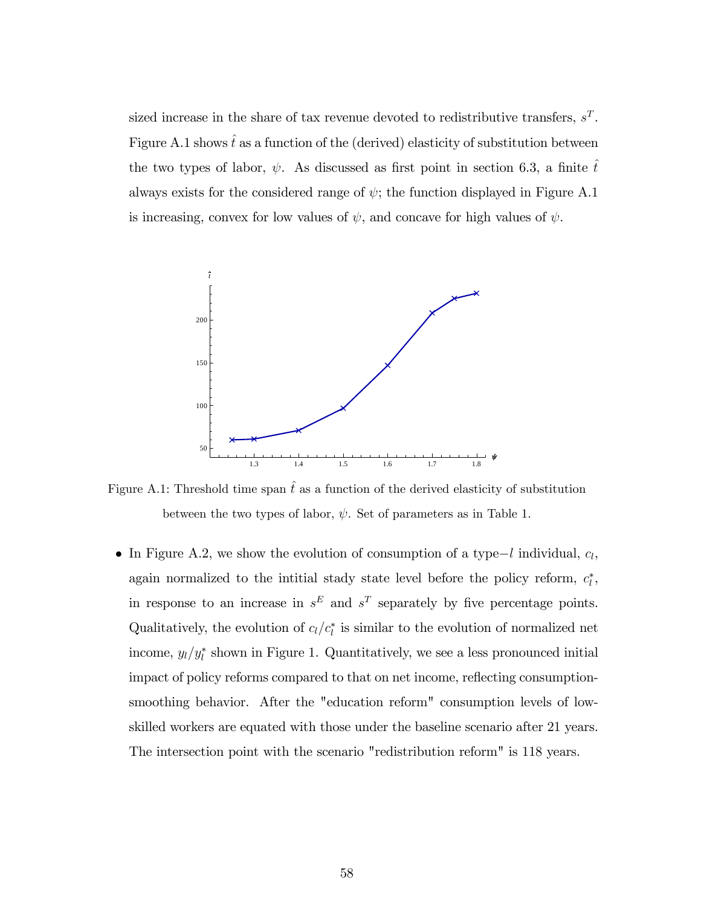sized increase in the share of tax revenue devoted to redistributive transfers,  $s^T$ . Figure A.1 shows  $\hat{t}$  as a function of the (derived) elasticity of substitution between the two types of labor,  $\psi$ . As discussed as first point in section 6.3, a finite t always exists for the considered range of  $\psi$ ; the function displayed in Figure A.1 is increasing, convex for low values of  $\psi$ , and concave for high values of  $\psi$ .



Figure A.1: Threshold time span  $\hat{t}$  as a function of the derived elasticity of substitution between the two types of labor,  $\psi$ . Set of parameters as in Table 1.

• In Figure A.2, we show the evolution of consumption of a type-l individual,  $c_l$ , again normalized to the intitial stady state level before the policy reform,  $c_l^*$ , in response to an increase in  $s<sup>E</sup>$  and  $s<sup>T</sup>$  separately by five percentage points. Qualitatively, the evolution of  $c_l/c_l^*$  is similar to the evolution of normalized net income,  $y_l/y_l^*$  shown in Figure 1. Quantitatively, we see a less pronounced initial impact of policy reforms compared to that on net income, reflecting consumptionsmoothing behavior. After the "education reform" consumption levels of lowskilled workers are equated with those under the baseline scenario after 21 years. The intersection point with the scenario "redistribution reform" is 118 years.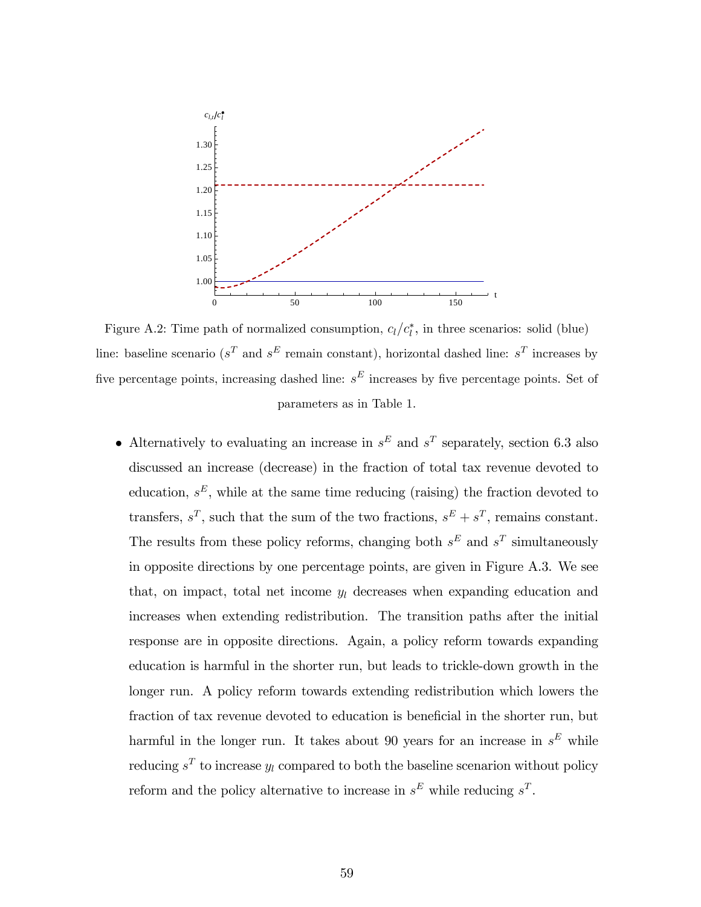

Figure A.2: Time path of normalized consumption,  $c_l/c_l^*$ , in three scenarios: solid (blue) line: baseline scenario ( $s^T$  and  $s^E$  remain constant), horizontal dashed line:  $s^T$  increases by five percentage points, increasing dashed line:  $s<sup>E</sup>$  increases by five percentage points. Set of parameters as in Table 1.

• Alternatively to evaluating an increase in  $s<sup>E</sup>$  and  $s<sup>T</sup>$  separately, section 6.3 also discussed an increase (decrease) in the fraction of total tax revenue devoted to education,  $s^E$ , while at the same time reducing (raising) the fraction devoted to transfers,  $s^T$ , such that the sum of the two fractions,  $s^E + s^T$ , remains constant. The results from these policy reforms, changing both  $s<sup>E</sup>$  and  $s<sup>T</sup>$  simultaneously in opposite directions by one percentage points, are given in Figure A.3. We see that, on impact, total net income  $y_l$  decreases when expanding education and increases when extending redistribution. The transition paths after the initial response are in opposite directions. Again, a policy reform towards expanding education is harmful in the shorter run, but leads to trickle-down growth in the longer run. A policy reform towards extending redistribution which lowers the fraction of tax revenue devoted to education is beneficial in the shorter run, but harmful in the longer run. It takes about 90 years for an increase in  $s<sup>E</sup>$  while reducing  $s^T$  to increase  $y_l$  compared to both the baseline scenarion without policy reform and the policy alternative to increase in  $s<sup>E</sup>$  while reducing  $s<sup>T</sup>$ .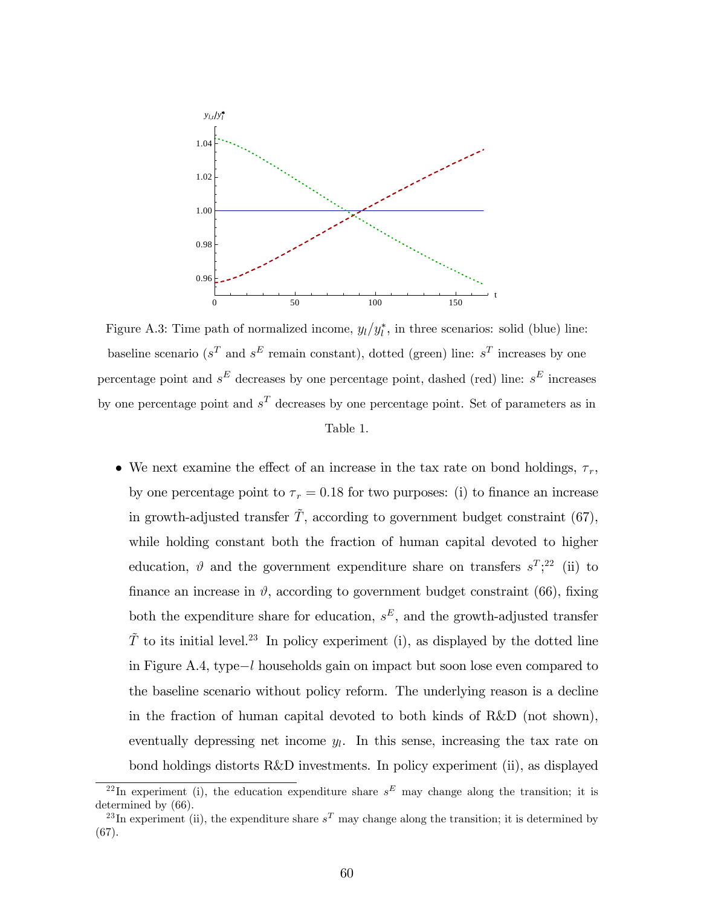

Figure A.3: Time path of normalized income,  $y_l/y_l^*$ , in three scenarios: solid (blue) line: baseline scenario ( $s^T$  and  $s^E$  remain constant), dotted (green) line:  $s^T$  increases by one percentage point and  $s<sup>E</sup>$  decreases by one percentage point, dashed (red) line:  $s<sup>E</sup>$  increases by one percentage point and  $s<sup>T</sup>$  decreases by one percentage point. Set of parameters as in Table 1.

 $\bullet\,$  We next examine the effect of an increase in the tax rate on bond holdings,  $\tau_r,$ by one percentage point to  $\tau_r = 0.18$  for two purposes: (i) to finance an increase in growth-adjusted transfer  $\tilde{T}$ , according to government budget constraint (67), while holding constant both the fraction of human capital devoted to higher education,  $\vartheta$  and the government expenditure share on transfers  $s^T$ ;<sup>22</sup> (ii) to finance an increase in  $\vartheta$ , according to government budget constraint (66), fixing both the expenditure share for education,  $s<sup>E</sup>$ , and the growth-adjusted transfer  $\tilde{T}$  to its initial level.<sup>23</sup> In policy experiment (i), as displayed by the dotted line in Figure A.4, type- $l$  households gain on impact but soon lose even compared to the baseline scenario without policy reform. The underlying reason is a decline in the fraction of human capital devoted to both kinds of R&D (not shown), eventually depressing net income  $y_l$ . In this sense, increasing the tax rate on bond holdings distorts R&D investments. In policy experiment (ii), as displayed

<sup>&</sup>lt;sup>22</sup>In experiment (i), the education expenditure share  $s<sup>E</sup>$  may change along the transition; it is determined by (66).

<sup>&</sup>lt;sup>23</sup>In experiment (ii), the expenditure share  $s<sup>T</sup>$  may change along the transition; it is determined by (67).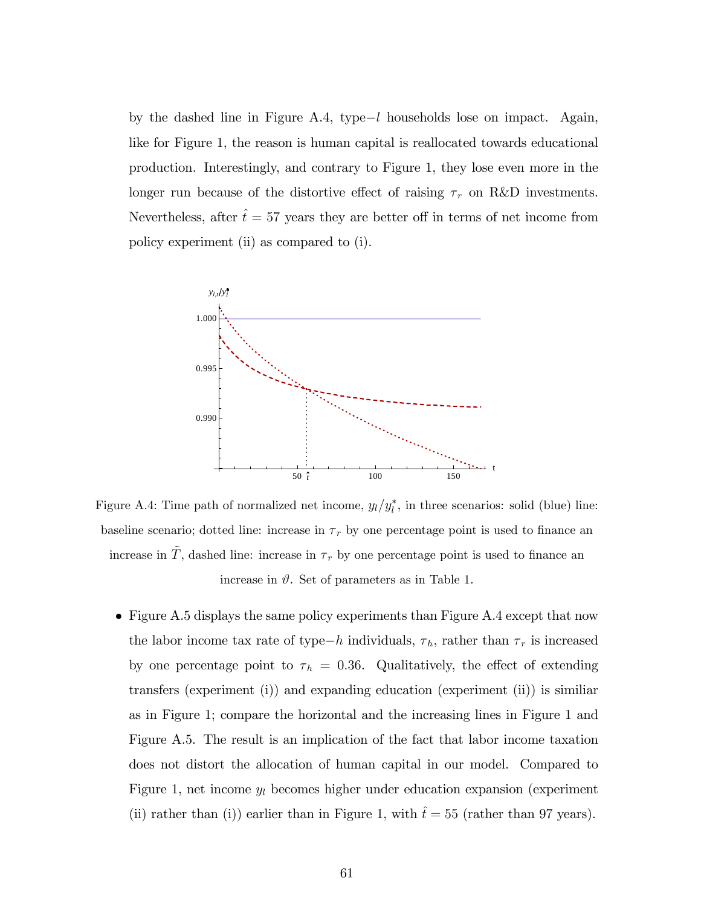by the dashed line in Figure A.4, type- $l$  households lose on impact. Again, like for Figure 1, the reason is human capital is reallocated towards educational production. Interestingly, and contrary to Figure 1, they lose even more in the longer run because of the distortive effect of raising  $\tau_r$  on R&D investments. Nevertheless, after  $\hat{t} = 57$  years they are better off in terms of net income from policy experiment (ii) as compared to (i).



Figure A.4: Time path of normalized net income,  $y_l/y_l^*$ , in three scenarios: solid (blue) line: baseline scenario; dotted line: increase in  $\tau_r$  by one percentage point is used to finance an increase in  $\tilde{T}$ , dashed line: increase in  $\tau_r$  by one percentage point is used to finance an increase in  $\vartheta$ . Set of parameters as in Table 1.

 Figure A.5 displays the same policy experiments than Figure A.4 except that now the labor income tax rate of type-h individuals,  $\tau_h$ , rather than  $\tau_r$  is increased by one percentage point to  $\tau_h = 0.36$ . Qualitatively, the effect of extending transfers (experiment (i)) and expanding education (experiment (ii)) is similiar as in Figure 1; compare the horizontal and the increasing lines in Figure 1 and Figure A.5. The result is an implication of the fact that labor income taxation does not distort the allocation of human capital in our model. Compared to Figure 1, net income  $y_l$  becomes higher under education expansion (experiment (ii) rather than (i)) earlier than in Figure 1, with  $\hat{t} = 55$  (rather than 97 years).